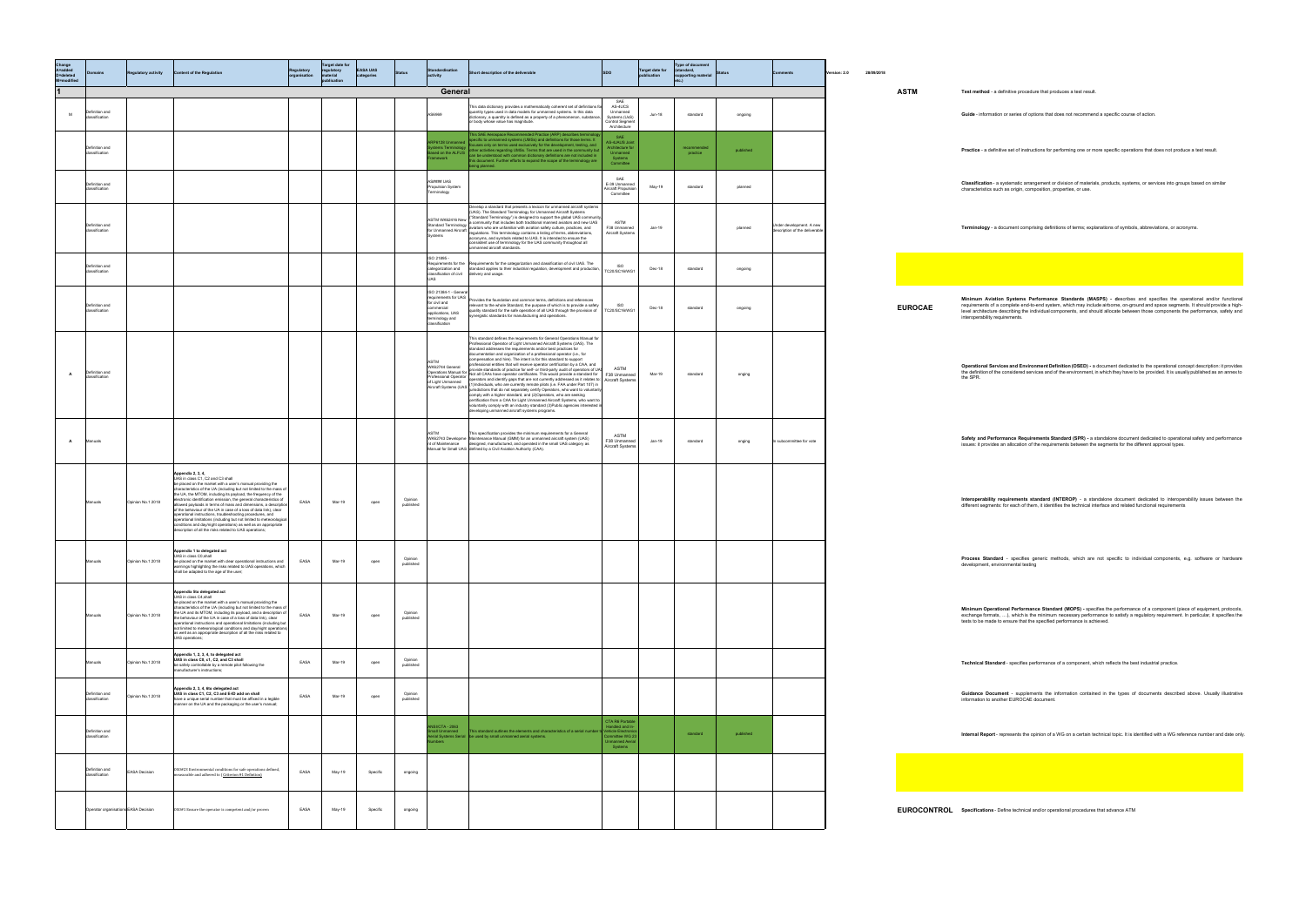| Change<br>A=added<br>D=deleted<br>M=modified | <b>Domains</b>                       | <b>Regulatory activity</b> | <b>Content of the Regulation</b>                                                                                                                                                                                                                                                                                                                                                                                                                                                                                                                                                                                                                                                                                                            | rganisation | <b>Target date for</b><br>regulatory<br>material<br>publication | <b>EASA UAS</b><br>categories |                      |                                                                                                                                 | Short description of the deliverable                                                                                                                                                                                                                                                                                                                                                                                                                                                                                                                                                                                                                                                                                                                                                                                                                                                                                                                                                                                                                                                                                                                                                                                                                                                                 | <b>SDO</b>                                                                                               | <b>Target date for</b><br>publication | Type of document<br>(standard,<br>supporting material<br>etc.) |           |                                                            | 28/09/2018<br>rsion: 2.0 |                |                                                                                                                                                                                                                                                                                                                                                                                                                               |
|----------------------------------------------|--------------------------------------|----------------------------|---------------------------------------------------------------------------------------------------------------------------------------------------------------------------------------------------------------------------------------------------------------------------------------------------------------------------------------------------------------------------------------------------------------------------------------------------------------------------------------------------------------------------------------------------------------------------------------------------------------------------------------------------------------------------------------------------------------------------------------------|-------------|-----------------------------------------------------------------|-------------------------------|----------------------|---------------------------------------------------------------------------------------------------------------------------------|------------------------------------------------------------------------------------------------------------------------------------------------------------------------------------------------------------------------------------------------------------------------------------------------------------------------------------------------------------------------------------------------------------------------------------------------------------------------------------------------------------------------------------------------------------------------------------------------------------------------------------------------------------------------------------------------------------------------------------------------------------------------------------------------------------------------------------------------------------------------------------------------------------------------------------------------------------------------------------------------------------------------------------------------------------------------------------------------------------------------------------------------------------------------------------------------------------------------------------------------------------------------------------------------------|----------------------------------------------------------------------------------------------------------|---------------------------------------|----------------------------------------------------------------|-----------|------------------------------------------------------------|--------------------------|----------------|-------------------------------------------------------------------------------------------------------------------------------------------------------------------------------------------------------------------------------------------------------------------------------------------------------------------------------------------------------------------------------------------------------------------------------|
| 11                                           |                                      |                            |                                                                                                                                                                                                                                                                                                                                                                                                                                                                                                                                                                                                                                                                                                                                             |             |                                                                 |                               |                      | General                                                                                                                         |                                                                                                                                                                                                                                                                                                                                                                                                                                                                                                                                                                                                                                                                                                                                                                                                                                                                                                                                                                                                                                                                                                                                                                                                                                                                                                      |                                                                                                          |                                       |                                                                |           |                                                            |                          | <b>ASTM</b>    | Test method - a definitive procedure that produces a test result.                                                                                                                                                                                                                                                                                                                                                             |
| M                                            | Definition and<br>dassification      |                            |                                                                                                                                                                                                                                                                                                                                                                                                                                                                                                                                                                                                                                                                                                                                             |             |                                                                 |                               |                      | 6969                                                                                                                            | This data dictionary provides a mathematically coherent set of definitions fo<br>quantity types used in data models for unmanned systems. In this data<br>dictionary, a quantity is defined as a property of a phenomenon, substance,<br>or body whose value has magnitude.                                                                                                                                                                                                                                                                                                                                                                                                                                                                                                                                                                                                                                                                                                                                                                                                                                                                                                                                                                                                                          | SAE<br>AS-4UCS<br>Unmanned<br>Systems (UxS)<br><b>Control Segment</b><br>Architecture                    | Jun-18                                | standard                                                       | ongoing   |                                                            |                          |                | Guide - information or series of options that does not recommend a specific course of action.                                                                                                                                                                                                                                                                                                                                 |
|                                              | Definition and<br>classification     |                            |                                                                                                                                                                                                                                                                                                                                                                                                                                                                                                                                                                                                                                                                                                                                             |             |                                                                 |                               |                      | P6128 Unmanned<br>tems Terminology<br>sed on the ALFUS<br>ework:                                                                | This SAE Aerospace Recommended Practice (ARP) describes terminolo<br>specific to unmanned systems (UMSs) and definitions for those terms. It<br>focuses only on terms used exclusively for the development, testing, and<br>other activities regarding UMSs. Terms that are used in the community but<br>can be understood with common dictionary definitions are not included in<br>this document. Further efforts to expand the scope of the terminology are<br>being planned.                                                                                                                                                                                                                                                                                                                                                                                                                                                                                                                                                                                                                                                                                                                                                                                                                     | SAE<br><b>AS-4JAUS Joint</b><br>Architecture for<br>Unmanned<br>Systems<br>Committee                     |                                       | recommended<br>practice                                        | published |                                                            |                          |                | Practice - a definitive set of instructions for performing one or more specific operations that does not produce a test result.                                                                                                                                                                                                                                                                                               |
|                                              | Definition and<br>classification     |                            |                                                                                                                                                                                                                                                                                                                                                                                                                                                                                                                                                                                                                                                                                                                                             |             |                                                                 |                               |                      | S#### UAS<br>ropulsion System<br>ninology                                                                                       |                                                                                                                                                                                                                                                                                                                                                                                                                                                                                                                                                                                                                                                                                                                                                                                                                                                                                                                                                                                                                                                                                                                                                                                                                                                                                                      | SAE<br>E-39 Unmanned<br>Aircraft Propulsion<br>Committee                                                 | May-19                                | standard                                                       | planned   |                                                            |                          |                | Classification - a systematic arrangement or division of materials, products, systems, or services into groups based on similar<br>characteristics such as origin, composition, properties, or use.                                                                                                                                                                                                                           |
|                                              | Definition and<br>classification     |                            |                                                                                                                                                                                                                                                                                                                                                                                                                                                                                                                                                                                                                                                                                                                                             |             |                                                                 |                               |                      |                                                                                                                                 | Develop a standard that presents a lexicon for unmanned aircraft systems<br>(UAS). The Standard Terminology for Unmanned Aircraft Systems<br>ASTM WK62416 New ("Standard Terminology") is designed to support the global UAS community.<br>Standard Tarminalam: a community that includes both traditional manned aviators and new UAS<br>Standard Terminology   a continuumy ties in the was the action safety culture, practices, and<br>for Unmanned Aircraft   regulations. This terminology contains a listing of terms, abbreviations,<br>Svetems<br>acronyms, and symbols related to UAS. It is intended to ensure the<br>consistent use of terminology for the UAS community throughout all<br>unmanned aircraft standards.                                                                                                                                                                                                                                                                                                                                                                                                                                                                                                                                                                  | ASTM<br>F38 Unmanned<br>Aircraft Systems                                                                 | Jan-19                                |                                                                | planned   | Under development. A new<br>description of the deliverable |                          |                | Terminology - a document comprising definitions of terms; explanations of symbols, abbreviations, or acronyms.                                                                                                                                                                                                                                                                                                                |
|                                              | Definition and<br>classification     |                            |                                                                                                                                                                                                                                                                                                                                                                                                                                                                                                                                                                                                                                                                                                                                             |             |                                                                 |                               |                      | SO 21895-<br>assification of civil                                                                                              | equirements for the Requirements for the categorization and classification of civil UAS. The<br>ategorization and standard applies to their industrial regulation, development and production,<br>delivery and usage.                                                                                                                                                                                                                                                                                                                                                                                                                                                                                                                                                                                                                                                                                                                                                                                                                                                                                                                                                                                                                                                                                | ISO<br>TC20/SC16/WG1                                                                                     | Dec-18                                | standard                                                       | ongoing   |                                                            |                          |                |                                                                                                                                                                                                                                                                                                                                                                                                                               |
|                                              | Definition and<br>classification     |                            |                                                                                                                                                                                                                                                                                                                                                                                                                                                                                                                                                                                                                                                                                                                                             |             |                                                                 |                               |                      | ISO 21384-1 - General<br>equirements for UAS<br>for civil and<br>ommercial<br>applications, UAS<br>minology and<br>assification | Provides the foundation and common terms, definitions and references<br>relevant to the whole Standard, the purpose of which is to provide a safety<br>quality standard for the safe operation of all UAS through the provision of TC20/SC16/WG1<br>.<br>synergistic standards for manufacturing and operations.                                                                                                                                                                                                                                                                                                                                                                                                                                                                                                                                                                                                                                                                                                                                                                                                                                                                                                                                                                                     | ISO                                                                                                      | Dec-18                                | standard                                                       | ongoing   |                                                            |                          | <b>EUROCAE</b> | Minimum Aviation Systems Performance Standards (MASPS) - describes and specifies the operational and/or functiona<br>requirements of a complete end-to-end system, which may include airborne, on-ground and space segments. It should provide a high-<br>level architecture describing the individual components, and should allocate between those components the performance, safety and<br>interoperability requirements. |
| $\overline{A}$                               | Definition and<br>classification     |                            |                                                                                                                                                                                                                                                                                                                                                                                                                                                                                                                                                                                                                                                                                                                                             |             |                                                                 |                               |                      | <b>ASTM</b><br>WK62744 General<br>of Light Unmanned                                                                             | This standard defines the requirements for General Operations Manual for<br>Professional Operator of Light Unmanned Aircraft Systems (UAS). The<br>standard addresses the requirements and/or best practices for<br>documentation and organization of a professional operator (i.e., for<br>compensation and hire). The intent is for this standard to support<br>professional entities that will receive operator certification by a CAA, and<br>provide standards of practice for self- or third-party audit of operators of UAS<br>Operations Manual for Mutville animation of president centrificates. This would provide a standard for F38 Unmanned<br>Professional Operation operators and identify gaps that are not currently addressed as it relates to:<br>Let<br>if Light Unmanned<br>Aircraft Systems (UAS (1)Individuals, who are currently remote pilots (i.e. FAA under Part 107) in<br>Aircraft Systems (UAS ) jurisdictions that do not separately certify Operators, who want to voluntarily<br>comply with a higher standard, and (2)Operators, who are seeking<br>certification from a CAA for Light Unmanned Aircraft Systems, who want to<br>voluntarily comply with an industry standard (3) Public agencies interested in<br>developing unmanned aircraft systems programs. | ASTM                                                                                                     | Mar-19                                | standard                                                       | onging    |                                                            |                          |                | Operational Services and Environment Definition (OSED) - a document dedicated to the operational concept description: it provides<br>the definition of the considered services and of the environment, in which they have to be provided. It is usually published as an annex to<br>the SPR.                                                                                                                                  |
| A                                            | Manuals                              |                            |                                                                                                                                                                                                                                                                                                                                                                                                                                                                                                                                                                                                                                                                                                                                             |             |                                                                 |                               |                      |                                                                                                                                 | This specification provides the minimum requirements for a General<br>WK62743 Developme Maintenance Manual (GMM) for an unmanned aircraft system (UAS)<br>t of Maintenance designed, manufactured, and operated in the small UAS category as<br>fanual for Small UAS defined by a Civil Aviation Authority (CAA).                                                                                                                                                                                                                                                                                                                                                                                                                                                                                                                                                                                                                                                                                                                                                                                                                                                                                                                                                                                    | ASTM<br>F38 Unmanned<br>Aircraft Systems                                                                 | Jan-19                                | standard                                                       | onging    | In subcommittee for vote                                   |                          |                | Safety and Performance Requirements Standard (SPR) - a standalone document dedicated to operational safety and performance<br>issues: it provides an allocation of the requirements between the segments for the different approval types.                                                                                                                                                                                    |
|                                              | lanuals                              | Opinion No.1 2018          | Appendix 2, 3, 4,<br>UAS in class C1, C2 and C3 shall<br>be placed on the market with a user's manual providing the<br>characteristics of the UA (including but not limited to the mass of<br>the UA, the MTOM, including its payload, the frequency of the<br>electronic identification emission, the general characteristics of<br>allowed payloads in terms of mass and dimensions, a description<br>of the behaviour of the UA in case of a loss of data link), clear<br>operational instructions, troubleshooting procedures, and<br>operational limitations (including but not limited to meteorological<br>conditions and day/night operations) as well as an appropriate<br>lescription of all the risks related to UAS operations: | EASA        | Mar-19                                                          | open                          | Opinion<br>published |                                                                                                                                 |                                                                                                                                                                                                                                                                                                                                                                                                                                                                                                                                                                                                                                                                                                                                                                                                                                                                                                                                                                                                                                                                                                                                                                                                                                                                                                      |                                                                                                          |                                       |                                                                |           |                                                            |                          |                | Interoperability requirements standard (INTEROP) - a standalone document dedicated to interoperability issues between the<br>different segments: for each of them, it identifies the technical interface and related functional requirements                                                                                                                                                                                  |
|                                              | Manuals                              | Opinion No.1 2018          | Appendix 1 to delegated act<br>UAS in class C0, shall<br>be placed on the market with clear operational instructions and<br>warnings highlighting the risks related to UAS operations, which<br>shall be adapted to the age of the user;                                                                                                                                                                                                                                                                                                                                                                                                                                                                                                    | EASA        | Mar-19                                                          | open                          | Opinion<br>published |                                                                                                                                 |                                                                                                                                                                                                                                                                                                                                                                                                                                                                                                                                                                                                                                                                                                                                                                                                                                                                                                                                                                                                                                                                                                                                                                                                                                                                                                      |                                                                                                          |                                       |                                                                |           |                                                            |                          |                | Process Standard - specifies generic methods, which are not specific to individual components, e.g. software or hardware<br>development, environmental testing                                                                                                                                                                                                                                                                |
|                                              |                                      | Opinion No.1 2018          | Appendix 5to delegated act<br>UAS in class C4, shall<br>be placed on the market with a user's manual providing the<br>characteristics of the UA (including but not limited to the mass of<br>the UA and its MTOM, including its payload, and a description of<br>the behaviour of the UA in case of a loss of data link), clear<br>operational instructions and operational limitations (including but<br>not limited to meteorological conditions and day/night operations)<br>as well as an appropriate description of all the risks related to<br>UAS operations;                                                                                                                                                                        | EASA        | Mar-19                                                          | open                          | Opinion<br>published |                                                                                                                                 |                                                                                                                                                                                                                                                                                                                                                                                                                                                                                                                                                                                                                                                                                                                                                                                                                                                                                                                                                                                                                                                                                                                                                                                                                                                                                                      |                                                                                                          |                                       |                                                                |           |                                                            |                          |                | Minimum Operational Performance Standard (MOPS) - specifies the performance of a component (piece of equipment, protocols,<br>exchange formats, ), which is the minimum necessary performance to satisfy a regulatory requirement. In particular, it specifies the<br>tests to be made to ensure that the specified performance is achieved.                                                                                  |
|                                              | Manuals                              | Opinion No.1 2018          | Appendix 1, 2, 3, 4, to delegated act<br>UAS in class C0, c1, C2, and C3 shall<br>be safely controllable by a remote pilot following the<br>manufacturer's instructions;                                                                                                                                                                                                                                                                                                                                                                                                                                                                                                                                                                    | EASA        | Mar-19                                                          | open                          | Opinion<br>published |                                                                                                                                 |                                                                                                                                                                                                                                                                                                                                                                                                                                                                                                                                                                                                                                                                                                                                                                                                                                                                                                                                                                                                                                                                                                                                                                                                                                                                                                      |                                                                                                          |                                       |                                                                |           |                                                            |                          |                | Technical Standard - specifies performance of a component, which reflects the best industrial practice.                                                                                                                                                                                                                                                                                                                       |
|                                              | Definition and<br>classification     | oinion No.1 2018           | ppendix 2, 3, 4, 6to delegated act<br>UAS in class C1, C2, C3 and E-ID add on shall<br>have a unique serial number that must be affixed in a legible<br>manner on the UA and the packaging or the user's manual;                                                                                                                                                                                                                                                                                                                                                                                                                                                                                                                            | EASA        | Mar-19                                                          | open                          | Opinion<br>published |                                                                                                                                 |                                                                                                                                                                                                                                                                                                                                                                                                                                                                                                                                                                                                                                                                                                                                                                                                                                                                                                                                                                                                                                                                                                                                                                                                                                                                                                      |                                                                                                          |                                       |                                                                |           |                                                            |                          |                | Guidance Document - supplements the information contained in the types of documents described above. Usually illustrative<br>information to another EUROCAE document.                                                                                                                                                                                                                                                         |
|                                              | Definition and<br>classification     |                            |                                                                                                                                                                                                                                                                                                                                                                                                                                                                                                                                                                                                                                                                                                                                             |             |                                                                 |                               |                      | <b>ISI/CTA - 2063</b><br>all Unmanned<br>nbers                                                                                  | his standard outlines the elements and characteristics of a serial numbe<br>rial Systems Serial   be used by small unmanned aerial systems.                                                                                                                                                                                                                                                                                                                                                                                                                                                                                                                                                                                                                                                                                                                                                                                                                                                                                                                                                                                                                                                                                                                                                          | CTA R6 Portable<br>Handled and In-<br>Vehicle Electroni<br>Committee WG 23<br>Unmanned Aerial<br>Systems |                                       | standard                                                       | published |                                                            |                          |                | Internal Report - represents the opinion of a WG on a certain technical topic. It is identified with a WG reference number and date onl                                                                                                                                                                                                                                                                                       |
|                                              | Definition and<br>classification     | <b>EASA Decision</b>       | 0S0#23 Environmental conditions for safe operations defined,<br>easurable and adhered to (Criterion #1 Defintion)                                                                                                                                                                                                                                                                                                                                                                                                                                                                                                                                                                                                                           | EASA        | May-19                                                          | Specific                      | ongoing              |                                                                                                                                 |                                                                                                                                                                                                                                                                                                                                                                                                                                                                                                                                                                                                                                                                                                                                                                                                                                                                                                                                                                                                                                                                                                                                                                                                                                                                                                      |                                                                                                          |                                       |                                                                |           |                                                            |                          |                |                                                                                                                                                                                                                                                                                                                                                                                                                               |
|                                              | Operator organisations EASA Decision |                            | OSO#1 Ensure the operator is competent and/or proven                                                                                                                                                                                                                                                                                                                                                                                                                                                                                                                                                                                                                                                                                        | EASA        | May-19                                                          | Specific                      | ongoing              |                                                                                                                                 |                                                                                                                                                                                                                                                                                                                                                                                                                                                                                                                                                                                                                                                                                                                                                                                                                                                                                                                                                                                                                                                                                                                                                                                                                                                                                                      |                                                                                                          |                                       |                                                                |           |                                                            |                          |                | <b>EUROCONTROL</b> Specifications - Define technical and/or operational procedures that advance ATM                                                                                                                                                                                                                                                                                                                           |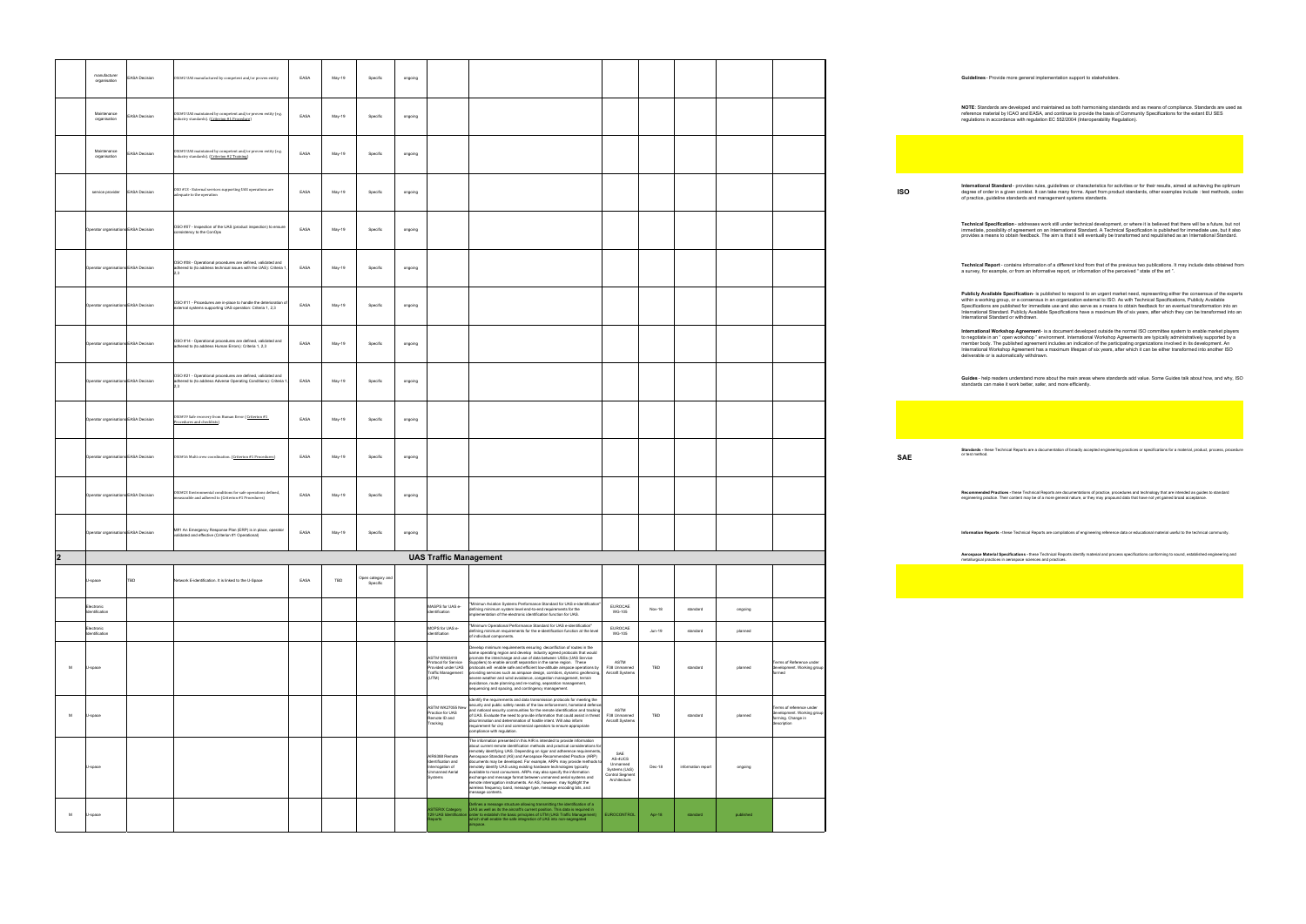organisation EASA Decision OSO#2 UAS manufactured by competent and/or proven entity EASA May-19 Specific ongoing **Guidelines** - Provide more general implementation support to stakeholders.

**NOTE**: Standards are developed and maintained as both harmonising standards and as means of compilance. Standards are used as<br>reference material by ICAO and EASA, and continue to provide the basis of Community Specificati

**International Standard** - provides rules, guidelines or characteristics for activities or for their results, aimed at achieving the optimum<br>degree of order in a given context. It can take many forms. Apart from product st

l'**echnical Specification** - addresses work still under technical development, or where it is believed that there will be a future, but not<br>mmediate, possibility of agreement on an International Standard. A Technical Speci

l'**echnical Report** - contains information of a different kind from that of the previous two publications. It may include data obtained from<br>ı survey, for example, or from an informative report, or information of the perce

**Publicly Available Specificatio**n- is published to respond to an urgent market need, representing either the consensus of the experts<br>within a working group, or a consensus in an organization external to ISO. As with Tech

International Workshop Agreement - is a document developed outside the normal ISO committee system to enable market players<br>to negotiale in an "open workshop " environment. International Workshop Agreements are typically a

**3uides** - help readers understand more about the main areas where standards add value. Some Guides talk about how, and why, ISO<br>tandards can make it work better, safer, and more efficiently.

**Standards -** these Technical Reports are a documentation of broadly accepted engineering practices or specifications for a material, product, process, procedure<br>or test method.

l**ecommended Practices -** these Technical Reports are documentations of practice, procedures and technology that are intended as guides to standard<br>ngineering practice. Their content may be of a more general nature, or the

**formation Reports -** these Technical Reports are compilations of engineering reference data or educational material useful to the technical community.

**erospace Material Specifications -** these Technical Reports identify material and process specifications conforming to sound, established engineering and<br>retallurgical practices in aerospace sciences and practices.

|                |   | manufacturer<br>organisation         | <b>EASA Decision</b> | OSO#2 UAS manufactured by competent and/or proven entity                                                                              | EASA | May-19 | Specific                      | ongoing |                                                                                                         |                                                                                                                                                                                                                                                                                                                                                                                                                                                                                                                                                                                                                                                                                                                                                                                                                                                             |        |                               |                                                                                             |            |           |
|----------------|---|--------------------------------------|----------------------|---------------------------------------------------------------------------------------------------------------------------------------|------|--------|-------------------------------|---------|---------------------------------------------------------------------------------------------------------|-------------------------------------------------------------------------------------------------------------------------------------------------------------------------------------------------------------------------------------------------------------------------------------------------------------------------------------------------------------------------------------------------------------------------------------------------------------------------------------------------------------------------------------------------------------------------------------------------------------------------------------------------------------------------------------------------------------------------------------------------------------------------------------------------------------------------------------------------------------|--------|-------------------------------|---------------------------------------------------------------------------------------------|------------|-----------|
|                |   | Maintenance<br>organisation          | <b>EASA Decision</b> | OSO#3 UAS maintained by competent and/or proven entity (e.g.<br>industry standards). (Criterion #1 Procedure)                         | EASA | May-19 | Specific                      | ongoing |                                                                                                         |                                                                                                                                                                                                                                                                                                                                                                                                                                                                                                                                                                                                                                                                                                                                                                                                                                                             |        |                               |                                                                                             |            | reg       |
|                |   | Maintenance<br>organisation          | ASA Decision         | OSO#3 UAS maintained by competent and/or proven entity (e.g.<br>industry standards). (Criterion #2 Training)                          | EASA | May-19 | Specific                      | ongoing |                                                                                                         |                                                                                                                                                                                                                                                                                                                                                                                                                                                                                                                                                                                                                                                                                                                                                                                                                                                             |        |                               |                                                                                             |            |           |
|                |   | service provider                     | <b>EASA Decision</b> | OSO #13 - External services supporting UAS operations are<br>dequate to the operation                                                 | EASA | May-19 | Specific                      | ongoing |                                                                                                         |                                                                                                                                                                                                                                                                                                                                                                                                                                                                                                                                                                                                                                                                                                                                                                                                                                                             |        |                               |                                                                                             | <b>ISO</b> | de<br>of  |
|                |   | Operator organisations EASA Decision |                      | OSO #07 - Inspection of the UAS (product inspection) to ensure<br>consistency to the ConOps                                           | EASA | May-19 | Specific                      | ongoing |                                                                                                         |                                                                                                                                                                                                                                                                                                                                                                                                                                                                                                                                                                                                                                                                                                                                                                                                                                                             |        |                               |                                                                                             |            | pro       |
|                |   | Operator organisations EASA Decision |                      | OSO #08 - Operational procedures are defined, validated and<br>adhered to (to address technical issues with the UAS): Criteria 1      | EASA | May-19 | Specific                      | ongoing |                                                                                                         |                                                                                                                                                                                                                                                                                                                                                                                                                                                                                                                                                                                                                                                                                                                                                                                                                                                             |        |                               |                                                                                             |            | Te<br>a s |
|                |   | Operator organisations EASA Decision |                      | OSO #11 - Procedures are in-place to handle the deterioration of<br>external systems supporting UAS operation: Criteria 1, 2,3        | EASA | May-19 | Specific                      | ongoing |                                                                                                         |                                                                                                                                                                                                                                                                                                                                                                                                                                                                                                                                                                                                                                                                                                                                                                                                                                                             |        |                               |                                                                                             |            | Int       |
|                |   | Operator organisations EASA Decision |                      | OSO #14 - Operational procedures are defined, validated and<br>adhered to (to address Human Errors): Criteria 1, 2,3                  | EASA | May-19 | Specific                      | ongoing |                                                                                                         |                                                                                                                                                                                                                                                                                                                                                                                                                                                                                                                                                                                                                                                                                                                                                                                                                                                             |        |                               |                                                                                             |            | Int<br>de |
|                |   | Operator organisations EASA Decision |                      | OSO #21 - Operational procedures are defined, validated and<br>adhered to (to address Adverse Operating Conditions): Criteria 1<br>23 | EASA | May-19 | Specific                      | ongoing |                                                                                                         |                                                                                                                                                                                                                                                                                                                                                                                                                                                                                                                                                                                                                                                                                                                                                                                                                                                             |        |                               |                                                                                             |            | Gι<br>sta |
|                |   | Operator organisations EASA Decision |                      | OSO#19 Safe recovery from Human Error (Criterion #1<br>Procedures and checklists)                                                     | EASA | May-19 | Specific                      | ongoing |                                                                                                         |                                                                                                                                                                                                                                                                                                                                                                                                                                                                                                                                                                                                                                                                                                                                                                                                                                                             |        |                               |                                                                                             |            |           |
|                |   | Operator organisations EASA Decision |                      | 0S0#16 Multi crew coordination. (Criterion #1 Procedures)                                                                             | EASA | May-19 | Specific                      | ongoing |                                                                                                         |                                                                                                                                                                                                                                                                                                                                                                                                                                                                                                                                                                                                                                                                                                                                                                                                                                                             |        |                               |                                                                                             | <b>SAE</b> | Sta<br>or |
|                |   | Operator organisations EASA Decision |                      | 0S0#23 Environmental conditions for safe operations defined,<br>neasurable and adhered to (Criterion #1 Procedures)                   | EASA | May-19 | Specific                      | ongoing |                                                                                                         |                                                                                                                                                                                                                                                                                                                                                                                                                                                                                                                                                                                                                                                                                                                                                                                                                                                             |        |                               |                                                                                             |            |           |
|                |   | Operator organisations EASA Decision |                      | M#1 An Emergency Response Plan (ERP) is in place, operator<br>validated and effective (Criterion #1 Operational)                      | EASA | May-19 | Specific                      | ongoing |                                                                                                         |                                                                                                                                                                                                                                                                                                                                                                                                                                                                                                                                                                                                                                                                                                                                                                                                                                                             |        |                               |                                                                                             |            |           |
| $\overline{2}$ |   |                                      |                      |                                                                                                                                       |      |        |                               |         | <b>UAS Traffic Management</b>                                                                           |                                                                                                                                                                                                                                                                                                                                                                                                                                                                                                                                                                                                                                                                                                                                                                                                                                                             |        |                               |                                                                                             |            | Ae<br>me  |
|                |   | U-space                              | TBD                  | Network E-identification. It is linked to the U-Space                                                                                 | EASA | TBD    | Open category and<br>Specific |         |                                                                                                         |                                                                                                                                                                                                                                                                                                                                                                                                                                                                                                                                                                                                                                                                                                                                                                                                                                                             |        |                               |                                                                                             |            |           |
|                |   | Electronic<br>Identification         |                      |                                                                                                                                       |      |        |                               |         | MASPS for UAS e-<br>dentification                                                                       | "Minimun Aviation Systems Performance Standard for UAS e-identification"<br><b>EUROCAE</b><br>defining minimum system level end-to-end requirements for the<br><b>WG-105</b><br>nplementation of the electronic identification function for UAS.                                                                                                                                                                                                                                                                                                                                                                                                                                                                                                                                                                                                            | Nov-18 | standard<br>ongoing           |                                                                                             |            |           |
|                |   | Electronic<br>Identification         |                      |                                                                                                                                       |      |        |                               |         | MOPS for UAS e-<br>identifcation                                                                        | "Minimum Operational Performance Standard for UAS e-identification"<br><b>EUROCAE</b><br>defining minimum requirements for the e-identification function at the level<br><b>WG-105</b><br>of individual components.                                                                                                                                                                                                                                                                                                                                                                                                                                                                                                                                                                                                                                         | Jun-19 | standard<br>planned           |                                                                                             |            |           |
|                | M | U-space                              |                      |                                                                                                                                       |      |        |                               |         | <b>ASTM WK63418</b><br>Protocol for Service<br>Provided under UAS<br><b>Traffic Management</b><br>(UTM) | Develop minimum requirements ensuring deconfliction of routes in the<br>same operating region and develop industry agreed protocols that would<br>promote the interchange and use of data between USSs (UAS Service<br>ASTM<br>Suppliers) to enable aircraft separation in the same region. These<br>protocols will enable safe and efficient low-altitude airspace operations by<br>F38 Unmanned<br>providing services such as airspace design, corridors, dynamic geofencing,<br>Aircraft Systems<br>severe weather and wind avoidance, congestion management, terrain<br>avoidance, route planning and re-routing, separation management,<br>sequencing and spacing, and contingency management.                                                                                                                                                         | TBD    | standard<br>planned           | Terms of Reference under<br>development. Working group<br>formed                            |            |           |
|                | M | U-space                              |                      |                                                                                                                                       |      |        |                               |         | ASTM WK27055 New<br>Practice for UAS<br>Remote ID and<br>Tracking                                       | Identify the requirements and data transmission protocols for meeting the<br>security and public safety needs of the law enforcement, homeland defence,<br>and national security communities for the remote identification and tracking<br>ASTM<br>F38 Unmanned<br>of UAS. Evaluate the need to provide information that could assist in threat<br>discrimination and determination of hostile intent. Will also inform<br>Aircraft Systems<br>requirement for civil and commercial operators to ensure appropriate<br>compliance with regulation.                                                                                                                                                                                                                                                                                                          | TBD    | standard<br>planned           | Terms of reference under<br>development. Working group<br>forming. Change in<br>description |            |           |
|                |   | U-space                              |                      |                                                                                                                                       |      |        |                               |         | AIR6388 Remote<br>Identification and<br>nterrogation of<br>Unmanned Aerial<br>Systems                   | The information presented in this AIR is intended to provide information<br>about current remote identification methods and practical considerations for<br>remotely identifying UAS. Depending on rigor and adherence requirements,<br>SAE<br>Aerospace Standard (AS) and Aerospace Recommended Practice (ARP)<br>AS-4UCS<br>documents may be developed. For example, ARPs may provide methods to<br>Unmanned<br>remotely identify UAS using existing hardware technologies typically<br>Systems (UxS)<br>available to most consumers. ARPs may also specify the information<br><b>Control Segment</b><br>exchange and message format between unmanned aerial systems and<br>Architecture<br>remote interrogation instruments. An AS, however, may highlight the<br>wireless frequency band, message type, message encoding bits, and<br>nessage contents. | Dec-18 | information report<br>ongoing |                                                                                             |            |           |
|                | M | U-space                              |                      |                                                                                                                                       |      |        |                               |         | ASTERIX Category<br>aports                                                                              | efines a message structure allowing transmitting the identification of a<br>UAS as well as its the aircraft's current position. This data is required in<br>29 UAS Identification order to establish the basic principles of UTM (UAS Traffic Management)<br>EUROCONTROL<br>which shall enable the safe integration of UAS into non-segregated<br>airspace.                                                                                                                                                                                                                                                                                                                                                                                                                                                                                                 | Apr-18 | standard<br>published         |                                                                                             |            |           |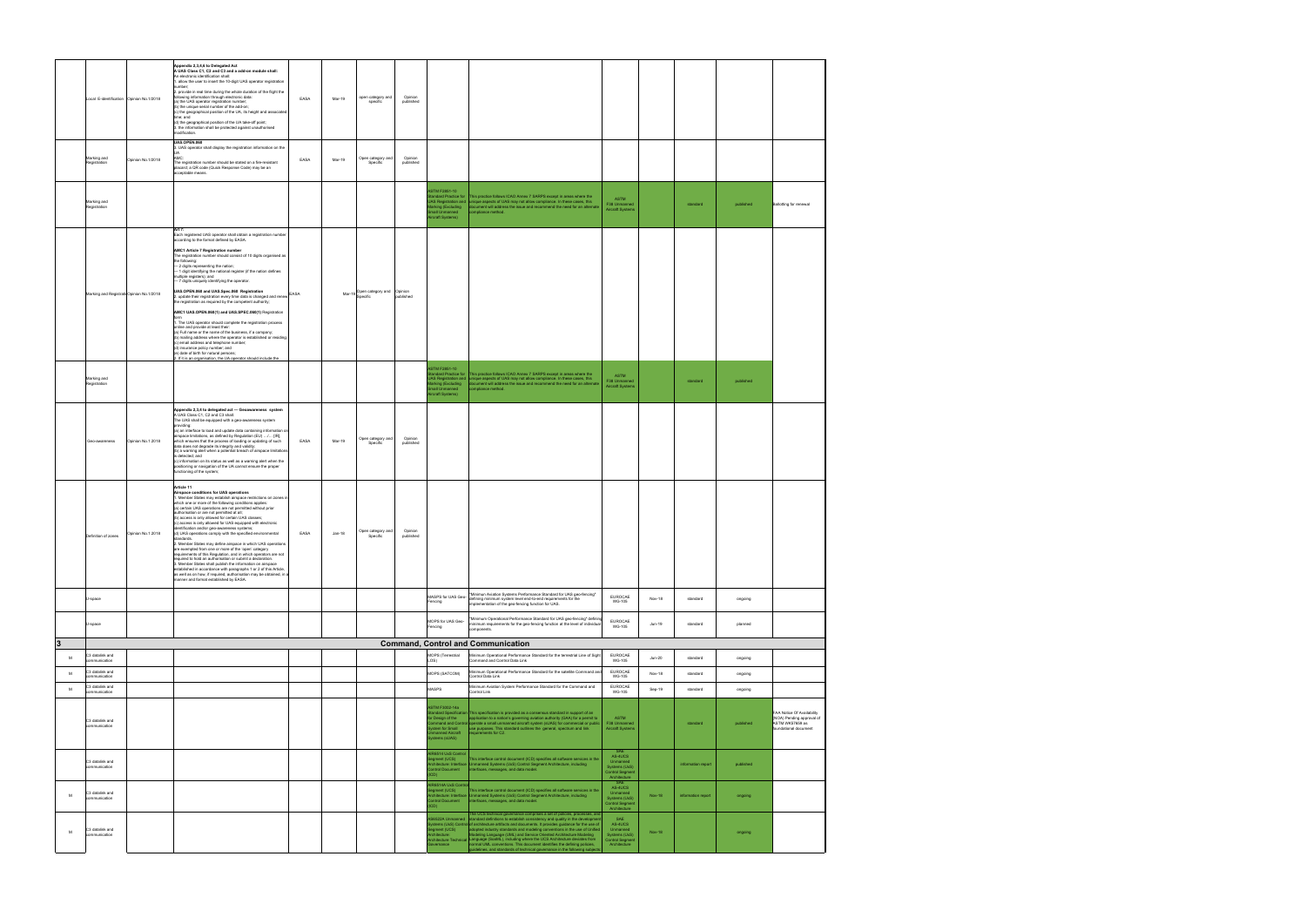|                         | Local E-identification Opinion No.1/2018            |                   | Appendix 2,3,4,6 to Delegated Act<br>A UAS Class C1, C2 and C3 and a add-on module shall:<br>An electronic identification shall:<br>. allow the user to insert the 10-digit UAS operator registration<br>number;<br>2. provide in real time during the whole duration of the flight the<br>following information through electronic data:<br>EASA<br>(a) the UAS operator registration number;<br>(b) the unique serial number of the add-on;<br>(c) the geographical position of the UA, its height and associated<br>time; and<br>(d) the geographical position of the UA take-off point;<br>3. the information shall be protected against unauthorised<br>modification.                                                                                                                                                                                                                                                                                                                                                                                                                                                             | Mar-19   | open category and<br>specific        | Opinion<br>published |                                                                                                                                       |                                                                                                                                                                                                                                                                                                                                                                                                                                                                                                                                                                                       |                                                                                       |               |                    |           |                                                                                                     |
|-------------------------|-----------------------------------------------------|-------------------|----------------------------------------------------------------------------------------------------------------------------------------------------------------------------------------------------------------------------------------------------------------------------------------------------------------------------------------------------------------------------------------------------------------------------------------------------------------------------------------------------------------------------------------------------------------------------------------------------------------------------------------------------------------------------------------------------------------------------------------------------------------------------------------------------------------------------------------------------------------------------------------------------------------------------------------------------------------------------------------------------------------------------------------------------------------------------------------------------------------------------------------|----------|--------------------------------------|----------------------|---------------------------------------------------------------------------------------------------------------------------------------|---------------------------------------------------------------------------------------------------------------------------------------------------------------------------------------------------------------------------------------------------------------------------------------------------------------------------------------------------------------------------------------------------------------------------------------------------------------------------------------------------------------------------------------------------------------------------------------|---------------------------------------------------------------------------------------|---------------|--------------------|-----------|-----------------------------------------------------------------------------------------------------|
|                         | Marking and<br>Registration                         | Opinion No.1/2018 | <b>UAS.OPEN.060</b><br>3. UAS operator shall display the registration information on the<br>AMC:<br>EASA<br>The registration number should be stated on a fire-resistant<br>placard; a QR code (Quick Response Code) may be an<br>cceptable means.                                                                                                                                                                                                                                                                                                                                                                                                                                                                                                                                                                                                                                                                                                                                                                                                                                                                                     | Mar-19   | Open category and<br>Specific        | Opinion<br>published |                                                                                                                                       |                                                                                                                                                                                                                                                                                                                                                                                                                                                                                                                                                                                       |                                                                                       |               |                    |           |                                                                                                     |
|                         | Marking and<br>Registration                         |                   |                                                                                                                                                                                                                                                                                                                                                                                                                                                                                                                                                                                                                                                                                                                                                                                                                                                                                                                                                                                                                                                                                                                                        |          |                                      |                      | <b>ASTM F2851-10</b><br>ndard Practice for<br><b>JAS Registration and</b><br>larking (Excluding<br>mall Unmanned<br>Vircraft Systems) | This practice follows ICAO Annex 7 SARPS except in areas where the<br>unique aspects of UAS may not allow compliance. In these cases, this<br>document will address the issue and recommend the need for an alternate<br>mpliance method.                                                                                                                                                                                                                                                                                                                                             | <b>ASTM</b><br>F38 Unmanned<br><b>Aircraft Systems</b>                                |               | standard           | published | <b>Ballotting for renewal</b>                                                                       |
|                         | Marking and Registrati Opinion No.1/2018            |                   | Art 7:<br>Each registered UAS operator shall obtain a registration number<br>according to the format defined by EASA.<br>AMC1 Article 7 Registration number<br>The registration number should consist of 10 digits organised as<br>the following:<br>- 2 digits representing the nation;<br>- 1 digit identifying the national register (if the nation defines<br>multiple registers); and<br>- 7 digits uniquely identifying the operator.<br>UAS.OPEN.060 and UAS.Spec.060 Registration<br><b>EASA</b><br>2. update their registration every time data is changed and renew<br>the registration as required by the competent authority;<br>AMC1 UAS.OPEN.060(1) and UAS.SPEC.060(1) Registration<br>1. The UAS operator should complete the registration process<br>online and provide at least their:<br>(a) Full name or the name of the business, if a company;<br>(b) mailing address where the operator is established or residing;<br>(c) email address and telephone number;<br>(d) insurance policy number; and<br>(e) date of birth for natural persons;<br>2. If it is an organisation, the UA operator should include the |          | Mar-19 Open category and<br>Specific | Opinion<br>published |                                                                                                                                       |                                                                                                                                                                                                                                                                                                                                                                                                                                                                                                                                                                                       |                                                                                       |               |                    |           |                                                                                                     |
|                         | Marking and<br>Registration                         |                   |                                                                                                                                                                                                                                                                                                                                                                                                                                                                                                                                                                                                                                                                                                                                                                                                                                                                                                                                                                                                                                                                                                                                        |          |                                      |                      | <b>ASTM F2851-10</b><br>andard Practice for<br>JAS Registration and<br>larking (Excluding<br>nall Unmanned<br>ircraft Systems)        | This practice follows ICAO Annex 7 SARPS except in areas where the<br>unique aspects of UAS may not allow compliance. In these cases, this<br>focument will address the issue and recommend the need for an alternate<br>mpliance method.                                                                                                                                                                                                                                                                                                                                             | <b>ASTM</b><br>F38 Unmanned<br><b>Aircraft Systems</b>                                |               | standard           | published |                                                                                                     |
|                         | Geo-awareness                                       | Opinion No.1 2018 | Appendix 2,3,4 to delegated act - Geoawareness system<br>A UAS Class C1, C2 and C3 shall:<br>The UAS shall be equipped with a geo-awareness system<br>providing:<br>(a) an interface to load and update data containing information on<br>airspace limitations, as defined by Regulation (EU) / [IR],<br>EASA<br>which ensures that the process of loading or updating of such<br>data does not degrade its integrity and validity;<br>(b) a warning alert when a potential breach of airspace limitations<br>is detected; and<br>(c) information on its status as well as a warning alert when the<br>positioning or navigation of the UA cannot ensure the proper<br>functioning of the system;                                                                                                                                                                                                                                                                                                                                                                                                                                      | Mar-19   | Open category and<br>Specific        | Opinion<br>published |                                                                                                                                       |                                                                                                                                                                                                                                                                                                                                                                                                                                                                                                                                                                                       |                                                                                       |               |                    |           |                                                                                                     |
|                         | Definition of zones                                 | Opinion No.1 2018 | Article 11<br>Airspace conditions for UAS operations<br>1. Member States may establish airspace restrictions on zones in<br>which one or more of the following conditions applies:<br>(a) certain UAS operations are not permitted without prior<br>authorisation or are not permitted at all;<br>(b) access is only allowed for certain UAS classes;<br>(c) access is only allowed for UAS equipped with electronic<br>lentification and/or geo-awareness systems;<br>(d) UAS operations comply with the specified environmental<br>EASA<br>standards.<br>2. Member States may define airspace in which UAS operations<br>are exempted from one or more of the 'open' category<br>requirements of this Requlation, and in which operators are not<br>required to hold an authorisation or submit a declaration.<br>3. Member States shall publish the information on airspace<br>established in accordance with paragraphs 1 or 2 of this Article,<br>as well as on how, if required, authorisation may be obtained, in a<br>manner and format established by EASA.                                                                   | $Jan-18$ | Open category and<br>Specific        | Opinion<br>published |                                                                                                                                       |                                                                                                                                                                                                                                                                                                                                                                                                                                                                                                                                                                                       |                                                                                       |               |                    |           |                                                                                                     |
|                         | U-space                                             |                   |                                                                                                                                                                                                                                                                                                                                                                                                                                                                                                                                                                                                                                                                                                                                                                                                                                                                                                                                                                                                                                                                                                                                        |          |                                      |                      | Fencing                                                                                                                               | "Minimun Aviation Systems Performance Standard for UAS geo-fencing"<br>MASPS for UAS Geo-<br>AMASPS for UAS Geo-<br>AMASPS for UAS Geo-<br>AMASPS for the defining minimum system level end-to-end requirements for the<br>implementation of the geo-fencing function for UAS.                                                                                                                                                                                                                                                                                                        | EUROCAE<br><b>WG-105</b>                                                              | Nov-18        | standard           | ongoing   |                                                                                                     |
|                         | U-space                                             |                   |                                                                                                                                                                                                                                                                                                                                                                                                                                                                                                                                                                                                                                                                                                                                                                                                                                                                                                                                                                                                                                                                                                                                        |          |                                      |                      | MOPS for UAS Geo-<br>Fencing                                                                                                          | "Minimum Operational Performance Standard for UAS geo-fencing" defining<br>minimum requirements for the geo-fencing function at the level of individual<br>components.                                                                                                                                                                                                                                                                                                                                                                                                                | <b>FUROCAE</b><br><b>WG-105</b>                                                       | Jun-19        | standard           | planned   |                                                                                                     |
| $\overline{\mathbf{3}}$ |                                                     |                   |                                                                                                                                                                                                                                                                                                                                                                                                                                                                                                                                                                                                                                                                                                                                                                                                                                                                                                                                                                                                                                                                                                                                        |          |                                      |                      |                                                                                                                                       | <b>Command, Control and Communication</b>                                                                                                                                                                                                                                                                                                                                                                                                                                                                                                                                             |                                                                                       |               |                    |           |                                                                                                     |
| M                       | C3 datalink and<br>ommunication                     |                   |                                                                                                                                                                                                                                                                                                                                                                                                                                                                                                                                                                                                                                                                                                                                                                                                                                                                                                                                                                                                                                                                                                                                        |          |                                      |                      | MOPS (Terrestrial<br>LOS)                                                                                                             | Minimum Operational Performance Standard for the terrestrial Line of Sight<br>Command and Control Data Link                                                                                                                                                                                                                                                                                                                                                                                                                                                                           | EUROCAE<br><b>WG-105</b>                                                              | $Jun-20$      | standard           | ongoing   |                                                                                                     |
| M                       | C3 datalink and<br>communication<br>C3 datalink and |                   |                                                                                                                                                                                                                                                                                                                                                                                                                                                                                                                                                                                                                                                                                                                                                                                                                                                                                                                                                                                                                                                                                                                                        |          |                                      |                      | MOPS (SATCOM)                                                                                                                         | Minimum Operational Performance Standard for the satellite Command and<br>Control Data Link<br>Minimum Aviation System Performance Standard for the Command and                                                                                                                                                                                                                                                                                                                                                                                                                       | EUROCAE<br><b>WG-105</b><br>EUROCAE                                                   | Nov-18        | standard           | ongoing   |                                                                                                     |
| м                       | communication                                       |                   |                                                                                                                                                                                                                                                                                                                                                                                                                                                                                                                                                                                                                                                                                                                                                                                                                                                                                                                                                                                                                                                                                                                                        |          |                                      |                      | MASPS                                                                                                                                 | Control Link                                                                                                                                                                                                                                                                                                                                                                                                                                                                                                                                                                          | WG-105                                                                                | Sep-19        | standard           | ongoing   |                                                                                                     |
|                         | C3 datalink and<br>communication                    |                   |                                                                                                                                                                                                                                                                                                                                                                                                                                                                                                                                                                                                                                                                                                                                                                                                                                                                                                                                                                                                                                                                                                                                        |          |                                      |                      | ASTM F3002-14a<br>andard Specification<br>for Design of the<br>vstem for Small<br>manned Aircraft<br>ystems (sUAS)                    | This specification is provided as a consensus standard in support of an<br>application to a nation's governing aviation authority (GAA) for a permit to<br>mmand and Control operate a small unmanned aircraft system (sUAS) for commercial or public<br>use purposes. This standard outlines the general, spectrum and link<br>requirements for C2.                                                                                                                                                                                                                                  | ASTM<br>F38 Unmanned<br><b>Aircraft Systems</b>                                       |               | standard           | published | FAA Notice Of Availability<br>(NOA) Pending approval of<br>ASTM WK57659 as<br>foundational document |
|                         | C3 datalink and<br>communication                    |                   |                                                                                                                                                                                                                                                                                                                                                                                                                                                                                                                                                                                                                                                                                                                                                                                                                                                                                                                                                                                                                                                                                                                                        |          |                                      |                      | <b>IR6514 UxS Control</b><br>Segment (UCS)<br>Control Document<br><b>ICD)</b>                                                         | This interface control document (ICD) specifies all software services in the<br>vchitecture: Interface Unmanned Systems (UxS) Control Segment Architecture, including<br>interfaces, messages, and data model.                                                                                                                                                                                                                                                                                                                                                                        | SAF<br>AS-4UCS<br>Unmanned<br>Systems (UxS)<br>Control Segment<br>Architecture        |               | information report | published |                                                                                                     |
| M                       | C3 datalink and<br>communication                    |                   |                                                                                                                                                                                                                                                                                                                                                                                                                                                                                                                                                                                                                                                                                                                                                                                                                                                                                                                                                                                                                                                                                                                                        |          |                                      |                      | <b>IR6514A UxS Contro</b><br>egment (UCS)<br>ontrol Document<br><b>ICD)</b>                                                           | This interface control document (ICD) specifies all software services in the<br>chitecture: Interface Unmanned Systems (UxS) Control Segment Architecture, including<br>interfaces, messages, and data model.<br>The UCS technical governance comprises a set of policies, processes, and                                                                                                                                                                                                                                                                                             | SAF<br>AS-4UCS<br>Unmanned<br>Systems (UxS)<br><b>Control Segment</b><br>Architecture | <b>Nov-18</b> | information report | ongoing   |                                                                                                     |
| M                       | C3 datalink and<br>communication                    |                   |                                                                                                                                                                                                                                                                                                                                                                                                                                                                                                                                                                                                                                                                                                                                                                                                                                                                                                                                                                                                                                                                                                                                        |          |                                      |                      | S6522A Unmanned<br>gment (UCS)<br>chitecture:<br>vernance                                                                             | standard definitions to establish consistency and quality in the developmen<br>stems (UxS) Control of architecture artifacts and documents. It provides guidance for the use of<br>adopted industry standards and modeling conventions in the use of Unified<br>fodeling Language (UML) and Service Oriented Architecture Modeling<br>chitecture Technical Language (SoaML), including where the UCS Architecture deviates from<br>normal UML conventions. This document identifies the defining policies,<br>uidelines, and standards of technical governance in the following subje | SAF<br>AS-4UCS<br>Unmanned<br>Systems (UxS)<br>Control Segment<br>Architecture        | <b>Nov-18</b> |                    | ongoing   |                                                                                                     |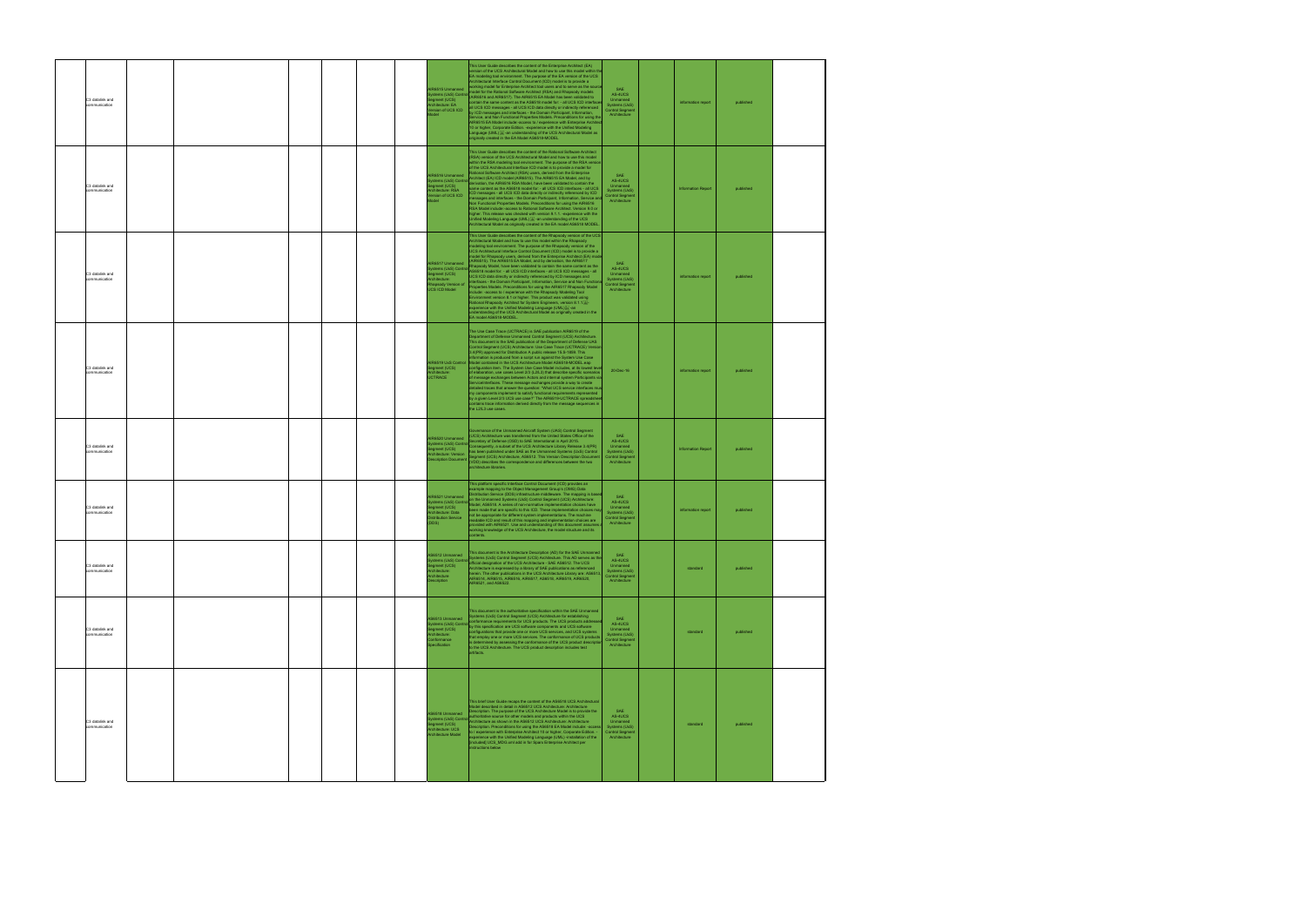| C3 datalink and<br>communication |  |  | JR6515 Unmanned<br>stems (UxS) Control<br>gment (UCS)<br>chitecture: EA<br>ersion of UCS ICD<br>Indel             | This User Guide describes the content of the Enterprise Architect (EA)<br>version of the UCS Architectural Model and how to use this model within the<br>EA modeling tool environment. The purpose of the EA version of the UCS<br>Architectural Interface Control Document (ICD) model is to provide a<br>orking model for Enterprise Architect tool users and to serve as the source<br>todel for the Rational Software Architect (RSA) and Rhapsody models<br>(AIR6516 and AIR6517). The AIR6515 EA Model has been validated to<br>ntain the same content as the AS6518 model for: - all UCS ICD interfa<br>Ill UCS ICD messages - all UCS ICD data directly or indirectly referenced<br>by ICD messages and interfaces - the Domain Participant, Information,<br>.<br>Service, and Non Functional Properties Models. Preconditions for using the<br>AIR6515 EA Model include:-access to / experience with Enterprise Arch<br>10 or higher, Corporate Edition. -experience with the Unified Modeling<br>Language (UML)  -an understanding of the UCS Architectural Model as<br>originally created in the EA Model AS6518-MODEL                                                                               | SAE<br>AS-4UCS<br>Unmanned<br>Systems (UxS)<br><b>Control Segment</b><br>Architecture        | information report        | published |  |
|----------------------------------|--|--|-------------------------------------------------------------------------------------------------------------------|-----------------------------------------------------------------------------------------------------------------------------------------------------------------------------------------------------------------------------------------------------------------------------------------------------------------------------------------------------------------------------------------------------------------------------------------------------------------------------------------------------------------------------------------------------------------------------------------------------------------------------------------------------------------------------------------------------------------------------------------------------------------------------------------------------------------------------------------------------------------------------------------------------------------------------------------------------------------------------------------------------------------------------------------------------------------------------------------------------------------------------------------------------------------------------------------------------------------|----------------------------------------------------------------------------------------------|---------------------------|-----------|--|
| C3 datalink and<br>ommunication  |  |  | <b>IR6516 Unmanned</b><br>stems (UxS) Control<br>gment (UCS)<br>chitecture: RSA<br>rsion of UCS ICD<br>odel       | This User Guide describes the content of the Rational Software Architect<br>(RSA) version of the UCS Architectural Model and how to use this model<br>within the RSA modeling tool environment. The purpose of the RSA version<br>of the UCS Architectural Interface ICD model is to provide a model for<br>tional Software Architect (RSA) users, derived from the Enterprise<br>Architect (EA) ICD model (AIR6515). The AIR6515 EA Model, and by<br>derivation, the AIR6516 RSA Model, have been validated to contain the<br>ame content as the AS6518 model for: - all UCS ICD interfaces - all UCS<br>ICD messages - all UCS ICD data directly or indirectly referenced by ICD<br>essages and interfaces - the Domain Participant, Information, Service and<br>Non Eunctional Properties Models, Preconditions for using the AIR6516<br>RSA Model include:-access to Rational Software Architect. Version 9.0 or<br>higher. This release was checked with version 9.1.1. -experience with the<br>Jnified Modeling Language (UML) $\frac{\langle V_{\rm H} \rangle}{2E}$ -an understanding of the UCS<br>Architectural Model as originally created in the EA model AS6518 MODEL.                             | SAE<br>AS-4UCS<br>Unmanned<br>Systems (UxS)<br><b>Control Segment</b><br>Architecture        | <b>Information Report</b> | published |  |
| C3 datalink and<br>communication |  |  | JR6517 Unmanned<br>stems (UxS) Contro<br>egment (UCS)<br>chitecture:<br>apsody Version of<br><b>ICS ICD Model</b> | This User Guide describes the content of the Rhapsody version of the UCS<br>Architectural Model and how to use this model within the Rhapsody<br>odeling tool environment. The purpose of the Rhapsody version of the<br>UCS Architectural Interface Control Document (ICD) model is to provide a<br>nodel for Rhapsody users, derived from the Enterprise Architect (EA) mode<br>AIR6515). The AIR6515 EA Model, and by derivation, the AIR6517<br>psody Model, have been validated to contain the same content as the<br>AS6518 model for: - all UCS ICD interfaces - all UCS ICD messages - all<br>UCS ICD data directly or indirectly referenced by ICD messages and<br>terfaces - the Domain Participant, Information, Service and Non Functio<br>Properties Models. Preconditions for using the AIR6517 Rhapsody Model<br>nclude: -access to / experience with the Rhapsody Modeling Tool<br>Environment version 8.1 or higher. This product was validated using<br>Rational Rhapsody Architect for System Engineers, version 8.1.1.<br>experience with the Unified Modeling Language (UML),,,, an<br>understanding of the UCS Architectural Model as originally created in the<br>EA model AS6518-MODEL. | SAE<br>AS-4UCS<br>Unmanned<br>Systems (UxS)<br><b>Control Segment</b><br>Architecture        | information report        | published |  |
| C3 datalink and<br>ommunication  |  |  | egment (UCS)<br>Architecture:<br>JCTRACE                                                                          | The Use Case Trace (UCTRACE) is SAE publication AIR6519 of the<br>Department of Defense Unmanned Control Segment (UCS) Architecture.<br>This document is the SAE publication of the Department of Defense UAS<br>Control Segment (UCS) Architecture: Use Case Trace (UCTRACE) Versio<br>3.4(PR) approved for Distribution A public release 15.S-1859. This<br>mation is produced from a script run against the System Use Case<br>IR6519 UxS Control Model contained in the UCS Architecture Model AS6518-MODEL.eap<br>configuration item. The System Use Case Model includes, at its lowest level<br>of elaboration, use cases Level 2/3 (L2/L3) that describe specific scenarios<br>of message exchanges between Actors and internal system Participants via<br>ServiceInterfaces. These message exchanges provide a way to create<br>detailed traces that answer the question: "What UCS service interfaces mu<br>my components implement to satisfy functional requirements represented<br>by a given Level 2/3 UCS use case?" The AIR6519-UCTRACE spreadshe<br>ontains trace information derived directly from the message sequences in<br>the L2/L3 use cases.                                            | 20-Dec-16                                                                                    | information report        | published |  |
| C3 datalink and<br>ommunication  |  |  | <b>IR6520 Unmanned</b><br>gment (UCS)<br>hitecture: Version                                                       | Governance of the Unmanned Aircraft System (UAS) Control Segment<br>UCS) Architecture was transferred from the United States Office of the<br>Secretary of Defense (OSD) to SAE International in April 2015.<br>stems (UxS) Control Consequently, a subset of the UCS Architecture Library Release 3.4 (PR)<br>as been published under SAE as the Unmanned Systems (UxS) Control<br>Segment (UCS) Architecture, AS6512. This Version Description Document<br>scription Document (VDD) describes the correspondence and differences between the two<br>architecture libraries.                                                                                                                                                                                                                                                                                                                                                                                                                                                                                                                                                                                                                                   | <b>SAF</b><br>AS-4UCS<br>Unmanned<br>Systems (UxS)<br><b>Control Segment</b><br>Architecture | <b>Information Report</b> | published |  |
| C3 datalink and<br>ommunication  |  |  | IR6521 Unmanned<br>gment (UCS)<br>chitecture: Data<br>stribution Service<br>DDS)                                  | This platform specific Interface Control Document (ICD) provides an<br>example mapping to the Object Management Group's (OMG) Data<br>Distribution Service (DDS) infrastructure middleware. The mapping is based<br>on the Unmanned Systems (UxS) Control Segment (UCS) Architecture:<br>stems (UxS) Control Model, AS6518. A series of non-normative implementation choices have<br>en made that are specific to this ICD. These implementation choices may<br>not be appropriate for different system implementations. The machine<br>adable ICD and result of this mapping and implementation choices are<br>ovided with AIR6521. Use and understanding of this document assumes<br>working knowledge of the UCS Architecture, the model structure and its<br>contents.                                                                                                                                                                                                                                                                                                                                                                                                                                      | SAF<br>AS-4UCS<br>Unmanned<br>Systems (UxS)<br><b>Control Segment</b><br>Architecture        | information report        | published |  |
| C3 datalink and<br>ommunication  |  |  | 6512 Unmanned<br>stems (UxS) Control<br>ament (UCS)<br>chitecture:<br>chitecture<br>scription                     | This document is the Architecture Description (AD) for the SAE Unmanned<br>Systems (UxS) Control Segment (UCS) Architecture. This AD serves as the<br>official designation of the UCS Architecture - SAE AS6512. The UCS<br>Architecture is expressed by a library of SAE publications as referenced<br>erein. The other publications in the UCS Architecture Library are: AS6513,<br>AIR6514, AIR6515, AIR6516, AIR6517, AS6518, AIR6519, AIR6520,<br>AIR6521, and AS6522.                                                                                                                                                                                                                                                                                                                                                                                                                                                                                                                                                                                                                                                                                                                                     | SAE<br>AS-4UCS<br>Unmanned<br>Systems (UxS)<br><b>Control Segment</b><br>Architecture        | standard                  | published |  |
| C3 datalink and<br>communication |  |  | S6513 Unmanned<br>stems (UxS) Contro<br>gment (UCS)<br>chitecture:<br>nformance<br>ecification                    | This document is the authoritative specification within the SAE Unmanned<br>ystems (UxS) Control Segment (UCS) Architecture for establishing<br>nformance requirements for UCS products. The UCS products address<br>by this specification are UCS software components and UCS software<br>onfigurations that provide one or more UCS services, and UCS systems<br>that employ one or more UCS services. The conformance of UCS products<br>is determined by assessing the conformance of the UCS product description<br>to the UCS Architecture. The UCS product description includes test<br>artifacts.                                                                                                                                                                                                                                                                                                                                                                                                                                                                                                                                                                                                       | SAE<br>AS-4UCS<br>Unmanned<br>Systems (UxS)<br><b>Control Segment</b><br>Architecture        | standard                  | published |  |
| C3 datalink and<br>communication |  |  | S6518 Unmanned<br>tems (UxS) Contro<br>gment (UCS)<br>hitecture: UCS<br>chitecture Model                          | This brief User Guide recaps the content of the AS6518 UCS Architectural<br>Aodel described in detail in AS6512 UCS Architecture: Architecture<br>Description. The purpose of the UCS Architecture Model is to provide the<br>authoritative source for other models and products within the UCS<br>Architecture as shown in the AS6512 UCS Architecture: Architecture<br>Description. Preconditions for using the AS6518 EA Model include: -access<br>- experience with Enterprise Architect 10 or higher, Corporate Edition.<br>xperience with the Unified Modeling Language (UML) -installation of the<br>included] UCS_MDG.xml add in for Sparx Enterprise Architect per<br>nstructions below                                                                                                                                                                                                                                                                                                                                                                                                                                                                                                                | SAE<br>AS-4UCS<br>Unmanned<br>Systems (UxS)<br><b>Control Segment</b><br>Architecture        | standard                  | published |  |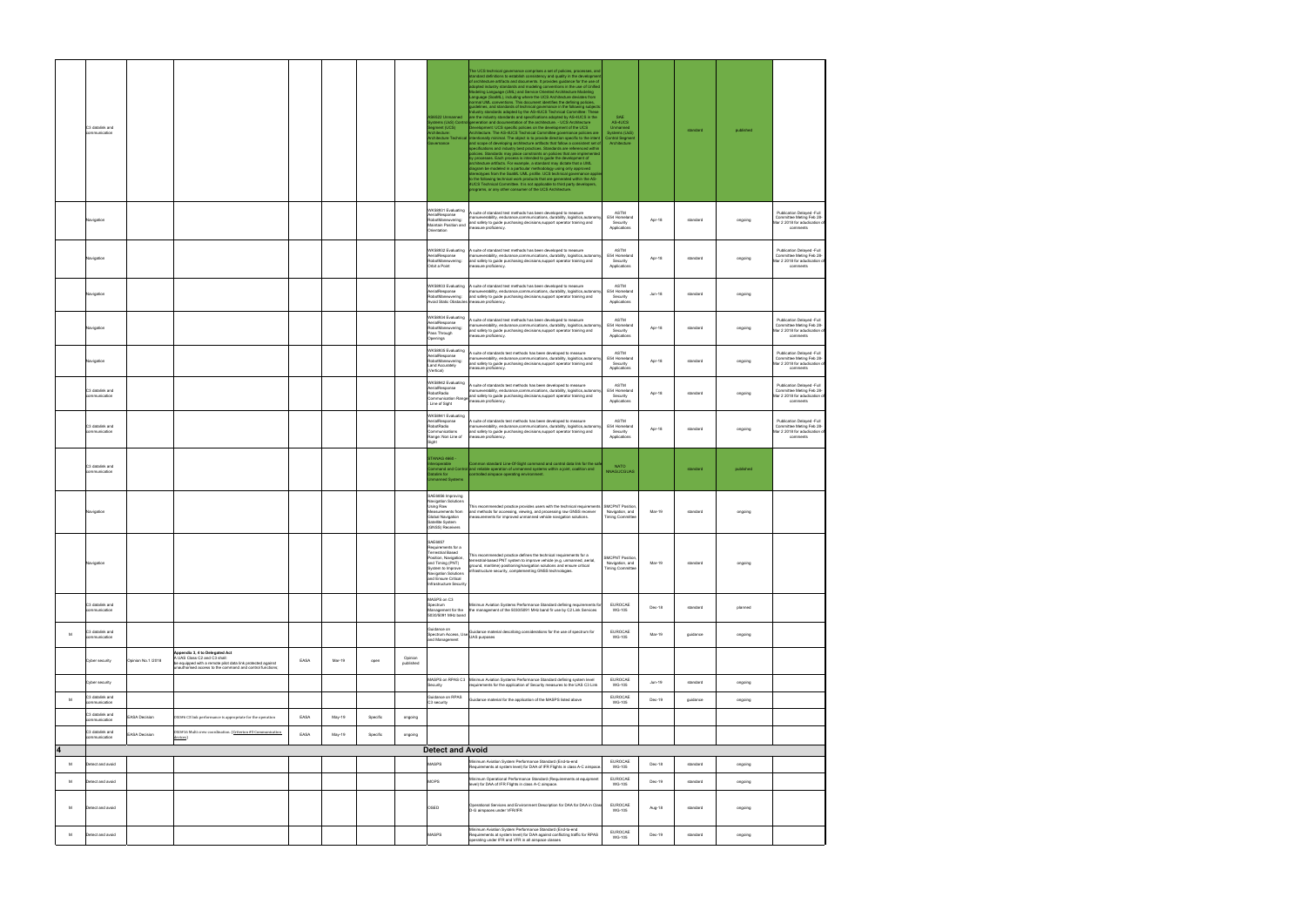|                         | C3 datalink and<br>communication |                      |                                                                                                                                                                                            |      |        |          |                      | S6522 Unmanned<br>stems (UxS) Contri<br>gment (UCS)<br>tecture:<br>hitecture Technical<br>mance                                                                                               | The UCS technical governance comprises a set of policies, processes, and<br>standard definitions to establish consistency and quality in the developmer<br>of architecture artifacts and documents. It provides guidance for the use of<br>adopted industry standards and modeling conventions in the use of Unified<br>Modeling Language (UML) and Service Oriented Architecture Modeling<br>Language (SoaML), including where the UCS Architecture deviates from<br>ormal UML conventions. This document identifies the defining policies,<br>uidelines, and standards of technical governance in the following subjects<br>ndustry standards adopted by the AS-4UCS Technical Committee: These<br>are the industry standards and specifications adopted by AS-4UCS in the<br><b>SAF</b><br>AS-4UCS<br>neration and documentation of the architecture. - UCS Architecture<br>levelopment: UCS specific policies on the development of the UCS<br>Unmanned<br>vchitecture. The AS-4UCS Technical Committee governance policies are<br>Systems (UxS)<br>intentionally minimal. The object is to provide direction specific to the intent<br><b>Control Segment</b><br>and scope of developing architecture artifacts that follow a consistent set of<br>Architecture<br>specifications and industry best practices. Standards are referenced within<br>policies. Standards may place constraints on policies that are implemente<br>by processes. Each process is intended to guide the development of<br>hitecture artifacts. For example, a standard may dictate that a UML<br>liagram be modeled in a particular methodology using only approved<br>ereotypes from the SoaML UML profile. UCS technical governance appl<br>to the following technical work products that are generated within the AS-<br>4UCS Technical Committee. It is not applicable to third party developers,<br>ograms, or any other consumer of the UCS Architecture. |        | standard | published |                                                                                                    |
|-------------------------|----------------------------------|----------------------|--------------------------------------------------------------------------------------------------------------------------------------------------------------------------------------------|------|--------|----------|----------------------|-----------------------------------------------------------------------------------------------------------------------------------------------------------------------------------------------|-------------------------------------------------------------------------------------------------------------------------------------------------------------------------------------------------------------------------------------------------------------------------------------------------------------------------------------------------------------------------------------------------------------------------------------------------------------------------------------------------------------------------------------------------------------------------------------------------------------------------------------------------------------------------------------------------------------------------------------------------------------------------------------------------------------------------------------------------------------------------------------------------------------------------------------------------------------------------------------------------------------------------------------------------------------------------------------------------------------------------------------------------------------------------------------------------------------------------------------------------------------------------------------------------------------------------------------------------------------------------------------------------------------------------------------------------------------------------------------------------------------------------------------------------------------------------------------------------------------------------------------------------------------------------------------------------------------------------------------------------------------------------------------------------------------------------------------------------------------------------------------------------------------------------------------------------|--------|----------|-----------|----------------------------------------------------------------------------------------------------|
|                         | Vavigation                       |                      |                                                                                                                                                                                            |      |        |          |                      | WK58931 Evaluating<br>AerialResponse<br>RobotManeuvering:<br>Maintain Position and<br>Orientation                                                                                             | A suite of standard test methods has been developed to measure<br>ASTM<br>manueverability, endurance,communications, durability, logisitics,autonomy<br>E54 Homeland<br>and safety to guide purchasing decisions, support operator training and<br>Security<br>measure proficiency.<br>Applications                                                                                                                                                                                                                                                                                                                                                                                                                                                                                                                                                                                                                                                                                                                                                                                                                                                                                                                                                                                                                                                                                                                                                                                                                                                                                                                                                                                                                                                                                                                                                                                                                                             | Apr-18 | standard | ongoing   | Publication Delayed -Full<br>Committee Meting Feb 28-<br>Mar 2 2018 for adudication of<br>comments |
|                         | Navigation                       |                      |                                                                                                                                                                                            |      |        |          |                      | WK58932 Evaluating<br>AerialResponse<br>RobotManeuvering:<br>Orbit a Point                                                                                                                    | ASTM<br>A suite of standard test methods has been developed to measure<br>nanueverability, endurance,communications, durability, logisitics,autonon<br>E54 Homeland<br>and safety to guide purchasing decisions, support operator training and<br>Security<br>neasure proficiency.<br>Applications                                                                                                                                                                                                                                                                                                                                                                                                                                                                                                                                                                                                                                                                                                                                                                                                                                                                                                                                                                                                                                                                                                                                                                                                                                                                                                                                                                                                                                                                                                                                                                                                                                              | Apr-18 | standard | ongoing   | Publication Delayed -Full<br>Committee Meting Feb 28-<br>Mar 2 2018 for adudication of<br>comments |
|                         | Navigation                       |                      |                                                                                                                                                                                            |      |        |          |                      | WK58933 Evaluating<br>AerialResponse<br>RobotManeuvering:<br><b>Avoid Static Obstacles</b>                                                                                                    | A suite of standard test methods has been developed to measure<br>ASTM<br>manueverability, endurance,communications, durability, logisitics,autonomy<br>E54 Homeland<br>and safety to guide purchasing decisions, support operator training and<br>Security<br>measure proficiency.<br>Applications                                                                                                                                                                                                                                                                                                                                                                                                                                                                                                                                                                                                                                                                                                                                                                                                                                                                                                                                                                                                                                                                                                                                                                                                                                                                                                                                                                                                                                                                                                                                                                                                                                             | Jun-18 | standard | ongoing   |                                                                                                    |
|                         | Navigation                       |                      |                                                                                                                                                                                            |      |        |          |                      | WK58934 Evaluating<br>AerialResponse<br>RobotManeuvering:<br>Pass Through<br>Openings                                                                                                         | A suite of standard test methods has been developed to measure<br>ASTM<br>nanueverability, endurance,communications, durability, logisitics,autonom<br>E54 Homeland<br>and safety to guide purchasing decisions, support operator training and<br>Security<br>neasure proficiency.<br>Applications                                                                                                                                                                                                                                                                                                                                                                                                                                                                                                                                                                                                                                                                                                                                                                                                                                                                                                                                                                                                                                                                                                                                                                                                                                                                                                                                                                                                                                                                                                                                                                                                                                              | Apr-18 | standard | ongoing   | Publication Delayed -Full<br>Committee Meting Feb 28-<br>Mar 2 2018 for adudication of<br>comments |
|                         | Navigation                       |                      |                                                                                                                                                                                            |      |        |          |                      | WK58935 Evaluating<br>AerialResponse<br>RobotManeuvering:<br>Land Accurately<br>(Vertical)                                                                                                    | suite of standards test methods has been developed to measure<br>ASTM<br>nanueverability, endurance,communications, durability, logisitics,autonom<br>E54 Homeland<br>and safety to guide purchasing decisions, support operator training and<br>Security<br>neasure proficiency.<br>Applications                                                                                                                                                                                                                                                                                                                                                                                                                                                                                                                                                                                                                                                                                                                                                                                                                                                                                                                                                                                                                                                                                                                                                                                                                                                                                                                                                                                                                                                                                                                                                                                                                                               | Apr-18 | standard | ongoing   | Publication Delayed -Full<br>Committee Meting Feb 28-<br>Mar 2 2018 for adudication of<br>comments |
|                         | C3 datalink and<br>communication |                      |                                                                                                                                                                                            |      |        |          |                      | WK58942 Evaluating<br>AerialResponse<br>RobotRadio<br>Communication Range<br>: Line of Sight                                                                                                  | ASTM<br>A suite of standards test methods has been developed to measure<br>manueverability, endurance,communications, durability, logisitics,autonom<br>E54 Homeland<br>and safety to guide purchasing decisions, support operator training and<br>Security<br>neasure proficiency.<br>Applications                                                                                                                                                                                                                                                                                                                                                                                                                                                                                                                                                                                                                                                                                                                                                                                                                                                                                                                                                                                                                                                                                                                                                                                                                                                                                                                                                                                                                                                                                                                                                                                                                                             | Apr-18 | standard | ongoing   | Publication Delayed -Full<br>Committee Meting Feb 28-<br>Mar 2 2018 for adudication of<br>comments |
|                         | C3 datalink and<br>communication |                      |                                                                                                                                                                                            |      |        |          |                      | WK58941 Evaluating<br>AerialResponse<br>RobotRadio<br>Communications<br>Range: Non Line of<br>Sight                                                                                           | A suite of standards test methods has been developed to measure<br>ASTM<br>E54 Homeland<br>manueverability, endurance,communications, durability, logisitics,autonom<br>and safety to guide purchasing decisions, support operator training and<br>Security<br>measure proficiency.<br>Applications                                                                                                                                                                                                                                                                                                                                                                                                                                                                                                                                                                                                                                                                                                                                                                                                                                                                                                                                                                                                                                                                                                                                                                                                                                                                                                                                                                                                                                                                                                                                                                                                                                             | Apr-18 | standard | ongoing   | Publication Delayed -Full<br>Committee Meting Feb 28-<br>Mar 2 2018 for adudication of<br>comments |
|                         | C3 datalink and<br>communication |                      |                                                                                                                                                                                            |      |        |          |                      | STANAG 4660 -<br>eroperable<br>atalink for<br>manned Systems                                                                                                                                  | Common standard Line-Of-Sight command and control data link for the saf<br><b>NATO</b><br>mmand and Control and reliable operation of unmanned systems within a joint, coalition and<br>NNAG/JCGUAS<br>controlled airspace operating environment.                                                                                                                                                                                                                                                                                                                                                                                                                                                                                                                                                                                                                                                                                                                                                                                                                                                                                                                                                                                                                                                                                                                                                                                                                                                                                                                                                                                                                                                                                                                                                                                                                                                                                               |        | standard | published |                                                                                                    |
|                         | Navigation                       |                      |                                                                                                                                                                                            |      |        |          |                      | SAE6856 Improving<br>Navigation Solutions<br>Using Raw<br>Measurements from<br>Global Navigation<br>Satellite System<br>(GNSS) Receivers                                                      | <b>SMCPNT Position</b><br>This recommended practice provides users with the technical requirements<br>and methods for accessing, viewing, and processing raw GNSS receiver<br>Navigation, and<br>measurements for improved unmanned vehicle navigation solutions.<br><b>Timing Committee</b>                                                                                                                                                                                                                                                                                                                                                                                                                                                                                                                                                                                                                                                                                                                                                                                                                                                                                                                                                                                                                                                                                                                                                                                                                                                                                                                                                                                                                                                                                                                                                                                                                                                    | Mar-19 | standard | ongoing   |                                                                                                    |
|                         | Navigation                       |                      |                                                                                                                                                                                            |      |        |          |                      | SAE6857<br>Requirements for a<br>errestrial Based<br>Position, Navigation.<br>and Timing (PNT)<br>System to Improve<br>Navigation Solutions<br>and Ensure Critical<br>Infrastructure Security | This recommended practice defines the technical requirements for a<br><b>SMCPNT Position</b><br>terrestrial-based PNT system to improve vehicle (e.g. unmanned, aerial,<br>Navigation, and<br>ground, maritime) positioning/navigation solutions and ensure critical<br><b>Timing Committee</b><br>infrastructure security, complementing GNSS technologies.                                                                                                                                                                                                                                                                                                                                                                                                                                                                                                                                                                                                                                                                                                                                                                                                                                                                                                                                                                                                                                                                                                                                                                                                                                                                                                                                                                                                                                                                                                                                                                                    | Mar-19 | standard | ongoing   |                                                                                                    |
|                         | C3 datalink and<br>communication |                      |                                                                                                                                                                                            |      |        |          |                      | MASPS on C3<br>Spectrum<br>Management for the<br>5030/5091 MHz band                                                                                                                           | Ainimun Aviation Systems Performance Standard defining requirements for<br>EUROCAE<br>the management of the 5030/5091 MHz band fir use by C2 Link Services<br><b>WG-105</b>                                                                                                                                                                                                                                                                                                                                                                                                                                                                                                                                                                                                                                                                                                                                                                                                                                                                                                                                                                                                                                                                                                                                                                                                                                                                                                                                                                                                                                                                                                                                                                                                                                                                                                                                                                     | Dec-18 | standard | planned   |                                                                                                    |
| M                       | C3 datalink and<br>ommunication  |                      |                                                                                                                                                                                            |      |        |          |                      | Guidance on<br>Spectrum Access, Use Sunuance<br>Spectrum Access, Use UAS purposes<br>and Management                                                                                           | <b>EUROCAE</b><br>Guidance material describing considerations for the use of spectrum for<br>WG-105                                                                                                                                                                                                                                                                                                                                                                                                                                                                                                                                                                                                                                                                                                                                                                                                                                                                                                                                                                                                                                                                                                                                                                                                                                                                                                                                                                                                                                                                                                                                                                                                                                                                                                                                                                                                                                             | Mar-19 | guidance | ongoing   |                                                                                                    |
|                         | Cyber security                   | Opinion No.1 /2018   | Appendix 3, 4 to Delegated Act<br>A UAS Class C2 and C3 shall:<br>be equipped with a remote pilot data link protected against<br>unauthorised access to the command and control functions; | EASA | Mar-19 | open     | Opinion<br>published |                                                                                                                                                                                               |                                                                                                                                                                                                                                                                                                                                                                                                                                                                                                                                                                                                                                                                                                                                                                                                                                                                                                                                                                                                                                                                                                                                                                                                                                                                                                                                                                                                                                                                                                                                                                                                                                                                                                                                                                                                                                                                                                                                                 |        |          |           |                                                                                                    |
|                         | Cyber security                   |                      |                                                                                                                                                                                            |      |        |          |                      | Security                                                                                                                                                                                      | MASPS on RPAS C3 Minimun Aviation Systems Performance Standard defining system level<br><b>EUROCAE</b><br>requirements for the application of Security measures to the UAS C3 Link<br>WG-105                                                                                                                                                                                                                                                                                                                                                                                                                                                                                                                                                                                                                                                                                                                                                                                                                                                                                                                                                                                                                                                                                                                                                                                                                                                                                                                                                                                                                                                                                                                                                                                                                                                                                                                                                    | Jun-19 | standard | ongoing   |                                                                                                    |
| M                       | C3 datalink and<br>ommunication  |                      |                                                                                                                                                                                            |      |        |          |                      | Guidance on RPAS<br>C3 security                                                                                                                                                               | EUROCAE<br>Guidance material for the application of the MASPS listed above<br><b>WG-105</b>                                                                                                                                                                                                                                                                                                                                                                                                                                                                                                                                                                                                                                                                                                                                                                                                                                                                                                                                                                                                                                                                                                                                                                                                                                                                                                                                                                                                                                                                                                                                                                                                                                                                                                                                                                                                                                                     | Dec-19 | guidance | ongoing   |                                                                                                    |
|                         | C3 datalink and<br>ommunication  | <b>EASA Decision</b> | OSO#6 C3 link performance is appropriate for the operation                                                                                                                                 | EASA | May-19 | Specific | ongoing              |                                                                                                                                                                                               |                                                                                                                                                                                                                                                                                                                                                                                                                                                                                                                                                                                                                                                                                                                                                                                                                                                                                                                                                                                                                                                                                                                                                                                                                                                                                                                                                                                                                                                                                                                                                                                                                                                                                                                                                                                                                                                                                                                                                 |        |          |           |                                                                                                    |
|                         | C3 datalink and<br>communication | ASA Decision         | 0S0#16 Multi crew coordination. (Criterion #3 Communication<br>devices)                                                                                                                    | EASA | May-19 | Specific | ongoing              |                                                                                                                                                                                               |                                                                                                                                                                                                                                                                                                                                                                                                                                                                                                                                                                                                                                                                                                                                                                                                                                                                                                                                                                                                                                                                                                                                                                                                                                                                                                                                                                                                                                                                                                                                                                                                                                                                                                                                                                                                                                                                                                                                                 |        |          |           |                                                                                                    |
| $\overline{\mathbf{4}}$ |                                  |                      |                                                                                                                                                                                            |      |        |          |                      | <b>Detect and Avoid</b>                                                                                                                                                                       |                                                                                                                                                                                                                                                                                                                                                                                                                                                                                                                                                                                                                                                                                                                                                                                                                                                                                                                                                                                                                                                                                                                                                                                                                                                                                                                                                                                                                                                                                                                                                                                                                                                                                                                                                                                                                                                                                                                                                 |        |          |           |                                                                                                    |
| м                       | Detect and avoid                 |                      |                                                                                                                                                                                            |      |        |          |                      | MASPS                                                                                                                                                                                         | EUROCAE<br>Minimum Aviation System Performance Standard (End-to-end<br>Requirements at system level) for DAA of IFR Flights in class A-C airspace<br>WG-105                                                                                                                                                                                                                                                                                                                                                                                                                                                                                                                                                                                                                                                                                                                                                                                                                                                                                                                                                                                                                                                                                                                                                                                                                                                                                                                                                                                                                                                                                                                                                                                                                                                                                                                                                                                     | Dec-18 | standard | ongoing   |                                                                                                    |
| M                       | Detect and avoid                 |                      |                                                                                                                                                                                            |      |        |          |                      | <b>MOPS</b>                                                                                                                                                                                   | EUROCAE<br>Minimum Operational Performance Standard (Requirements at equipment<br>level) for DAA of IFR Flights in class A-C airspace.<br><b>WG-105</b>                                                                                                                                                                                                                                                                                                                                                                                                                                                                                                                                                                                                                                                                                                                                                                                                                                                                                                                                                                                                                                                                                                                                                                                                                                                                                                                                                                                                                                                                                                                                                                                                                                                                                                                                                                                         | Dec-19 | standard | ongoing   |                                                                                                    |
| M                       | Detect and avoid                 |                      |                                                                                                                                                                                            |      |        |          |                      | OSED                                                                                                                                                                                          | <b>EUROCAE</b><br>Operational Services and Environment Description for DAA for DAA in Class<br>D-G airspaces under VFR/IFR<br><b>WG-105</b>                                                                                                                                                                                                                                                                                                                                                                                                                                                                                                                                                                                                                                                                                                                                                                                                                                                                                                                                                                                                                                                                                                                                                                                                                                                                                                                                                                                                                                                                                                                                                                                                                                                                                                                                                                                                     | Aug-18 | standard | ongoing   |                                                                                                    |
| м                       | Detect and avoid                 |                      |                                                                                                                                                                                            |      |        |          |                      | MASPS                                                                                                                                                                                         | Minimum Aviation System Performance Standard (End-to-end<br>EUROCAE<br>Requirements at system level) for DAA against conflicting traffic for RPAS<br>WG-105<br>operating under IFR and VFR in all airspace classes                                                                                                                                                                                                                                                                                                                                                                                                                                                                                                                                                                                                                                                                                                                                                                                                                                                                                                                                                                                                                                                                                                                                                                                                                                                                                                                                                                                                                                                                                                                                                                                                                                                                                                                              | Dec-19 | standard | ongoing   |                                                                                                    |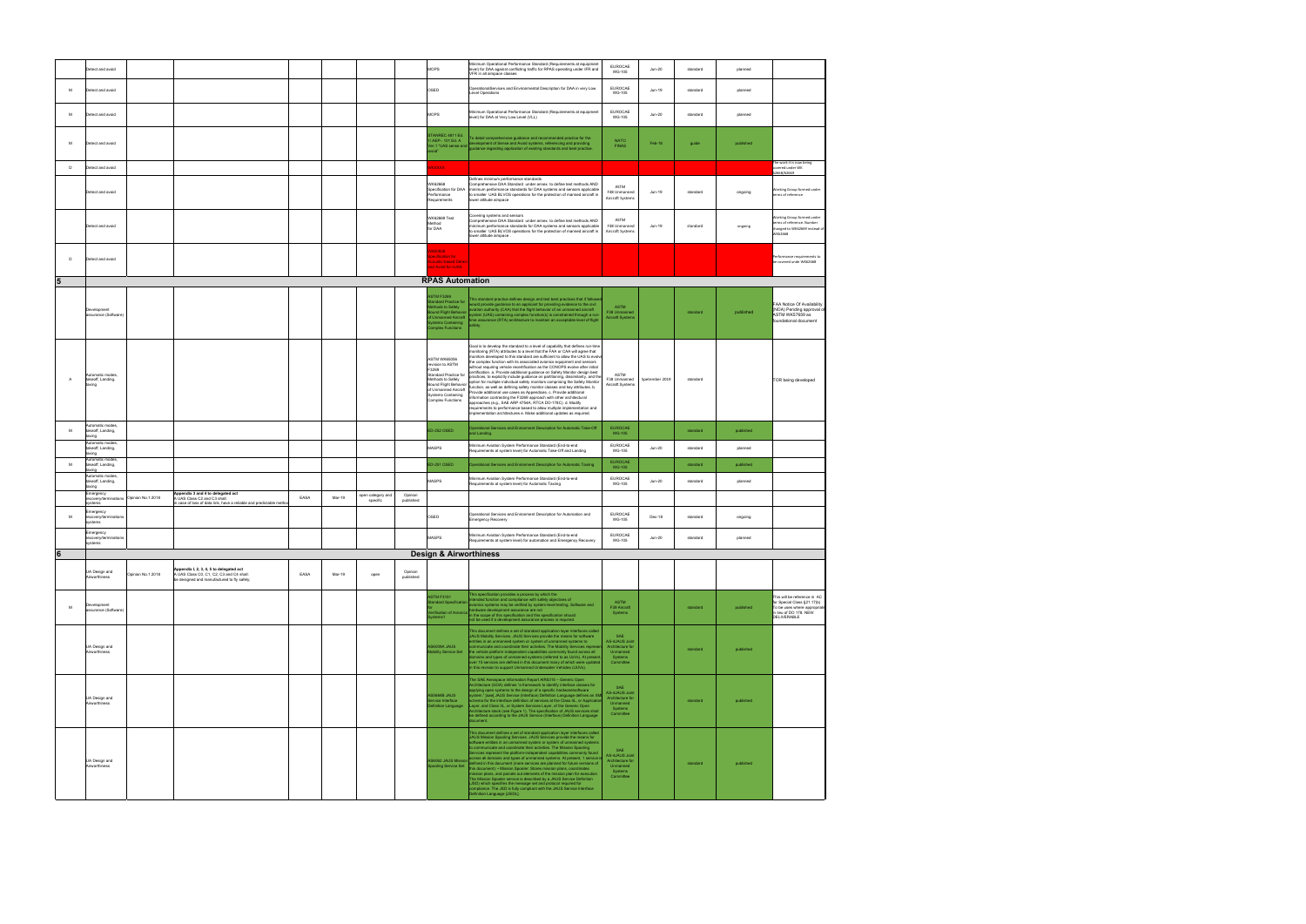|                 |              | Detect and avoid                                       |                   |                                                                                                                                       |      |        |                               |                      | MOPS                                                                                                                                                                                                     | Minimum Operational Performance Standard (Requirements at equipment<br>level) for DAA against conflicting traffic for RPAS operating under IFR and<br>VFR in all airspace classes                                                                                                                                                                                                                                                                                                                                                                                                                                                                                                                                                                                                                                                                                                                                                                                                                                                                                                                    | <b>EUROCAE</b><br><b>WG-105</b>                                                       | $Jun-20$       | standard | planned   |                                                                                                                                     |
|-----------------|--------------|--------------------------------------------------------|-------------------|---------------------------------------------------------------------------------------------------------------------------------------|------|--------|-------------------------------|----------------------|----------------------------------------------------------------------------------------------------------------------------------------------------------------------------------------------------------|------------------------------------------------------------------------------------------------------------------------------------------------------------------------------------------------------------------------------------------------------------------------------------------------------------------------------------------------------------------------------------------------------------------------------------------------------------------------------------------------------------------------------------------------------------------------------------------------------------------------------------------------------------------------------------------------------------------------------------------------------------------------------------------------------------------------------------------------------------------------------------------------------------------------------------------------------------------------------------------------------------------------------------------------------------------------------------------------------|---------------------------------------------------------------------------------------|----------------|----------|-----------|-------------------------------------------------------------------------------------------------------------------------------------|
|                 | M            | Detect and avoid                                       |                   |                                                                                                                                       |      |        |                               |                      | OSED                                                                                                                                                                                                     | OperationalServices and Environmental Description for DAA in very Low<br>Level Operations                                                                                                                                                                                                                                                                                                                                                                                                                                                                                                                                                                                                                                                                                                                                                                                                                                                                                                                                                                                                            | <b>EUROCAE</b><br><b>WG-105</b>                                                       | Jun-19         | standard | planned   |                                                                                                                                     |
|                 | M            | Detect and avoid                                       |                   |                                                                                                                                       |      |        |                               |                      | <b>MOPS</b>                                                                                                                                                                                              | Minimum Operational Performance Standard (Requirements at equipment<br>level) for DAA at Very Low Level (VLL)                                                                                                                                                                                                                                                                                                                                                                                                                                                                                                                                                                                                                                                                                                                                                                                                                                                                                                                                                                                        | <b>EUROCAE</b><br><b>WG-105</b>                                                       | $Jun-20$       | standard | planned   |                                                                                                                                     |
|                 | M            | Detect and avoid                                       |                   |                                                                                                                                       |      |        |                               |                      | <b>STANREC 4811 Ed.</b><br>/ AEP-. 101 Ed. A<br>oid"                                                                                                                                                     | To detail comprehensive guidance and recommended practice for the<br>/ AEP-. 101 Ed. A<br>of the discovering and providing<br>systems, referencing and providing<br>systems referencing and providing<br>systems referencing and providing<br>your the systems of existing standards and best practice.                                                                                                                                                                                                                                                                                                                                                                                                                                                                                                                                                                                                                                                                                                                                                                                              | <b>NATO</b><br><b>FINAS</b>                                                           | Feb-18         | quide    | published |                                                                                                                                     |
|                 | D            | Detect and avoid                                       |                   |                                                                                                                                       |      |        |                               |                      | <b>IKXXXX</b>                                                                                                                                                                                            |                                                                                                                                                                                                                                                                                                                                                                                                                                                                                                                                                                                                                                                                                                                                                                                                                                                                                                                                                                                                                                                                                                      |                                                                                       |                |          |           | The work it is now being<br>overed under WK                                                                                         |
|                 |              | Detect and avoid                                       |                   |                                                                                                                                       |      |        |                               |                      | WK62668<br>Specification for DAA<br>Performance<br>Requirements                                                                                                                                          | Defines minimum performance standards<br>Comprehensive DAA Standard under annex to define test methods AND<br>minimum performance standards for DAA systems and sensors applicable<br>to smaller UAS BLVOS operations for the protection of manned aircraft in<br>ower altitude airspace                                                                                                                                                                                                                                                                                                                                                                                                                                                                                                                                                                                                                                                                                                                                                                                                             | <b>ASTM</b><br>F38 Unmanned<br>Aircraft Systems                                       | Jun-19         | standard | ongoing   | 62668/62669<br>Working Group formed under<br>terms of reference                                                                     |
|                 |              | Detect and avoid                                       |                   |                                                                                                                                       |      |        |                               |                      | WK62669 Test<br>Method<br>for DAA                                                                                                                                                                        | Covering systems and sensors<br>Comprehensive DAA Standard under annex to define test methods AND<br>minimum performance standards for DAA systems and sensors applicable<br>to smaller UAS BLVOS operations for the protection of manned aircraft in<br>wer altitude airspace                                                                                                                                                                                                                                                                                                                                                                                                                                                                                                                                                                                                                                                                                                                                                                                                                       | ASTM<br>F38 Unmanned<br>Aircraft Systems                                              | Jun-19         | standard | ongoing   | <b>Norking Group formed under</b><br>terms of reference. Number<br>changed to WK62669 instead of<br>VK62668                         |
|                 | $\mathsf{D}$ | Detect and avoid                                       |                   |                                                                                                                                       |      |        |                               |                      | K60936<br>ecification for<br>oustic-based Detect<br>nd Avoid for sUAS                                                                                                                                    |                                                                                                                                                                                                                                                                                                                                                                                                                                                                                                                                                                                                                                                                                                                                                                                                                                                                                                                                                                                                                                                                                                      |                                                                                       |                |          |           | Performance requirements to<br>be covered unde WK62668                                                                              |
| $5\phantom{.0}$ |              |                                                        |                   |                                                                                                                                       |      |        |                               |                      | <b>RPAS Automation</b>                                                                                                                                                                                   |                                                                                                                                                                                                                                                                                                                                                                                                                                                                                                                                                                                                                                                                                                                                                                                                                                                                                                                                                                                                                                                                                                      |                                                                                       |                |          |           |                                                                                                                                     |
|                 |              | Development<br>assurance (Software                     |                   |                                                                                                                                       |      |        |                               |                      | <b>ASTM F3269</b><br>andard Practice for<br>thods to Safely<br>und Flight Behavior<br><b>Unmanned Aircraft</b><br>vstems Containing<br>molex Eunctions                                                   | This standard practice defines design and test best practices that if followe<br>would provide guidance to an applicant for providing evidence to the civil<br>wiation authority (CAA) that the flight behavior of an unmanned aircraft<br>ystem (UAS) containing complex function(s) is constrained through a run-<br>me assurance (RTA) architecture to maintain an acceptable level of flight<br>afety.                                                                                                                                                                                                                                                                                                                                                                                                                                                                                                                                                                                                                                                                                           | <b>ASTM</b><br>F38 Unmanned<br>Aircraft Systems                                       |                | standard | published | FAA Notice Of Availability<br>(NOA) Pending approval of<br>ASTM WK57659 as<br>foundational document                                 |
|                 | A            | Automatic modes,<br>takeoff, Landing,<br>taxing        |                   |                                                                                                                                       |      |        |                               |                      | <b>ASTM WK65056</b><br>revision to ASTM<br>F3269<br>Standard Practice for<br>Methods to Safely<br><b>Bound Flight Behavior</b><br>of Unmanned Aircraft<br><b>Systems Containing</b><br>Complex Functions | Goal is to develop the standard to a level of capability that defines run-time<br>monitoring (RTA) attributes to a level that the FAA or CAA will agree that<br>nonitors developed to this standard are sufficient to allow the UAS to evolve<br>the complex function with its associated avionics equipment and sensors<br>without requiring vehicle recertification as the CONOPS evolve after initial<br>certification. a. Provide additional guidance on Safety Monitor design best<br>practices, to explicitly include quidance on partitioning, dissimilarity, and the<br>option for multiple individual safety monitors comprising the Safety Monitor<br>unction, as well as defining safety monitor classes and key attributes. b.<br>Provide additional use cases as Appendices. c. Provide additional<br>nformation contrasting the F3269 approach with other architectural<br>approaches (e.g., SAE ARP 4754A, RTCA DO-178C). d. Modify<br>requirements to performance based to allow multiple implementation and<br>implementation architectures e. Make additional updates as required. | ASTM<br>F38 Unmanned<br>Aircraft Systems                                              | Spetember 2019 | standard |           | TOR being developed                                                                                                                 |
|                 | M            | Automatic modes.<br>takeoff, Landing,<br>taxing        |                   |                                                                                                                                       |      |        |                               |                      | ED-252 OSED                                                                                                                                                                                              | Operational Services and Enironment Description for Automatic Take-Off<br>and Landing                                                                                                                                                                                                                                                                                                                                                                                                                                                                                                                                                                                                                                                                                                                                                                                                                                                                                                                                                                                                                | <b>EUROCAE</b><br><b>WG-105</b>                                                       |                | standard | published |                                                                                                                                     |
|                 |              | Automatic modes.<br>takeoff, Landing,                  |                   |                                                                                                                                       |      |        |                               |                      | MASPS                                                                                                                                                                                                    | Minimum Aviation System Performance Standard (End-to-end<br>Requirements at system level) for Automatic Take-Off and Landing                                                                                                                                                                                                                                                                                                                                                                                                                                                                                                                                                                                                                                                                                                                                                                                                                                                                                                                                                                         | EUROCAE<br><b>WG-105</b>                                                              | $Jun-20$       | standard | planned   |                                                                                                                                     |
|                 | M            | taxing<br>Automatic modes,<br>takeoff, Landing,        |                   |                                                                                                                                       |      |        |                               |                      | D-251 OSED                                                                                                                                                                                               | Operational Services and Enironment Description for Automatic Taxiing                                                                                                                                                                                                                                                                                                                                                                                                                                                                                                                                                                                                                                                                                                                                                                                                                                                                                                                                                                                                                                | <b>EUROCAE</b><br><b>WG-105</b>                                                       |                | standard | published |                                                                                                                                     |
|                 |              | pnixa<br>Automatic modes<br>takeoff, Landing,          |                   |                                                                                                                                       |      |        |                               |                      | MASPS                                                                                                                                                                                                    | Minimum Aviation System Performance Standard (End-to-end                                                                                                                                                                                                                                                                                                                                                                                                                                                                                                                                                                                                                                                                                                                                                                                                                                                                                                                                                                                                                                             | EUROCAE                                                                               | $Jun-20$       | standard | planned   |                                                                                                                                     |
|                 |              | taxing<br>Emergency<br>recovery/terminations<br>/stems | Opinion No.1 2018 | Appendix 3 and 4 to delegated act<br>A UAS Class C2 and C3 shall:<br>case of loss of data link, have a reliable and predictable metho | EASA | Mar-19 | open category and<br>specific | Opinion<br>published |                                                                                                                                                                                                          | Requirements at system level) for Automatic Taxiing                                                                                                                                                                                                                                                                                                                                                                                                                                                                                                                                                                                                                                                                                                                                                                                                                                                                                                                                                                                                                                                  | WG-105                                                                                |                |          |           |                                                                                                                                     |
|                 | M            | Emergency<br>recovery/terminations<br>systems          |                   |                                                                                                                                       |      |        |                               |                      | OSED                                                                                                                                                                                                     | Operational Services and Enironment Description for Automation and<br>Emergency Recovery                                                                                                                                                                                                                                                                                                                                                                                                                                                                                                                                                                                                                                                                                                                                                                                                                                                                                                                                                                                                             | <b>EUROCAE</b><br><b>WG-105</b>                                                       | Dec-18         | standard | ongoing   |                                                                                                                                     |
|                 |              | Emergency<br>recovery/terminations<br>systems          |                   |                                                                                                                                       |      |        |                               |                      | MASPS                                                                                                                                                                                                    | Minimum Aviation System Performance Standard (End-to-end<br>Requirements at system level) for automation and Emergency Recovery                                                                                                                                                                                                                                                                                                                                                                                                                                                                                                                                                                                                                                                                                                                                                                                                                                                                                                                                                                      | <b>EUROCAF</b><br>WG-105                                                              | $Jun-20$       | standard | planned   |                                                                                                                                     |
| 6 <sup>1</sup>  |              |                                                        |                   |                                                                                                                                       |      |        |                               |                      | <b>Design &amp; Airworthiness</b>                                                                                                                                                                        |                                                                                                                                                                                                                                                                                                                                                                                                                                                                                                                                                                                                                                                                                                                                                                                                                                                                                                                                                                                                                                                                                                      |                                                                                       |                |          |           |                                                                                                                                     |
|                 |              | UA Design and<br>Airworthiness                         | Dpinion No.1 2018 | Appendix I, 2, 3, 4, 5 to delegated act<br>A UAS Class C0, C1, C2, C3 and C4 shall:<br>be designed and manufactured to fly safely;    | EASA | Mar-19 | open                          | Opinion<br>published |                                                                                                                                                                                                          |                                                                                                                                                                                                                                                                                                                                                                                                                                                                                                                                                                                                                                                                                                                                                                                                                                                                                                                                                                                                                                                                                                      |                                                                                       |                |          |           |                                                                                                                                     |
|                 | M            | Development<br>assurance (Software)                    |                   |                                                                                                                                       |      |        |                               |                      | <b>ASTM F3151</b><br>tandard Specification<br>erification of Avionics<br>vstems1                                                                                                                         | This specification provides a process by which the<br>ended function and compliance with safety objectives of<br>ionics systems may be verified by system-level testing. Software and<br>rdware development assurance are not<br>in the scope of this specification and this specification should<br>not be used if a development assurance process is required.                                                                                                                                                                                                                                                                                                                                                                                                                                                                                                                                                                                                                                                                                                                                     | <b>ASTM</b><br>F39 Aircraft<br>Systems                                                |                | standard | published | This will be reference in AC<br>for Special Class §21.17(b)<br>To be uses where appropriat<br>in lieu of DO 178. NEW<br>DELIVERABLE |
|                 |              | UA Design and<br>Airworthiness                         |                   |                                                                                                                                       |      |        |                               |                      | <b>AS6009A JAUS</b><br><b>Mobility Service Set</b>                                                                                                                                                       | This document defines a set of standard application layer interfaces called<br>JAUS Mobility Services. JAUS Services provide the means for software<br>entities in an unmanned system or system of unmanned systems to<br>ommunicate and coordinate their activities. The Mobility Services represe<br>the vehicle platform-independent capabilities commonly found across all<br>lomains and types of unmanned systems (referred to as UxVs). At present<br>over 15 services are defined in this document many of which were updated<br>in this revision to support Unmanned Underwater Vehicles (UUVs).                                                                                                                                                                                                                                                                                                                                                                                                                                                                                            | AS-4JAUS Joint<br>Architecture for<br>Unmanned<br>Systems<br>Committee                |                | standard | published |                                                                                                                                     |
|                 |              | UA Design and<br>Airworthiness                         |                   |                                                                                                                                       |      |        |                               |                      | AS5684B JAUS<br>ervice Interface<br>efinition Language                                                                                                                                                   | The SAE Aerospace Information Report AIR5315 - Generic Open<br>Architecture (GOA) defines "a framework to identify interface classes for<br>applying open systems to the design of a specific hardware/software<br>system." [sae] JAUS Service (Interface) Definition Language defines an XMI<br>schema for the interface definition of services at the Class 4L, or Application<br>Layer, and Class 3L, or System Services Layer, of the Generic Open<br>Architecture stack (see Figure 1). The specification of JAUS services shall<br>be defined according to the JAUS Service (Interface) Definition Language<br>document                                                                                                                                                                                                                                                                                                                                                                                                                                                                        | SAE<br>AS-4JAUS Joint<br>Architecture for<br>Unmanned<br>Systems<br>Committee         |                | standard | published |                                                                                                                                     |
|                 |              | UA Design and<br>Airworthiness                         |                   |                                                                                                                                       |      |        |                               |                      | pooling Service Set                                                                                                                                                                                      | This document defines a set of standard application layer interfaces called<br>JAUS Mission Spooling Services. JAUS Services provide the means for<br>software entities in an unmanned system or system of unmanned systems<br>to communicate and coordinate their activities. The Mission Spooling<br>Services represent the platform-independent capabilities commonly found<br>across all domains and types of unmanned systems. At present, 1 service is<br>AS6062 JAUS Mission across an unitame and vyocol changes are planned for future versions of<br>this document): • Mission Spooler: Stores mission plans, coordinates<br>ission plans, and parcels out elements of the mission plan for execution<br>The Mission Spooler service is described by a JAUS Service Definition<br>(JSD) which specifies the message set and protocol required for<br>ompliance. The JSD is fully compliant with the JAUS Service Interface<br>efinition Language [JSIDL].                                                                                                                                  | <b>SAE</b><br>AS-4.IAUS Joint<br>Architecture for<br>Unmanned<br>Systems<br>Committee |                | standard | published |                                                                                                                                     |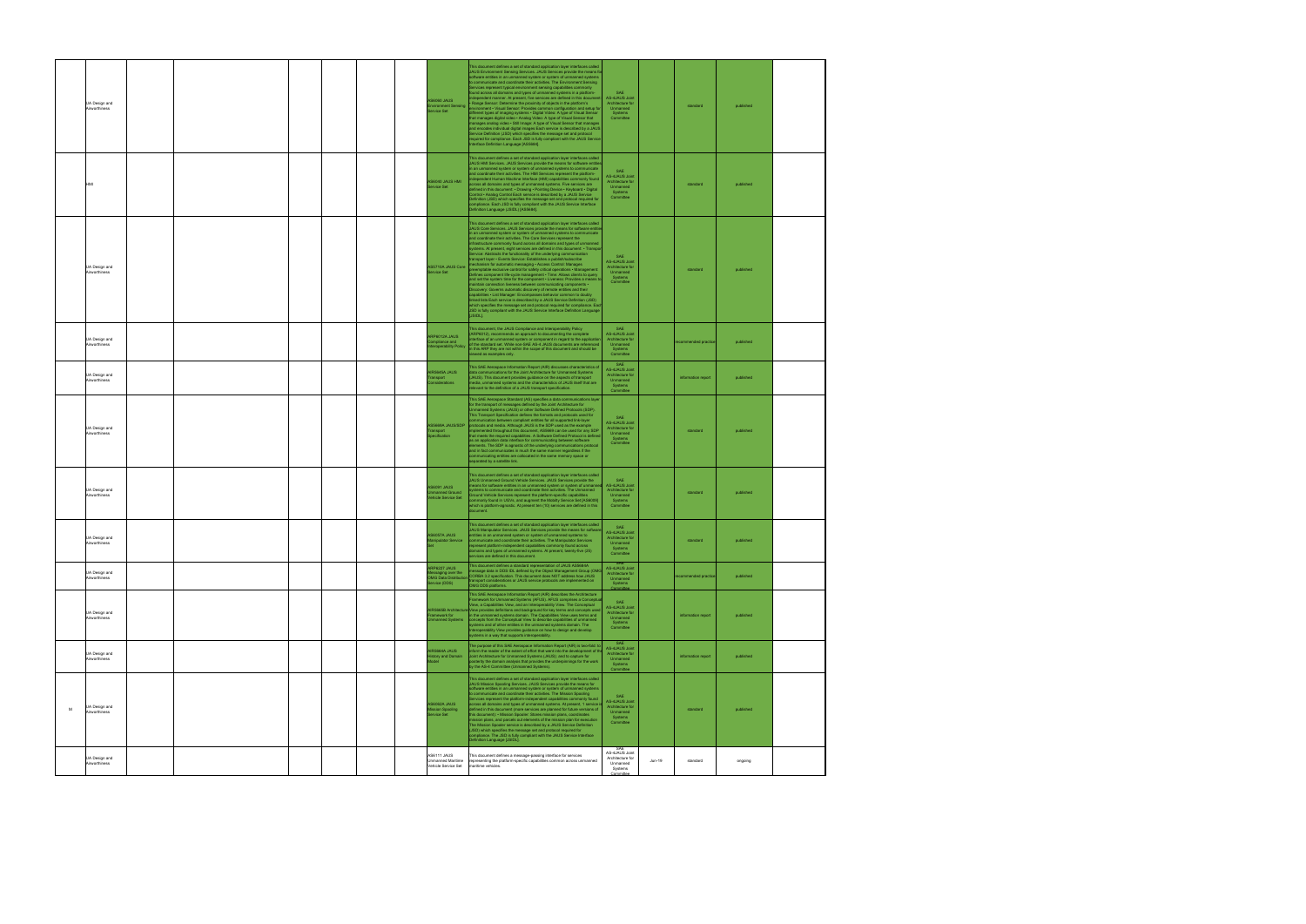| UA Design and<br>Airworthiness      |  |  | <b>S6060 JAUS</b><br>vironment Sensing<br>ervice Set                           | his document defines a set of standard application layer interfaces called<br>JAUS Environment Sensing Services. JAUS Services provide the means fo<br>software entities in an unmanned system or system of unmanned systems<br>to communicate and coordinate their activities. The Environment Sensing<br>Services represent typical environment sensing capabilities commonly<br>ound across all domains and types of unmanned systems in a platform-<br>dependent manner. At present, five services are defined in this documer<br>Range Sensor: Determine the proximity of objects in the platform's<br>vironment . Visual Sensor: Provides common configuration and setup for<br>lifferent types of imaging systems . Digital Video: A type of Visual Sensor<br>that manages digital video . Analog Video: A type of Visual Sensor that<br>manages analog video . Still Image: A type of Visual Sensor that manages<br>and encodes individual digital images Each service is described by a JAUS<br>Service Definition (JSD) which specifies the message set and protocol<br>equired for compliance. Each JSD is fully compliant with the JAUS Service<br>nterface Definition Language [AS5684].                                                                                                                                                                | SAF<br><b>AS-4JAUS Joint</b><br>Architecture for<br>Unmanned<br>Systems<br>Committee |        | standard             | published |  |
|-------------------------------------|--|--|--------------------------------------------------------------------------------|----------------------------------------------------------------------------------------------------------------------------------------------------------------------------------------------------------------------------------------------------------------------------------------------------------------------------------------------------------------------------------------------------------------------------------------------------------------------------------------------------------------------------------------------------------------------------------------------------------------------------------------------------------------------------------------------------------------------------------------------------------------------------------------------------------------------------------------------------------------------------------------------------------------------------------------------------------------------------------------------------------------------------------------------------------------------------------------------------------------------------------------------------------------------------------------------------------------------------------------------------------------------------------------------------------------------------------------------------------------------|--------------------------------------------------------------------------------------|--------|----------------------|-----------|--|
|                                     |  |  | IMH 2UAL 0P03A<br>Service Set                                                  | This document defines a set of standard application layer interfaces called<br>JAUS HMI Services. JAUS Services provide the means for software entities<br>n an unmanned system or system of unmanned systems to communicate<br>nd coordinate their activities. The HMI Services represent the platform<br>dependent Human Machine Interface (HMI) capabilities commonly found<br>cross all domains and types of unmanned systems. Five services are<br>lefined in this document: . Drawing . Pointing Device . Keyboard . Digital<br>Control · Analog Control Each service is described by a JAUS Service<br>Definition (JSD) which specifies the message set and protocol required for<br>ompliance. Each JSD is fully compliant with the JAUS Service Interface<br>Definition Language (JSIDL) [AS5684].                                                                                                                                                                                                                                                                                                                                                                                                                                                                                                                                                          | <b>SAE</b><br>AS-4JAUS Joint<br>Architecture for<br>Unmanned<br>Systems<br>Committee |        | standard             | published |  |
| UA Design and<br>Airworthiness      |  |  | AS5710A JAUS Core<br>Service Set                                               | This document defines a set of standard application layer interfaces called<br>JAUS Core Services. JAUS Services provide the means for software entit<br>n an unmanned system or system of unmanned systems to communicate<br>and coordinate their activities. The Core Services represent the<br>infrastructure commonly found across all domains and types of unmanned<br>systems. At present, eight services are defined in this document: • Transpr<br>Service: Abstracts the functionality of the underlying communication<br>ansport layer . Events Service: Establishes a publish/subscribe<br>nechanism for automatic messaging . Access Control: Manages<br>eemptable exclusive control for safety critical operations . Managem<br>Defines component life-cycle management . Time: Allows clients to query<br>and set the system time for the component . Liveness: Provides a means to<br>naintain connection liveness between communicating components .<br>Discovery: Governs automatic discovery of remote entities and their<br>apabilities . List Manager: Encompasses behavior common to doubly<br>inked lists Each service is described by a JAUS Service Definition (JSD)<br>which specifies the message set and protocol required for compliance. Each<br>JSD is fully compliant with the JAUS Service Interface Definition Language<br>[JSIDL]. | SAE<br>AS-4JAUS Joint<br>Architecture for<br>Unmanned<br>Systems<br>Committee        |        | standard             | published |  |
| UA Design and<br>Airworthiness      |  |  | ARP6012A JAUS<br>mpliance and<br>operability Policy                            | This document, the JAUS Compliance and Interoperability Policy<br>ARP6012), recommends an approach to documenting the complete<br>terface of an unmanned system or component in regard to the application<br>of the standard set. While non-SAE AS-4 JAUS documents are referenced<br>n this ARP they are not within the scope of this document and should be<br>iewed as examples only.                                                                                                                                                                                                                                                                                                                                                                                                                                                                                                                                                                                                                                                                                                                                                                                                                                                                                                                                                                             | SAE<br>AS-4JAUS Joint<br>Architecture for<br>Unmanned<br>Systems<br>Committee        |        | ecommended practic   | published |  |
| UA Design and<br>Airworthiness      |  |  | AIR5645A JAUS<br>ansport<br>nsiderations                                       | This SAE Aerospace Information Report (AIR) discusses characteristics of<br>data communications for the Joint Architecture for Unmanned Systems<br>(JAUS). This document provides guidance on the aspects of transport<br>nedia, unmanned systems and the characteristics of JAUS itself that are<br>elevant to the definition of a JAUS transport specification.                                                                                                                                                                                                                                                                                                                                                                                                                                                                                                                                                                                                                                                                                                                                                                                                                                                                                                                                                                                                    | SAF<br>AS-4JAUS Joint<br>Architecture for<br>Unmanned<br>Systems<br>Committee        |        | information report   | published |  |
| UA Design and<br>Airworthiness      |  |  | <b>902/2UAL AR6652A</b><br>nsport<br>ecification                               | This SAE Aerospace Standard (AS) specifies a data communications layer<br>for the transport of messages defined by the Joint Architecture for<br>Unmanned Systems (JAUS) or other Software Defined Protocols (SDP).<br>This Transport Specification defines the formats and protocols used for<br>mmunication between compliant entities for all supported link-layer<br>protocols and media. Although JAUS is the SDP used as the example<br>nplemented throughout this document, AS5669 can be used for any SDP<br>at meets the required capabilities. A Software Defined Protocol is defined<br>as an application data interface for communicating between software<br>ements. The SDP is agnostic of the underlying communications protocol<br>and in fact communicates in much the same manner regardless if the<br>communicating entities are collocated in the same memory space or<br>eparated by a satellite link.                                                                                                                                                                                                                                                                                                                                                                                                                                          | SAE<br>AS-4JAUS Joint<br>Architecture for<br>Unmanned<br>Systems<br>Committee        |        | standard             | published |  |
| UA Design and<br>Airworthiness      |  |  | <b>AS6091 JAUS</b><br>manned Ground<br>hicle Service Set                       | This document defines a set of standard application layer interfaces called<br>JAUS Unmanned Ground Vehicle Services. JAUS Services provide the<br>leans for software entities in an unmanned system or system of unmanne<br>stems to communicate and coordinate their activities. The Unmanned<br>Ground Vehicle Services represent the platform-specific capabilities<br>ommonly found in UGVs, and augment the Mobilty Service Set [AS6009]<br>which is platform-agnostic. At present ten (10) services are defined in this                                                                                                                                                                                                                                                                                                                                                                                                                                                                                                                                                                                                                                                                                                                                                                                                                                       | AS-4JAUS Joint<br>Architecture for<br>Unmanned<br>Systems<br>Committee               |        | standard             | published |  |
| UA Design and<br>Airworthiness      |  |  | S6057A.IAUS<br>nipulator Service                                               | his document defines a set of standard application layer interfaces called<br>AUS Manipulator Services JAUS Services provide the means for software<br>ntities in an unmanned system or system of unmanned systems to<br>ommunicate and coordinate their activities. The Manipulator Services<br>epresent platform-independent capabilities commonly found across<br>ed systems. At present, twenty-five (25)-<br>services are defined in this document.                                                                                                                                                                                                                                                                                                                                                                                                                                                                                                                                                                                                                                                                                                                                                                                                                                                                                                             | SAF<br>AS-4JAUS Joint<br>Architecture for<br>Unmanned<br>Systems<br>Committee        |        | standard             | published |  |
| UA Design and<br>Airworthiness      |  |  | RP6227 JAUS<br>ssaging over the<br><b>OMG Data Distributio</b><br>ervice (DDS) | This document defines a standard representation of JAUS AS5684A<br>essage data in DDS IDL defined by the Object Management Group (OMG<br>CORBA 3.2 specification. This document does NOT address how JAUS<br>ansport considerations or JAUS service protocols are implemented on<br>OMG DDS platforms.                                                                                                                                                                                                                                                                                                                                                                                                                                                                                                                                                                                                                                                                                                                                                                                                                                                                                                                                                                                                                                                               | <b>AS-4JAUS Joint</b><br>Architecture for<br>Unmanned<br>Systems                     |        | recommended practice | published |  |
| UA Design and<br>Airworthiness      |  |  | <b>IR5665B Archited</b><br>amework for<br>manned Systems                       | This SAE Aerospace Information Report (AIR) describes the Architecture<br>ramework for Unmanned Systems (AFUS). AFUS comprises a Concepti<br>View, a Capabilities View, and an Interoperability View. The Conceptual<br>liew provides definitions and background for key terms and concepts used<br>in the unmanned systems domain. The Capabilities View uses terms and<br>concepts from the Conceptual View to describe capabilities of unmanned<br>wstems and of other entities in the unmanned systems domain. The<br>Interoperability View provides guidance on how to design and develop<br>systems in a way that supports interoperability.                                                                                                                                                                                                                                                                                                                                                                                                                                                                                                                                                                                                                                                                                                                   | SAE<br>AS-4JAUS Joint<br>Architecture for<br>Unmanned<br>Systems<br>Committee        |        | information report   | published |  |
| UA Design and<br>Airworthiness      |  |  | <b>NR5664A JAUS</b><br>story and Domain<br>lodel                               | The purpose of this SAE Aerospace Information Report (AIR) is two-fold: to<br>form the reader of the extent of effort that went into the development of the<br>Joint Architecture for Unmanned Systems (JAUS); and to capture for<br>osterity the domain analysis that provides the underpinnings for the work<br>by the AS-4 Committee (Unmanned Systems).                                                                                                                                                                                                                                                                                                                                                                                                                                                                                                                                                                                                                                                                                                                                                                                                                                                                                                                                                                                                          | SAE<br>AS-4JAUS Joint<br>Architecture for<br>Unmanned<br>Systems<br>Committee        |        | information report   | published |  |
| UA Design and<br>M<br>Airworthiness |  |  | AS6062A JAUS<br>lission Spooling<br>Service Set                                | This document defines a set of standard application layer interfaces called<br>JAUS Mission Spooling Services. JAUS Services provide the means for<br>software entities in an unmanned system or system of unmanned systems<br>to communicate and coordinate their activities. The Mission Spooling<br>Services represent the platform-independent capabilities commonly found<br>across all domains and types of unmanned systems. At present, 1 service is<br>defined in this document (more services are planned for future versions of<br>this document): • Mission Spooler: Stores mission plans, coordinates<br>nission plans, and parcels out elements of the mission plan for execution<br>The Mission Spooler service is described by a JAUS Service Definition<br>(JSD) which specifies the message set and protocol required for<br>compliance. The JSD is fully compliant with the JAUS Service Interface<br>Definition Language [JSIDL].                                                                                                                                                                                                                                                                                                                                                                                                                | SAF<br>AS-4JAUS Joint<br>Architecture for<br>Unmanned<br>Systems<br>Committee        |        | standard             | published |  |
| UA Design and<br>Airworthiness      |  |  | AS6111 JAUS<br>Unmanned Maritime<br>Vehicle Service Set                        | This document defines a message-passing interface for services<br>representing the platform-specific capabilities common across unmanned<br>naritime vehicles.                                                                                                                                                                                                                                                                                                                                                                                                                                                                                                                                                                                                                                                                                                                                                                                                                                                                                                                                                                                                                                                                                                                                                                                                       | AS-4JAUS Joint<br>Architecture for<br>Unmanned<br>Systems<br>Committee               | Jun-19 | standard             | ongoing   |  |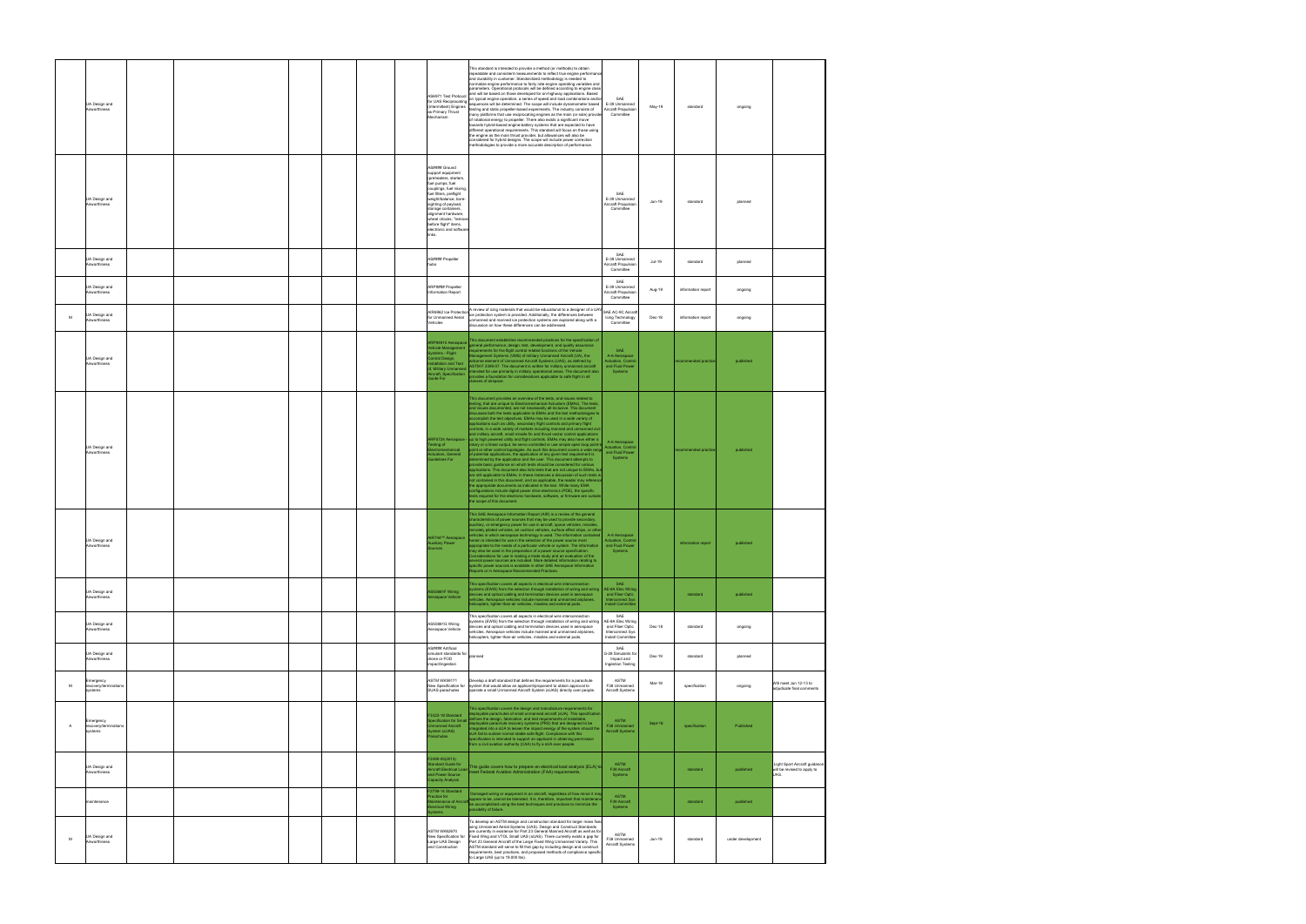|              | JA Design and<br>Airworthiness                |  |  | AS6971 Test Protocol<br>for UAS Reciprocating<br>(Intermittent) Engines<br>as Primary Thrust<br>Mechanism                                                                                                                                                                                                                 | This standard is intended to provide a method (or methods) to obtain<br>repeatable and consistent measurements to reflect true engine performar<br>and durability in customer. Standardized methodology is needed to<br>normalize engine performance to fairly rate engine operating variables and<br>parameters. Operational protocols will be defined according to engine class<br>and will be based on those developed for on-highway applications. Based<br>on typical engine operation, a series of speed and load combinations and/or<br>sequences will be determined. The scope will include dynamometer based<br>testing and static propeller-based experiments. The industry consists of<br>many platforms that use reciprocating engines as the main (or sole) provide<br>of rotational energy to propeller. There also exists a significant move<br>towards hybrid-based engine-battery systems that are expected to have<br>different operational requirements. This standard will focus on those using<br>the engine as the main thrust provider, but allowances will also be<br>considered for hybrid designs. The scope will include power correction<br>methodologies to provide a more accurate description of performance.                                                                                                                                                                                                                                                                                                                                                                                 | SAE<br>E-39 Unmanned<br>Aircraft Propulsion<br>Committee                                           | May-19   | standard             | ongoing           |                                                                     |
|--------------|-----------------------------------------------|--|--|---------------------------------------------------------------------------------------------------------------------------------------------------------------------------------------------------------------------------------------------------------------------------------------------------------------------------|------------------------------------------------------------------------------------------------------------------------------------------------------------------------------------------------------------------------------------------------------------------------------------------------------------------------------------------------------------------------------------------------------------------------------------------------------------------------------------------------------------------------------------------------------------------------------------------------------------------------------------------------------------------------------------------------------------------------------------------------------------------------------------------------------------------------------------------------------------------------------------------------------------------------------------------------------------------------------------------------------------------------------------------------------------------------------------------------------------------------------------------------------------------------------------------------------------------------------------------------------------------------------------------------------------------------------------------------------------------------------------------------------------------------------------------------------------------------------------------------------------------------------------------------------------------------------------------------------------------------------|----------------------------------------------------------------------------------------------------|----------|----------------------|-------------------|---------------------------------------------------------------------|
|              | UA Design and<br>Airworthiness                |  |  | AS#### Ground<br>support equipment<br>(preheaters, starters<br>fuel pumps, fuel<br>couplings, fuel mixing.<br>fuel filters, preflight<br>weight/balance, bore-<br>sighting of payload,<br>storage containers,<br>alignment hardware,<br>wheel chocks, "remov<br>before flight" items.<br>electronic and softwar<br>links. |                                                                                                                                                                                                                                                                                                                                                                                                                                                                                                                                                                                                                                                                                                                                                                                                                                                                                                                                                                                                                                                                                                                                                                                                                                                                                                                                                                                                                                                                                                                                                                                                                              | SAF<br>E-39 Unmanned<br>Aircraft Propulsion<br>Committee                                           | Jun-19   | standard             | planned           |                                                                     |
|              | UA Design and<br>Airworthiness                |  |  | AS#### Propeller<br>hubs                                                                                                                                                                                                                                                                                                  |                                                                                                                                                                                                                                                                                                                                                                                                                                                                                                                                                                                                                                                                                                                                                                                                                                                                                                                                                                                                                                                                                                                                                                                                                                                                                                                                                                                                                                                                                                                                                                                                                              | SAE<br>E-39 Unmanned<br>Aircraft Propulsion<br>Committee                                           | $Jul-19$ | standard             | planned           |                                                                     |
|              | UA Design and<br>Airworthiness                |  |  | ARP#### Propeller<br><b>Information Report</b>                                                                                                                                                                                                                                                                            |                                                                                                                                                                                                                                                                                                                                                                                                                                                                                                                                                                                                                                                                                                                                                                                                                                                                                                                                                                                                                                                                                                                                                                                                                                                                                                                                                                                                                                                                                                                                                                                                                              | SAE<br>E-39 Unmanned<br>Aircraft Propulsion<br>Committee                                           | Aug-19   | information report   | ongoing           |                                                                     |
| м            | UA Design and<br>Airworthiness                |  |  | AIR6962 Ice Protection<br>for Unmanned Aerial<br>Vehicles                                                                                                                                                                                                                                                                 | A review of icing materials that would be educational to a designer of a UAV<br>ice protection system is provided. Additionally, the differences between<br>unmanned and manned ice protection systems are explored along with a<br>discussion on how these differences can be addressed.                                                                                                                                                                                                                                                                                                                                                                                                                                                                                                                                                                                                                                                                                                                                                                                                                                                                                                                                                                                                                                                                                                                                                                                                                                                                                                                                    | SAE AC-9C Aircraf<br>Icing Technology<br>Committee                                                 | Dec-18   | information report   | ongoing           |                                                                     |
|              | UA Design and<br>Airworthiness                |  |  | ARP94910 Aerospace<br>ehicle Management<br>stems - Flight<br>ontrol Design,<br>tallation and Test<br>, Military Unmanned<br>ircraft, Specification<br>uide For                                                                                                                                                            | This document establishes recommended practices for the specification of<br>general performance, design, test, development, and quality assurance<br>quirements for the flight control related functions of the Vehicle<br>lanagement Systems (VMS) of military Unmanned Aircraft (UA), the<br>rborne element of Unmanned Aircraft Systems (UAS), as defined by<br>ASTM F 2395-07. The document is written for military unmanned aircraft<br>tended for use primarily in military operational areas. The document also<br>ovides a foundation for considerations applicable to safe flight in all<br>lasses of airspace.                                                                                                                                                                                                                                                                                                                                                                                                                                                                                                                                                                                                                                                                                                                                                                                                                                                                                                                                                                                                     | SAE<br>A-6 Aerospace<br><b>Actuation, Control</b><br>and Fluid Power<br>Systems                    |          | recommended practice | published         |                                                                     |
|              | UA Design and<br>Airworthiness                |  |  | RP5724 Aerospace -<br>asting of<br>ctromechanical<br>tuators, General<br>uidelines For                                                                                                                                                                                                                                    | This document provides an overview of the tests, and issues related to<br>esting, that are unique to Electromechanical Actuators (EMAs). The tests,<br>and issues documented, are not necessarily all-inclusive. This document<br>discusses both the tests applicable to EMAs and the test methodologies to<br>accomplish the test objectives. EMAs may be used in a wide variety of<br>applications such as utility, secondary flight controls and primary flight<br>ontrols, in a wide variety of markets including manned and unmanned civi<br>nd military aircraft, small missile fin and thrust vector control applications<br>up to high powered utility and flight controls. EMAs may also have either a<br>otary or a linear output, be servo controlled or use simple open loop point-t<br>oint or other control topologies. As such this document covers a wide range<br>of potential applications, the application of any given test requirement is<br>etermined by the application and the user. This document attempts to<br>ovide basic guidance on which tests should be considered for various<br>oplications. This document also lists tests that are not unique to EMAs, but<br>are still applicable to EMAs. In these instances a discussion of such tests is<br>not contained in this document, and as applicable, the reader may ref<br>the appropriate documents as indicated in the text. While many EMA<br>configurations include digital power drive electronics (PDE), the specific<br>ests required for the electronic hardware, software, or firmware are outside<br>the scope of this document. | A-6 Aerospace<br><b>Actuation, Control</b><br>and Fluid Power<br>Systems                           |          | recommended practice | published         |                                                                     |
|              | UA Design and<br>Airworthiness                |  |  | AIR744™ Aerospace<br>Auxiliary Power<br>Sources                                                                                                                                                                                                                                                                           | This SAE Aerospace Information Report (AIR) is a review of the general<br>characteristics of power sources that may be used to provide secondary,<br>auxiliary, or emergency power for use in aircraft, space vehicles, missiles,<br>remotely piloted vehicles, air cushion vehicles, surface effect ships, or othe<br>ehicles in which aerospace technology is used. The information contained<br>herein is intended for use in the selection of the power source most<br>appropriate to the needs of a particular vehicle or system. The information<br>may also be used in the preparation of a power source specification.<br>Considerations for use in making a trade study and an evaluation of the<br>several power sources are included. More detailed information relating to<br>specific power sources is available in other SAE Aerospace Information<br>.<br>Reports or in Aerospace Recommended Practices.                                                                                                                                                                                                                                                                                                                                                                                                                                                                                                                                                                                                                                                                                                      | A-6 Aerospace<br><b>Actuation, Control</b><br>and Fluid Power<br>Systems                           |          | information report   | published         |                                                                     |
|              | UA Design and<br>Airworthiness                |  |  | AS50881F Wiring<br>rospace Vehicle                                                                                                                                                                                                                                                                                        | This specification covers all aspects in electrical wire interconnection<br>ystems (EWIS) from the selection through installation of wiring and wiring<br>evices and optical cabling and termination devices used in aerospace<br>hicles. Aerospace vehicles include manned and unmanned airplanes.<br>elicopters, lighter-than-air vehicles, missiles and external pods.                                                                                                                                                                                                                                                                                                                                                                                                                                                                                                                                                                                                                                                                                                                                                                                                                                                                                                                                                                                                                                                                                                                                                                                                                                                    | SAE<br>AE-8A Elec Wiring<br>and Fiber Optic<br><b>Interconnect Sys</b><br><b>Install Committer</b> |          | standard             | published         |                                                                     |
|              | UA Design and<br>Airworthiness                |  |  | AS50881G Wiring<br>Aerospace Vehicle                                                                                                                                                                                                                                                                                      | This specification covers all aspects in electrical wire interconnection<br>systems (EWIS) from the selection through installation of wiring and wiring<br>evices and optical cabling and termination devices used in aerospace<br>vehicles. Aerospace vehicles include manned and unmanned airplanes,<br>helicopters, lighter-than-air vehicles, missiles and external pods.                                                                                                                                                                                                                                                                                                                                                                                                                                                                                                                                                                                                                                                                                                                                                                                                                                                                                                                                                                                                                                                                                                                                                                                                                                                | SAF<br>AE-8A Elec Wiring<br>and Fiber Optic<br>Interconnect Sys<br>Install Committee               | Dec-18   | standard             | ongoing           |                                                                     |
|              | UA Design and<br>Airworthiness                |  |  | AS#### Artificial<br>simulant standards for<br>drone or FOD<br>impact/ingestion                                                                                                                                                                                                                                           | danned                                                                                                                                                                                                                                                                                                                                                                                                                                                                                                                                                                                                                                                                                                                                                                                                                                                                                                                                                                                                                                                                                                                                                                                                                                                                                                                                                                                                                                                                                                                                                                                                                       | SAE<br>G-28 Simulants for<br>Impact and<br>Ingestion Testing                                       | Dec-19   | standard             | planned           |                                                                     |
| M            | Emergency<br>recovery/terminations<br>systems |  |  | ASTM WK50171<br>New Specification for<br>SUAS parachutes                                                                                                                                                                                                                                                                  | Develop a draft standard that defines the requirements for a parachute<br>system that would allow an applicant/proponent to obtain approval to<br>operate a small Unmanned Aircraft System (sUAS) directly over people.                                                                                                                                                                                                                                                                                                                                                                                                                                                                                                                                                                                                                                                                                                                                                                                                                                                                                                                                                                                                                                                                                                                                                                                                                                                                                                                                                                                                      | ASTM<br>F38 Unmanned<br>Aircraft Systems                                                           | Mar-18   | specification        | ongoing           | Will meet Jun 12-13 to<br>adiudicate final comments                 |
| $\mathsf{A}$ | Emergency<br>recovery/terminations<br>ystems  |  |  | 3322-18 Standard<br>pecification for Smal<br>manned Aircraft<br>stem (sUAS)<br>arachutes                                                                                                                                                                                                                                  | his specification covers the design and manufacture requirements for<br>ployable parachutes of small unmanned aircraft (sUA). This specification<br>fines the design, fabrication, and test requirements of installable<br>ployable parachute recovery systems (PRS) that are designed to be<br>egrated into a sUA to lessen the impact energy of the system should the<br>sUA fail to sustain normal stable safe flight. Compliance with this<br>specification is intended to support an applicant in obtaining permission<br>rom a civil aviation authority (CAA) to fly a sUA over people.                                                                                                                                                                                                                                                                                                                                                                                                                                                                                                                                                                                                                                                                                                                                                                                                                                                                                                                                                                                                                                | <b>ASTM</b><br>F38 Unmanned<br><b>Aircraft Systems</b>                                             | Sept-18  | specification        | Published         |                                                                     |
|              | UA Design and<br>Airworthiness                |  |  | F2490-05(2013)<br>tandard Guide for<br><b>Vircraft Electrical Load</b><br>d Power Source<br>apacity Analysis                                                                                                                                                                                                              | This guide covers how to prepare an electrical load analysis (ELA) to<br>neet Federal Aviation Administration (FAA) requirements.                                                                                                                                                                                                                                                                                                                                                                                                                                                                                                                                                                                                                                                                                                                                                                                                                                                                                                                                                                                                                                                                                                                                                                                                                                                                                                                                                                                                                                                                                            | <b>ASTM</b><br>F39 Aircraft<br>Systems                                                             |          | standard             | published         | Light Sport Aircraft guidanc<br>will be revised to apply to<br>UAS. |
|              | maintenance                                   |  |  | 2799-14 Standard<br>ractice for<br>intenance of Aircraft<br>ectrical Wiring<br>stems                                                                                                                                                                                                                                      | Damaged wiring or equipment in an aircraft, regardless of how minor it ma<br>ppear to be, cannot be tolerated. It is, therefore, important that maintena<br>be accomplished using the best techniques and practices to minimize the<br>ossibility of failure.                                                                                                                                                                                                                                                                                                                                                                                                                                                                                                                                                                                                                                                                                                                                                                                                                                                                                                                                                                                                                                                                                                                                                                                                                                                                                                                                                                | <b>ASTM</b><br>F39 Aircraft<br>Systems                                                             |          | standard             | published         |                                                                     |
| M            | UA Design and<br>Airworthiness                |  |  | <b>ASTM WK62670</b><br>New Specification for<br>Large UAS Design<br>and Construction                                                                                                                                                                                                                                      | To develop an ASTM design and construction standard for larger mass fixed<br>wing Unmanned Aerial Systems (UAS). Design and Construct Standards<br>are currently in existence for Part 23 General Manned Aircraft as well as for<br>Fixed Wing and VTOL Small UAS (sUAS). There currently exists a gap for<br>Part 23 General Aircraft of the Large Fixed Wing Unmanned Variety. This<br>ASTM standard will serve to fill that gap by including design and construct<br>requirements, best practices, and proposed methods of compliance specific<br>to Large UAS (up to 19,000 lbs).                                                                                                                                                                                                                                                                                                                                                                                                                                                                                                                                                                                                                                                                                                                                                                                                                                                                                                                                                                                                                                        | ASTM<br>F38 Unmanned<br>Aircraft Systems                                                           | Jun-19   | standard             | under development |                                                                     |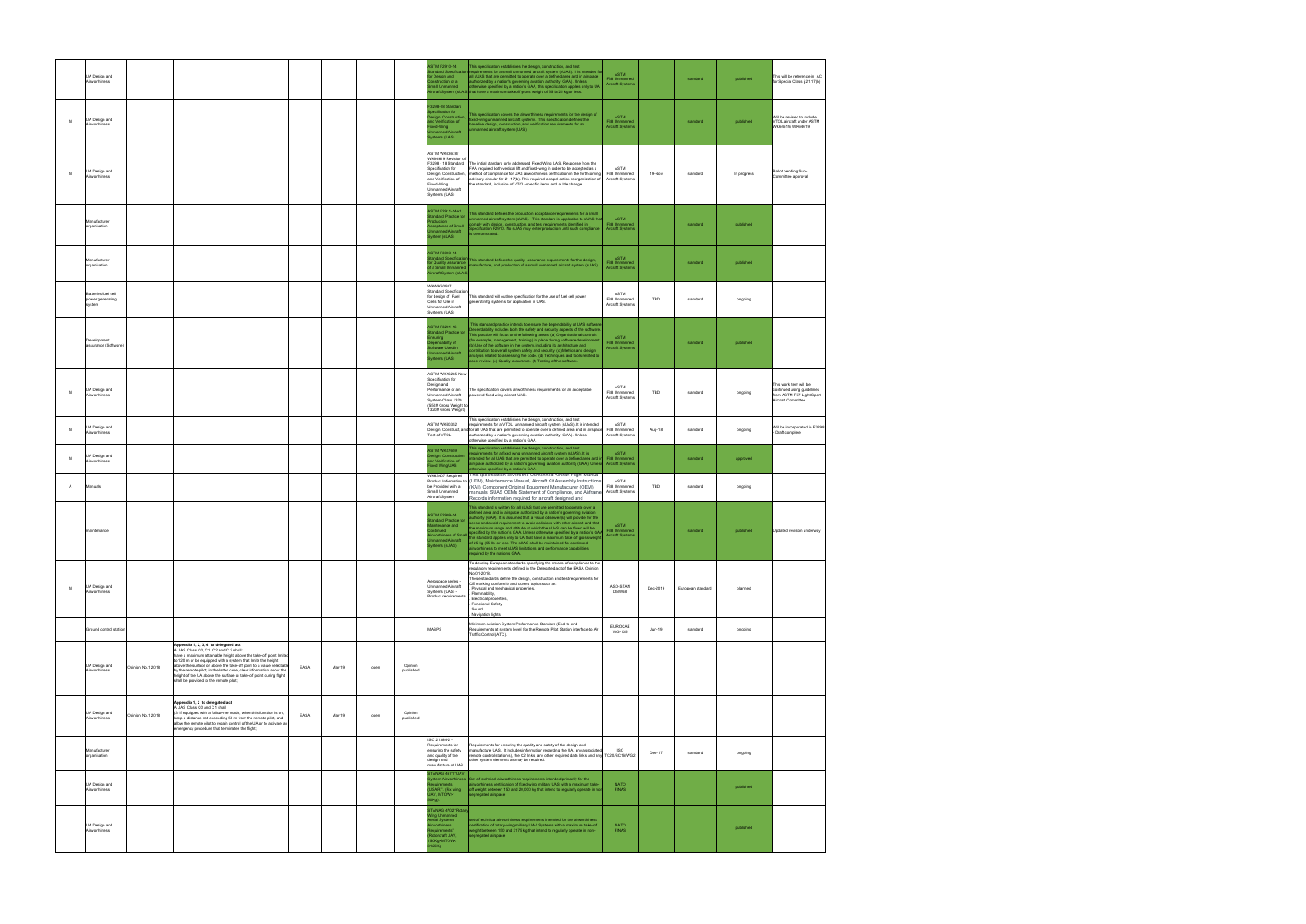|                | UA Design and<br>Airworthiness                          |                   |                                                                                                                                                                                                                                                                                                                                                                                                                                                                                  |                |      |                      | <b>ASTM F2910-14</b><br>andard Specificatio<br>or Design and<br>onstruction of a<br>mall Unmanned                                                                                                  | This specification establishes the design, construction, and test<br>equirements for a small unmanned aircraft system (sUAS). It is intended fo<br>all sUAS that are permitted to operate over a defined area and in airspace<br>authorized by a nation's governing aviation authority (GAA). Unless<br>otherwise specified by a nation's GAA, this specification applies only to UA<br>ircraft System (sUAS) that have a maximum takeoff gross weight of 55 lb/25 kg or less.                                                                                                                                                                                                                           | <b>ASTM</b><br>F38 Unmanned<br>Aircraft Systems        |          | standard          | published   | This will be reference in AC<br>for Special Class §21.17(b)                                             |
|----------------|---------------------------------------------------------|-------------------|----------------------------------------------------------------------------------------------------------------------------------------------------------------------------------------------------------------------------------------------------------------------------------------------------------------------------------------------------------------------------------------------------------------------------------------------------------------------------------|----------------|------|----------------------|----------------------------------------------------------------------------------------------------------------------------------------------------------------------------------------------------|----------------------------------------------------------------------------------------------------------------------------------------------------------------------------------------------------------------------------------------------------------------------------------------------------------------------------------------------------------------------------------------------------------------------------------------------------------------------------------------------------------------------------------------------------------------------------------------------------------------------------------------------------------------------------------------------------------|--------------------------------------------------------|----------|-------------------|-------------|---------------------------------------------------------------------------------------------------------|
| M              | UA Design and<br>Airworthiness                          |                   |                                                                                                                                                                                                                                                                                                                                                                                                                                                                                  |                |      |                      | 3298-18 Standard<br>pecification for<br>sign, Construction<br>nd Verification of<br>ixed-Wing<br>nmanned Aircraft<br>vstems (UAS)                                                                  | This specification covers the airworthiness requirements for the design of<br>xed-wing unmanned aircraft systems. This specification defines the<br>aseline design, construction, and verification requirements for an<br>manned aircraft system (UAS)                                                                                                                                                                                                                                                                                                                                                                                                                                                   | ASTM<br>F38 Unmanned<br>Aircraft Systems               |          | standard          | published   | Will be revised to include<br>VTOL aircraft under ASTM<br>WK64619/WK64619                               |
| M              | UA Design and<br><b>Nirworthiness</b>                   |                   |                                                                                                                                                                                                                                                                                                                                                                                                                                                                                  |                |      |                      | <b>ASTM WK63678/</b><br>WK64619 Revision of<br>F3298 - 18 Standard<br>Specification for<br>Design, Construction.<br>and Verification of<br>Fixed-Wing<br><b>Jnmanned Aircraft</b><br>Systems (UAS) | The initial standard only addressed Fixed-Wing UAS. Response from the<br>FAA required both vertical lift and fixed-wing in order to be accepted as a<br>method of compliance for UAS airworthiness certification in the forthcoming<br>advisory circular for 21-17(b). This required a rapid-action reorganization of<br>the standard, inclusion of VTOL-specific items and a title change.                                                                                                                                                                                                                                                                                                              | ASTM<br><b>E38 Unmanned</b><br>Aircraft Systems        | 19-Nov   | standard          | In progress | Ballot pending Sub-<br>Committee approval                                                               |
|                | Manufacturer<br>organisation                            |                   |                                                                                                                                                                                                                                                                                                                                                                                                                                                                                  |                |      |                      | <b>ASTM F2911-14e1</b><br>andard Practice for<br>roduction<br>cceptance of Small<br>manned Aircraft<br>ystem (sUAS)                                                                                | his standard defines the production acceptance requirements for a small<br>manned aircraft system (sUAS). This standard is applicable to sUAS tha<br>omply with design, construction, and test requirements identified in<br>pecification F2910. No sUAS may enter production until such compliance<br>demonstrated.                                                                                                                                                                                                                                                                                                                                                                                     | <b>ASTM</b><br>F38 Unmanned<br><b>Aircraft Systems</b> |          | standard          | published   |                                                                                                         |
|                | Manufacturer<br>organisation                            |                   |                                                                                                                                                                                                                                                                                                                                                                                                                                                                                  |                |      |                      | <b>ASTM F3003-14</b><br>andard Specificatio<br>or Quality Assurance<br>f a Small Unmanned<br>ircraft System (sUAS                                                                                  | This standard definesthe quality assurance requirements for the design,<br>anufacture, and production of a small unmanned aircraft system (sUAS).                                                                                                                                                                                                                                                                                                                                                                                                                                                                                                                                                        | <b>ASTM</b><br>F38 Unmanned<br><b>Nircraft Systems</b> |          | standard          | published   |                                                                                                         |
|                | <b>Batteries/fuel cell</b><br>power generating<br>/stem |                   |                                                                                                                                                                                                                                                                                                                                                                                                                                                                                  |                |      |                      | WKWK60937<br><b>Standard Specification</b><br>for design of Fuel<br>Cells for Use in<br><b>Jnmanned Aircraft</b><br>Systems (UAS)                                                                  | This standard will outline specification for the use of fuel cell power<br>generatinhg systems for application in UAS.                                                                                                                                                                                                                                                                                                                                                                                                                                                                                                                                                                                   | ASTM<br>F38 Unmanned<br>Aircraft Systems               | TBD      | standard          | ongoing     |                                                                                                         |
|                | Development<br>ssurance (Software)                      |                   |                                                                                                                                                                                                                                                                                                                                                                                                                                                                                  |                |      |                      | <b>ASTM F3201-16</b><br>andard Practice for<br>nsuring<br>ependability of<br>oftware Used in<br><b>Imanned Aircraft</b><br>ystems (UAS)                                                            | This standard practice intends to ensure the dependability of UAS software<br>ependability includes both the safety and security aspects of the software.<br>This practice will focus on the following areas: (a) Organizational controls<br>or example, management, training) in place during software develop<br>b) Use of the software in the system, including its architecture and<br>intribution to overall system safety and security. (c) Metrics and design<br>nalysis related to assessing the code. (d) Techniques and tools related to<br>ode review. (e) Quality assurance. (f) Testing of the software.                                                                                    | <b>ASTM</b><br>F38 Unmanned<br><b>Aircraft Systems</b> |          | standard          | published   |                                                                                                         |
| M              | UA Design and<br>Airworthiness                          |                   |                                                                                                                                                                                                                                                                                                                                                                                                                                                                                  |                |      |                      | ASTM WK16285 New<br>Specification for<br>Design and<br>Performance of an<br><b>Jnmanned Aircraft</b><br>System-Class 1320<br>550# Gross Weight to<br>1320# Gross Weight)                           | The specification covers airworthiness requirements for an acceptable<br>wered fixed wing aircraft UAS.                                                                                                                                                                                                                                                                                                                                                                                                                                                                                                                                                                                                  | ASTM<br>F38 Unmanned<br>Aircraft Systems               | TBD      | standard          | ongoing     | This work item will be<br>continued using guidelines<br>from ASTM F37 Light Sport<br>Aircraft Committee |
| M              | JA Design and<br>Airworthiness                          |                   |                                                                                                                                                                                                                                                                                                                                                                                                                                                                                  |                |      |                      | <b>ASTM WK60352</b><br>Test of VTOL                                                                                                                                                                | This specification establishes the design, construction, and test<br>requirements for a VTOL unmanned aircraft system (sUAS). It is intended<br>Design, Construct, and for all UAS that are permitted to operate over a defined area and in airspace<br>authorized by a nation's governing aviation authority (GAA). Unless<br>otherwise specified by a nation's GAA.                                                                                                                                                                                                                                                                                                                                    | ASTM<br>F38 Unmanned<br>Aircraft Systems               | Aug-18   | standard          | ongoing     | Will be incorporated in F3298<br>Draft complete                                                         |
| M              | JA Design and<br>irworthiness                           |                   |                                                                                                                                                                                                                                                                                                                                                                                                                                                                                  |                |      |                      | <b>ASTM WK57659</b><br>esign, Construction<br>nd Verification of<br>ixed Wing UAS                                                                                                                  | This specification establishes the design, construction, and test<br>equirements for a fixed wing unmanned aircraft system (sUAS). It is<br>itended for all UAS that are permitted to operate over a defined area and ir<br>irspace authorized by a nation's governing aviation authority (GAA). Unless<br>erwise specified by a nation's GAA.                                                                                                                                                                                                                                                                                                                                                           | <b>ASTM</b><br>F38 Unmanned<br><b>Aircraft Systems</b> |          | standard          | approved    |                                                                                                         |
| $\overline{A}$ | Manuals                                                 |                   |                                                                                                                                                                                                                                                                                                                                                                                                                                                                                  |                |      |                      | WK63407 Required<br>Product Information to<br>be Provided with a<br>Small Unmanned<br>Aircraft System                                                                                              | his specification covers the Unmanned Aircraft Flight Manua<br>(UFM), Maintenance Manual, Aircraft Kit Assembly Instructions<br>(KAI), Component Original Equipment Manufacturer (OEM)<br>manuals, SUAS OEMs Statement of Compliance, and Airframe<br>Records information required for aircraft designed and                                                                                                                                                                                                                                                                                                                                                                                             | ASTM<br>F38 Unmanned<br>Aircraft Systems               | TBD      | standard          | ongoing     |                                                                                                         |
|                | naintenance                                             |                   |                                                                                                                                                                                                                                                                                                                                                                                                                                                                                  |                |      |                      | <b>ASTM F2909-14</b><br>andard Practice for<br>intenance and<br>ontinued<br>irworthiness of Small<br>manned Aircraft<br>stems (sUAS)                                                               | This standard is written for all sUAS that are permitted to operate over a<br>defined area and in airspace authorized by a nation's governing aviation<br>uthority (GAA). It is assumed that a visual observer(s) will provide for the<br>sense and avoid requirement to avoid collisions with other aircraft and that<br>he maximum range and altitude at which the sUAS can be flown will be<br>ecified by the nation's GAA. Unless otherwise specified by a nation's GAA<br>this standard applies only to UA that have a maximum take off gross weight<br>of 25 kg (55 lb) or less. The sUAS shall be maintained for continued<br>airworthiness to meet sUAS limitations and performance capabilities | <b>ASTM</b><br>F38 Unmanned<br><b>Aircraft Systems</b> |          | standard          | published   | Updated revision underway                                                                               |
| M              | UA Design and<br>Airworthiness                          |                   |                                                                                                                                                                                                                                                                                                                                                                                                                                                                                  |                |      |                      | Aerospace series -<br><b>Jnmanned Aircraft</b><br>Systems (UAS) -<br>Product requirements                                                                                                          | To develop European standards specifying the means of compliance to the<br>regulatory requirements defined in the Delegated act of the EASA Opinion<br>No 01-2018.<br>These standards define the design, construction and test requirements for<br>CE marking conformity and covers topics such as:<br>Physical and mechanical properties,<br>Flammability,<br>Electrical properties,<br><b>Functional Safety</b><br>. Sound<br>Navigation lights                                                                                                                                                                                                                                                        | ASD-STAN<br>D5WG8                                      | Dec-2019 | European standard | planned     |                                                                                                         |
|                | Ground control station                                  |                   |                                                                                                                                                                                                                                                                                                                                                                                                                                                                                  |                |      |                      | MASPS                                                                                                                                                                                              | Minimum Aviation System Performance Standard (End-to-end<br>Requirements at system level) for the Remote Pilot Station interface to Air<br>Traffic Control (ATC).                                                                                                                                                                                                                                                                                                                                                                                                                                                                                                                                        | EUROCAE<br><b>WG-105</b>                               | Jun-19   | standard          | ongoing     |                                                                                                         |
|                | UA Design and<br>Airworthiness                          | Opinion No.1 2018 | Appendix 1, 2, 3, 4 to delegated act<br>A UAS Class C0, C1. C2 and C 3 shall:<br>have a maximum attainable height above the take-off point limited<br>to 120 m or be equipped with a system that limits the height<br>above the surface or above the take-off point to a value selectabl<br>by the remote pilot: in the latter case, clear information about the<br>height of the UA above the surface or take-off point during flight<br>shall be provided to the remote pilot; | EASA<br>Mar-19 | open | Opinion<br>published |                                                                                                                                                                                                    |                                                                                                                                                                                                                                                                                                                                                                                                                                                                                                                                                                                                                                                                                                          |                                                        |          |                   |             |                                                                                                         |
|                | UA Design and<br>Airworthiness                          | Opinion No.1 2018 | Appendix 1, 2 to delegated act<br>A UAS Class C0 and C1 shall<br>(3) if equipped with a follow-me mode, when this function is on.<br>keep a distance not exceeding 50 m from the remote pilot, and<br>allow the remote pilot to regain control of the UA or to activate an<br>mergency procedure that terminates the flight;                                                                                                                                                     | EASA<br>Mar-19 | open | Opinion<br>published |                                                                                                                                                                                                    |                                                                                                                                                                                                                                                                                                                                                                                                                                                                                                                                                                                                                                                                                                          |                                                        |          |                   |             |                                                                                                         |
|                | Manufacturer<br>organisation                            |                   |                                                                                                                                                                                                                                                                                                                                                                                                                                                                                  |                |      |                      | ISO 21384-2 -<br>Requirements for<br>ensuring the safety<br>and quality of the<br>design and<br>nanufacture of UAS                                                                                 | Requirements for ensuring the quality and safety of the design and<br>manufacture UAS. It includes information regarding the UA, any associated<br>emote control station(s), the C2 links, any other required data links and any<br>other system elements as may be required.                                                                                                                                                                                                                                                                                                                                                                                                                            | <b>ISO</b><br>TC20/SC16/WG2                            | Dec-17   | standard          | ongoing     |                                                                                                         |
|                | UA Design and<br>Airworthiness                          |                   |                                                                                                                                                                                                                                                                                                                                                                                                                                                                                  |                |      |                      | TANAG 4671 'UAV<br>stem Airworthiness<br>JSAR)". (Fix wing<br>AV, MTOW>1<br>)Kg).                                                                                                                  | Set of technical airworthiness requirements intended primarily for the<br>rworthiness certification of fixed-wing military UAS with a maximum take-<br>off weight between 150 and 20,000 kg that intend to regularly operate in no<br>egregated airspace                                                                                                                                                                                                                                                                                                                                                                                                                                                 | <b>NATO</b><br><b>FINAS</b>                            |          |                   | published   |                                                                                                         |
|                | UA Design and<br>Airworthiness                          |                   |                                                                                                                                                                                                                                                                                                                                                                                                                                                                                  |                |      |                      | TANAG 4702 "Rotar<br>ling Unmanned<br>erial Systems<br>irworthiness<br>equirements<br>otorcraft UAV,<br>50Kg <mtow<<br>125Kg</mtow<<br>                                                            | et of technical airworthiness requirements intended for the airworthiness<br>ertification of rotary-wing military UAV Systems with a maximum take-off<br>weight between 150 and 3175 kg that intend to regularly operate in non-<br>soagated airspace                                                                                                                                                                                                                                                                                                                                                                                                                                                    | <b>NATO</b><br><b>FINAS</b>                            |          |                   | published   |                                                                                                         |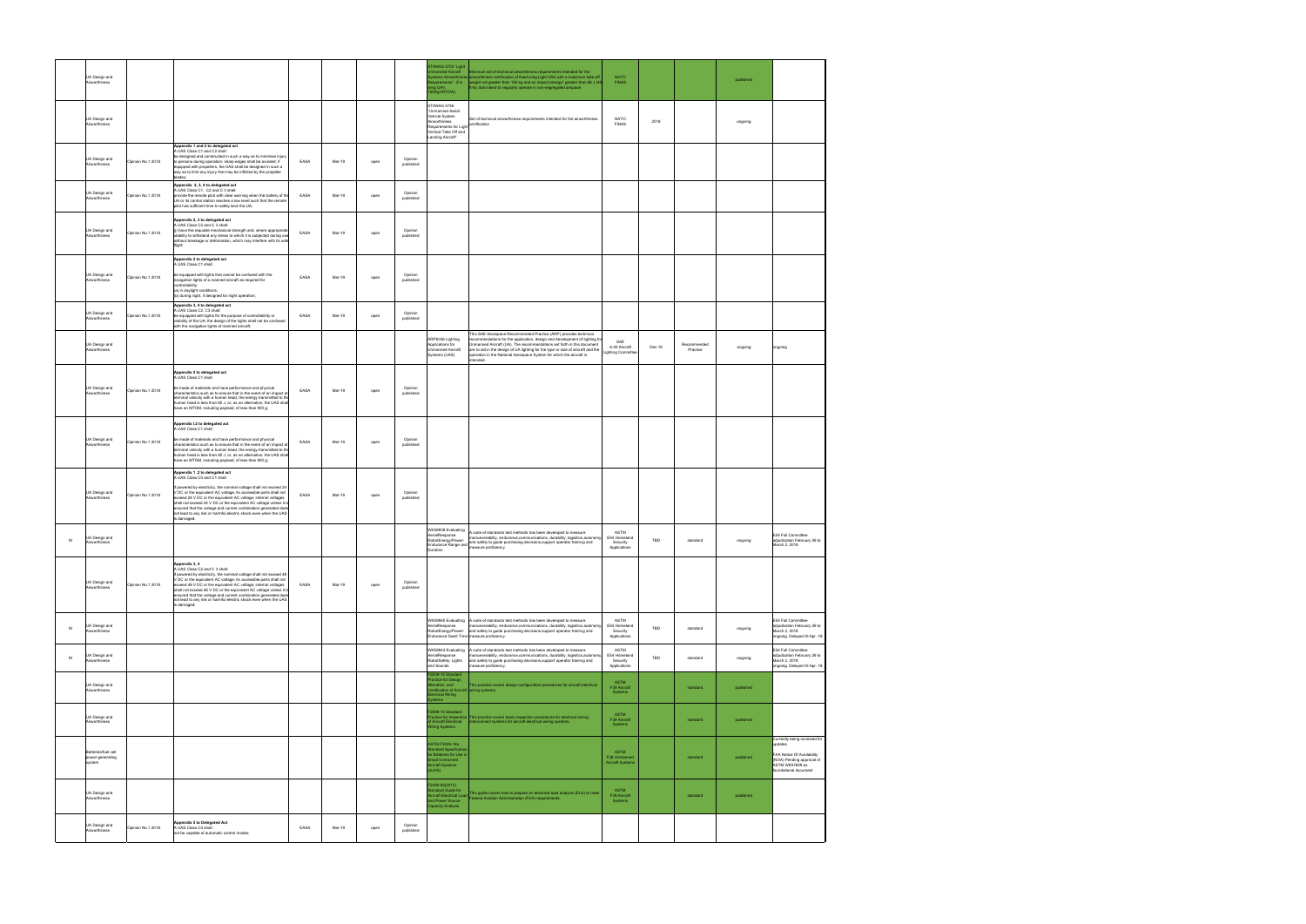|   | UA Design and<br>Airworthiness                    |                   |                                                                                                                                                                                                                                                                                                                                                                                                                                                                                                                                                              |      |        |      |                      | STANAG 4703 'Light<br>nmanned Aircraft<br>stems Airworthine<br>quirements". (Fix<br>ng UAV,<br>50Kg <mtow).< th=""><th>linimum set of technical airworthiness requirements intended for the<br/>airworthiness certification of fixed-wing Light UAS with a maximum take-off<br/>weight not greater than 150 kg and an impact energy1 greater than 66 J (49<br/>t-Ib) that intend to regularly operate in non-segregated airspace</th><th><b>NATO</b><br/><b>FINAS</b></th><th></th><th></th><th>published</th><th></th></mtow).<> | linimum set of technical airworthiness requirements intended for the<br>airworthiness certification of fixed-wing Light UAS with a maximum take-off<br>weight not greater than 150 kg and an impact energy1 greater than 66 J (49<br>t-Ib) that intend to regularly operate in non-segregated airspace                                                                                            | <b>NATO</b><br><b>FINAS</b>                      |        |                         | published |                                                                                                                                                |
|---|---------------------------------------------------|-------------------|--------------------------------------------------------------------------------------------------------------------------------------------------------------------------------------------------------------------------------------------------------------------------------------------------------------------------------------------------------------------------------------------------------------------------------------------------------------------------------------------------------------------------------------------------------------|------|--------|------|----------------------|-----------------------------------------------------------------------------------------------------------------------------------------------------------------------------------------------------------------------------------------------------------------------------------------------------------------------------------------------------------------------------------------------------------------------------------------------------------------------------------------------------------------------------------|---------------------------------------------------------------------------------------------------------------------------------------------------------------------------------------------------------------------------------------------------------------------------------------------------------------------------------------------------------------------------------------------------|--------------------------------------------------|--------|-------------------------|-----------|------------------------------------------------------------------------------------------------------------------------------------------------|
|   | UA Design and<br>Airworthiness                    |                   |                                                                                                                                                                                                                                                                                                                                                                                                                                                                                                                                                              |      |        |      |                      | STANAG 4746<br>'Unmanned Aerial<br>Vehicle System<br>Airworthiness<br>Requirements for Light certification<br>Vertical Take Off and<br>anding Aircraft"                                                                                                                                                                                                                                                                                                                                                                           | Set of technical airworthiness requirements intended for the airworthiness                                                                                                                                                                                                                                                                                                                        | NATO<br><b>FINAS</b>                             | 2018   |                         | ongoing   |                                                                                                                                                |
|   | UA Design and<br>Airworthiness                    | Opinion No.1 2018 | Appendix 1 and 2 to delegated act<br>A UAS Class C1 and C2 shall:<br>be designed and constructed in such a way as to minimise injury<br>to persons during operation; sharp edges shall be avoided; if<br>equipped with propellers, the UAS shall be designed in such a<br>way as to limit any injury that may be inflicted by the propeller<br>blades:                                                                                                                                                                                                       | EASA | Mar-19 | open | Opinion<br>published |                                                                                                                                                                                                                                                                                                                                                                                                                                                                                                                                   |                                                                                                                                                                                                                                                                                                                                                                                                   |                                                  |        |                         |           |                                                                                                                                                |
|   | UA Design and<br>Airworthiness                    | Opinion No.1 2018 | Appendix 2, 3, 4 to delegated act<br>A UAS Class C1, C2 and C 3 shall:<br>provide the remote pilot with clear warning when the battery of th<br>UA or its control station reaches a low level such that the remote<br>pilot has sufficient time to safely land the UA;                                                                                                                                                                                                                                                                                       | EASA | Mar-19 | open | Opinion<br>published |                                                                                                                                                                                                                                                                                                                                                                                                                                                                                                                                   |                                                                                                                                                                                                                                                                                                                                                                                                   |                                                  |        |                         |           |                                                                                                                                                |
|   | UA Design and<br>Airworthiness                    | Opinion No.1 2018 | Appendix 2, 3 to delegated act<br>A UAS Class C2 and C 3 shall:<br>(j) have the requisite mechanical strength and, where appropriate<br>stability to withstand any stress to which it is subjected during use<br>without breakage or deformation, which may interfere with its safe<br>flight:                                                                                                                                                                                                                                                               | EASA | Mar-19 | open | Opinion<br>published |                                                                                                                                                                                                                                                                                                                                                                                                                                                                                                                                   |                                                                                                                                                                                                                                                                                                                                                                                                   |                                                  |        |                         |           |                                                                                                                                                |
|   | UA Design and<br>Airworthiness                    | Opinion No.1 2018 | Appendix 2 to delegated act<br>A UAS Class C1 shall:<br>be equipped with lights that cannot be confused with the<br>navigation lights of a manned aircraft as required for<br>controllability:<br>(a) in daylight conditions;<br>(b) during night, if designed for night operation;                                                                                                                                                                                                                                                                          | EASA | Mar-19 | open | Opinion<br>published |                                                                                                                                                                                                                                                                                                                                                                                                                                                                                                                                   |                                                                                                                                                                                                                                                                                                                                                                                                   |                                                  |        |                         |           |                                                                                                                                                |
|   | UA Design and<br>Airworthiness                    | Opinion No.1 2018 | Appendix 3, 4 to delegated act<br>A UAS Class C2, C3 shall:<br>be equipped with lights for the purpose of controllability or<br>visibility of the UA; the design of the lights shall not be confused<br>with the navigation lights of manned aircraft;                                                                                                                                                                                                                                                                                                       | EASA | Mar-19 | open | Opinion<br>published |                                                                                                                                                                                                                                                                                                                                                                                                                                                                                                                                   |                                                                                                                                                                                                                                                                                                                                                                                                   |                                                  |        |                         |           |                                                                                                                                                |
|   | UA Design and<br>Airworthiness                    |                   |                                                                                                                                                                                                                                                                                                                                                                                                                                                                                                                                                              |      |        |      |                      | ARP6336 Lighting<br>Applications for<br>Unmanned Aircraft<br>Systems (UAS)                                                                                                                                                                                                                                                                                                                                                                                                                                                        | This SAE Aerospace Recommended Practice (ARP) provides technical<br>recommendations for the application, design and development of lighting for<br>Unmanned Aircraft (UA). The recommendations set forth in this document<br>are to aid in the design of UA lighting for the type or size of aircraft and the<br>operation in the National Aerospace System for which the aircraft is<br>ntended. | SAE<br>A-20 Aircraft<br>ighting Committe         | Dec-18 | Recommended<br>Practice | ongoing   | ongoing                                                                                                                                        |
|   | UA Design and<br>Airworthiness                    | Opinion No.1 2018 | Appendix 2 to delegated act<br>A UAS Class C1 shall:<br>be made of materials and have performance and physical<br>characteristics such as to ensure that in the event of an impact at<br>rminal velocity with a human head, the energy transmitted to the<br>human head is less than 80 J, or, as an alternative, the UAS shall                                                                                                                                                                                                                              | EASA | Mar-19 | open | Opinion<br>published |                                                                                                                                                                                                                                                                                                                                                                                                                                                                                                                                   |                                                                                                                                                                                                                                                                                                                                                                                                   |                                                  |        |                         |           |                                                                                                                                                |
|   | UA Design and<br>Airworthiness                    | Opinion No.1 2018 | have an MTOM, including payload, of less than 900 g;<br>Appendix I.2 to delegated act<br>A UAS Class C1 shall:<br>be made of materials and have performance and physical<br>characteristics such as to ensure that in the event of an impact at<br>terminal velocity with a human head, the energy transmitted to the<br>human head is less than 80 J, or, as an alternative, the UAS shall                                                                                                                                                                  | EASA | Mar-19 | open | Opinion<br>published |                                                                                                                                                                                                                                                                                                                                                                                                                                                                                                                                   |                                                                                                                                                                                                                                                                                                                                                                                                   |                                                  |        |                         |           |                                                                                                                                                |
|   | UA Design and<br>Airworthiness                    | Opinion No.1 2018 | have an MTOM, including payload, of less than 900 g;<br>Appendix 1,2 to delegated act<br>A UAS Class C0 and C1 shall:<br>f powered by electricity, the nominal voltage shall not exceed 24<br>V DC or the equivalent AC voltage; its accessible parts shall not<br>xceed 24 V DC or the equivalent AC voltage; internal voltages<br>shall not exceed 24 V DC or the equivalent AC voltage unless it is<br>ensured that the voltage and current combination generated does<br>not lead to any risk or harmful electric shock even when the UAS<br>is damaged; | EASA | Mar-19 | open | Opinion<br>published |                                                                                                                                                                                                                                                                                                                                                                                                                                                                                                                                   |                                                                                                                                                                                                                                                                                                                                                                                                   |                                                  |        |                         |           |                                                                                                                                                |
| M | UA Design and<br>Airworthiness                    |                   |                                                                                                                                                                                                                                                                                                                                                                                                                                                                                                                                                              |      |        |      |                      | WK58939 Evaluating<br>AerialResponse<br>RobotEnergy/Power:<br>Duration                                                                                                                                                                                                                                                                                                                                                                                                                                                            | A suite of standards test methods has been developed to measure<br>manueverability, endurance, communications, durability, logisitics, autonom<br>RobotEnergy/Power:<br>Endurance Range and safety to guide purchasing decisions,support operator training and<br>Duration                                                                                                                        | ASTM<br>E54 Homeland<br>Security<br>Applications | TBD    | standard                | ongoing   | E54 Full Committee<br>adjudication February 26 to<br>March 2, 2018                                                                             |
|   | UA Design and<br>Airworthiness                    | Opinion No.1 2018 | Appendix 3, 4<br>A UAS Class C2 and C 3 shall:<br>if powered by electricity, the nominal voltage shall not exceed 48<br>V DC or the equivalent AC voltage; its accessible parts shall not<br>exceed 48 V DC or the equivalent AC voltage; internal voltages<br>shall not exceed 48 V DC or the equivalent AC voltage unless it is<br>ensured that the voltage and current combination generated does<br>not lead to any risk or harmful electric shock even when the UAS<br>s damaged;                                                                       | EASA | Mar-19 | open | Opinion<br>published |                                                                                                                                                                                                                                                                                                                                                                                                                                                                                                                                   |                                                                                                                                                                                                                                                                                                                                                                                                   |                                                  |        |                         |           |                                                                                                                                                |
| м | UA Design and<br>Airworthiness                    |                   |                                                                                                                                                                                                                                                                                                                                                                                                                                                                                                                                                              |      |        |      |                      | AerialResponse<br>Endurance Dwell Time measure proficiency.                                                                                                                                                                                                                                                                                                                                                                                                                                                                       | WK58940 Evaluating A suite of standards test methods has been developed to measure<br>manueverability endurance communications, durability, logisitics autonomy<br>RobotEnergy/Power: and safety to guide purchasing decisions, support operator training and                                                                                                                                     | ASTM<br>E54 Homeland<br>Security<br>Applications | TBD    | standard                | ongoing   | E54 Full Committee<br>adjudication February 26 to<br>March 2, 2018<br>ongoing. Delayed till Apr -18                                            |
| м | UA Design and<br>Airworthiness                    |                   |                                                                                                                                                                                                                                                                                                                                                                                                                                                                                                                                                              |      |        |      |                      | WK58943 Evaluating<br>AerialResponse<br>RobotSafety: Lights<br>and Sounds<br>2639-15 Star                                                                                                                                                                                                                                                                                                                                                                                                                                         | A suite of standards test methods has been developed to measure<br>manueverability, endurance.communications, durability, logisitics.autonomy<br>and safety to guide purchasing decisions, support operator training and<br>neasure proficiency.                                                                                                                                                  | ASTM<br>E54 Homeland<br>Security<br>Applications | TBD    | standard                | ongoing   | E54 Full Committee<br>adjudication February 26 to<br>March 2, 2018<br>ongoing. Delayed till Apr -18                                            |
|   | UA Design and<br>Airworthiness                    |                   |                                                                                                                                                                                                                                                                                                                                                                                                                                                                                                                                                              |      |        |      |                      | ractice for Design,<br>teration, and<br>Certification of Aircraft<br>lectrical Wiring<br>stem                                                                                                                                                                                                                                                                                                                                                                                                                                     | This practice covers design configuration procedures for aircraft electrical<br>wiring systems.                                                                                                                                                                                                                                                                                                   | <b>ASTM</b><br>F39 Aircraft<br>Systems           |        | standard                | published |                                                                                                                                                |
|   | UA Design and<br>Airworthiness                    |                   |                                                                                                                                                                                                                                                                                                                                                                                                                                                                                                                                                              |      |        |      |                      | F2696-14 Standard<br>ractice for Inspection<br>of Aircraft Electrical<br>iring Systems                                                                                                                                                                                                                                                                                                                                                                                                                                            | This practice covers basic inspection procedures for electrical wiring<br>terconnect systems for aircraft electrical wiring systems.                                                                                                                                                                                                                                                              | ASTM<br>F39 Aircraft<br>Systems                  |        | standard                | published |                                                                                                                                                |
|   | Batteries/fuel cell<br>power generating<br>svstem |                   |                                                                                                                                                                                                                                                                                                                                                                                                                                                                                                                                                              |      |        |      |                      | ASTM F3005-14a<br>tandard Specificatio<br>for Batteries for Use in<br>mall Unmanned<br><b>Vircraft Systems</b><br>sUAS)                                                                                                                                                                                                                                                                                                                                                                                                           |                                                                                                                                                                                                                                                                                                                                                                                                   | ASTM<br>F38 Unmanned<br><b>Aircraft Systems</b>  |        | standard                | published | Currently being reviewed for<br>updates<br>FAA Notice Of Availability<br>(NOA) Pending approval of<br>ASTM WK57659 as<br>foundational document |
|   | UA Design and<br>Airworthiness                    |                   |                                                                                                                                                                                                                                                                                                                                                                                                                                                                                                                                                              |      |        |      |                      | F2490-05(2013)<br>andard Guide for<br>Ind Power Source<br>apacity Analysis                                                                                                                                                                                                                                                                                                                                                                                                                                                        | landard Guide for<br>rcraft Electrical Load This guide covers how to prepare an electrical load analysis (ELA) to meet<br>of Bourer Source Clearel Aviation Administration (FAA) requirements.                                                                                                                                                                                                    | <b>ASTM</b><br>F39 Aircraft<br>Systems           |        | standard                | published |                                                                                                                                                |
|   | UA Design and<br>Airworthiness                    | pinion No.1 2018  | <b>Appendix 5 to Delegated Act</b><br>A UAS Class C4 shall:<br>not be capable of automatic control modes;                                                                                                                                                                                                                                                                                                                                                                                                                                                    | EASA | Mar-19 | open | Opinion<br>published |                                                                                                                                                                                                                                                                                                                                                                                                                                                                                                                                   |                                                                                                                                                                                                                                                                                                                                                                                                   |                                                  |        |                         |           |                                                                                                                                                |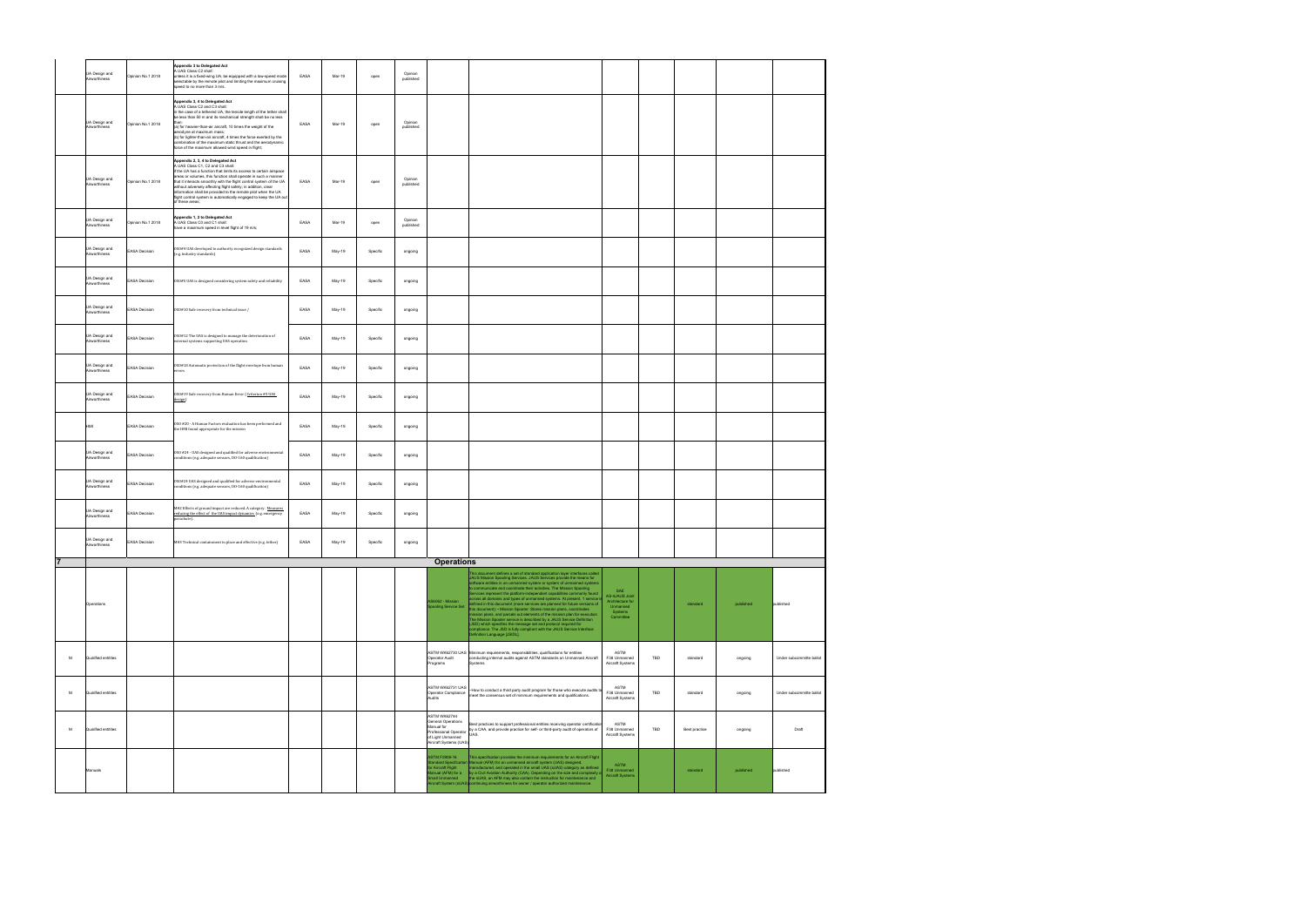|                | UA Design and<br>Airworthiness | Opinion No.1 2018    | Appendix 3 to Delegated Act<br>A UAS Class C2 shall:<br>unless it is a fixed-wing UA, be equipped with a low-speed mode<br>selectable by the remote pilot and limiting the maximum cruising<br>speed to no more than 3 m/s.                                                                                                                                                                                                                                                                                     | EASA | Mar-19 | open     | Opinion<br>published |                                                                                                                                 |                                                                                                                                                                                                                                                                                                                                                                                                                                                                                                                                                                                                                                                                                                                                                                                                                                                                       |                                                                               |     |               |           |                          |
|----------------|--------------------------------|----------------------|-----------------------------------------------------------------------------------------------------------------------------------------------------------------------------------------------------------------------------------------------------------------------------------------------------------------------------------------------------------------------------------------------------------------------------------------------------------------------------------------------------------------|------|--------|----------|----------------------|---------------------------------------------------------------------------------------------------------------------------------|-----------------------------------------------------------------------------------------------------------------------------------------------------------------------------------------------------------------------------------------------------------------------------------------------------------------------------------------------------------------------------------------------------------------------------------------------------------------------------------------------------------------------------------------------------------------------------------------------------------------------------------------------------------------------------------------------------------------------------------------------------------------------------------------------------------------------------------------------------------------------|-------------------------------------------------------------------------------|-----|---------------|-----------|--------------------------|
|                | UA Design and<br>Airworthiness | Opinion No.1 2018    | Appendix 3, 4 to Delegated Act<br>A UAS Class C2 and C3 shall:<br>in the case of a tethered UA, the tensile length of the tether shall<br>be less than 50 m and its mechanical strength shall be no less<br>(a) for heavier-than-air aircraft, 10 times the weight of the<br>aerodyne at maximum mass;<br>(b) for lighter-than-air aircraft, 4 times the force exerted by the<br>combination of the maximum static thrust and the aerodynamic<br>orce of the maximum allowed wind speed in flight;              | EASA | Mar-19 | open     | Opinion<br>published |                                                                                                                                 |                                                                                                                                                                                                                                                                                                                                                                                                                                                                                                                                                                                                                                                                                                                                                                                                                                                                       |                                                                               |     |               |           |                          |
|                | UA Design and<br>Airworthiness | Opinion No.1 2018    | Appendix 2, 3, 4 to Delegated Act<br>A UAS Class C1, C2 and C3 shall:<br>if the UA has a function that limits its access to certain airspace<br>areas or volumes, this function shall operate in such a manner<br>that it interacts smoothly with the flight control system of the UA<br>without adversely affecting flight safety; in addition, clear<br>information shall be provided to the remote pilot when the UA<br>flight control system is automatically engaged to keep the UA out<br>of these areas; | EASA | Mar-19 | open     | Opinion<br>published |                                                                                                                                 |                                                                                                                                                                                                                                                                                                                                                                                                                                                                                                                                                                                                                                                                                                                                                                                                                                                                       |                                                                               |     |               |           |                          |
|                | UA Design and<br>Airworthiness | Opinion No.1 2018    | Appendix 1, 2 to Delegated Act<br>A UAS Class C0 and C1 shall:<br>ave a maximum speed in level flight of 19 m/s;                                                                                                                                                                                                                                                                                                                                                                                                | EASA | Mar-19 | open     | Opinion<br>published |                                                                                                                                 |                                                                                                                                                                                                                                                                                                                                                                                                                                                                                                                                                                                                                                                                                                                                                                                                                                                                       |                                                                               |     |               |           |                          |
|                | UA Design and<br>Airworthiness | EASA Decision        | OSO#4 UAS developed to authority recognized design standards<br>(e.g. industry standards)                                                                                                                                                                                                                                                                                                                                                                                                                       | EASA | May-19 | Specific | ongoing              |                                                                                                                                 |                                                                                                                                                                                                                                                                                                                                                                                                                                                                                                                                                                                                                                                                                                                                                                                                                                                                       |                                                                               |     |               |           |                          |
|                | UA Design and<br>Airworthiness | EASA Decision        | 0S0#5 UAS is designed considering system safety and reliability                                                                                                                                                                                                                                                                                                                                                                                                                                                 | EASA | May-19 | Specific | ongoing              |                                                                                                                                 |                                                                                                                                                                                                                                                                                                                                                                                                                                                                                                                                                                                                                                                                                                                                                                                                                                                                       |                                                                               |     |               |           |                          |
|                | UA Design and<br>Airworthiness | <b>EASA Decision</b> | 0S0#10 Safe recovery from technical issue /                                                                                                                                                                                                                                                                                                                                                                                                                                                                     | EASA | May-19 | Specific | ongoing              |                                                                                                                                 |                                                                                                                                                                                                                                                                                                                                                                                                                                                                                                                                                                                                                                                                                                                                                                                                                                                                       |                                                                               |     |               |           |                          |
|                | UA Design and<br>Airworthiness | EASA Decision        | 0SO#12 The UAS is designed to manage the deterioration of<br>external systems supporting UAS operation                                                                                                                                                                                                                                                                                                                                                                                                          | EASA | May-19 | Specific | ongoing              |                                                                                                                                 |                                                                                                                                                                                                                                                                                                                                                                                                                                                                                                                                                                                                                                                                                                                                                                                                                                                                       |                                                                               |     |               |           |                          |
|                | UA Design and<br>Airworthiness | EASA Decision        | OSO#18 Automatic protection of the flight envelope from human<br>rrors                                                                                                                                                                                                                                                                                                                                                                                                                                          | EASA | May-19 | Specific | ongoing              |                                                                                                                                 |                                                                                                                                                                                                                                                                                                                                                                                                                                                                                                                                                                                                                                                                                                                                                                                                                                                                       |                                                                               |     |               |           |                          |
|                | UA Design and<br>Airworthiness | ASA Decision         | OSO#19 Safe recovery from Human Error (Criterion #3 UAS<br>lesign)                                                                                                                                                                                                                                                                                                                                                                                                                                              | EASA | May-19 | Specific | ongoing              |                                                                                                                                 |                                                                                                                                                                                                                                                                                                                                                                                                                                                                                                                                                                                                                                                                                                                                                                                                                                                                       |                                                                               |     |               |           |                          |
|                | HMI                            | <b>EASA Decision</b> | OSO #20 - A Human Factors evaluation has been performed and<br>the HMI found appropriate for the mission                                                                                                                                                                                                                                                                                                                                                                                                        | EASA | May-19 | Specific | ongoing              |                                                                                                                                 |                                                                                                                                                                                                                                                                                                                                                                                                                                                                                                                                                                                                                                                                                                                                                                                                                                                                       |                                                                               |     |               |           |                          |
|                | UA Design and<br>Airworthiness | <b>EASA Decision</b> | OSO #24 - UAS designed and qualified for adverse environmental<br>conditions (e.g. adequate sensors, DO-160 qualification)                                                                                                                                                                                                                                                                                                                                                                                      | EASA | May-19 | Specific | ongoing              |                                                                                                                                 |                                                                                                                                                                                                                                                                                                                                                                                                                                                                                                                                                                                                                                                                                                                                                                                                                                                                       |                                                                               |     |               |           |                          |
|                | UA Design and<br>Airworthiness | ASA Decision         | 0S0#24 UAS designed and qualified for adverse environmental<br>onditions (e.g. adequate sensors, DO-160 qualification)                                                                                                                                                                                                                                                                                                                                                                                          | EASA | May-19 | Specific | ongoing              |                                                                                                                                 |                                                                                                                                                                                                                                                                                                                                                                                                                                                                                                                                                                                                                                                                                                                                                                                                                                                                       |                                                                               |     |               |           |                          |
|                | UA Design and<br>Airworthiness | EASA Decision        | M#2 Effects of ground impact are reduced. A category. Measures<br>reducing the effect of the UAS impact dynamics (e.g. emergency<br>parachute).                                                                                                                                                                                                                                                                                                                                                                 | EASA | May-19 | Specific | ongoing              |                                                                                                                                 |                                                                                                                                                                                                                                                                                                                                                                                                                                                                                                                                                                                                                                                                                                                                                                                                                                                                       |                                                                               |     |               |           |                          |
|                | UA Design and<br>Airworthiness | EASA Decision        | M#3 Technical containment in place and effective (e.g. tether)                                                                                                                                                                                                                                                                                                                                                                                                                                                  | EASA | May-19 | Specific | ongoing              |                                                                                                                                 |                                                                                                                                                                                                                                                                                                                                                                                                                                                                                                                                                                                                                                                                                                                                                                                                                                                                       |                                                                               |     |               |           |                          |
| $\overline{7}$ |                                |                      |                                                                                                                                                                                                                                                                                                                                                                                                                                                                                                                 |      |        |          |                      | <b>Operations</b>                                                                                                               | This document defines a set of standard application layer interfaces called                                                                                                                                                                                                                                                                                                                                                                                                                                                                                                                                                                                                                                                                                                                                                                                           |                                                                               |     |               |           |                          |
|                | Operations                     |                      |                                                                                                                                                                                                                                                                                                                                                                                                                                                                                                                 |      |        |          |                      | AS6062 - Mission<br><b>Spooling Service Set</b>                                                                                 | JAUS Mission Spooling Services. JAUS Services provide the means for<br>software entities in an unmanned system or system of unmanned systems<br>to communicate and coordinate their activities. The Mission Spooling<br>Services represent the platform-independent capabilities commonly found<br>across all domains and types of unmanned systems. At present, 1 service i<br>defined in this document (more services are planned for future versions of<br>this document): • Mission Spooler: Stores mission plans, coordinates<br>mission plans, and parcels out elements of the mission plan for execution<br>The Mission Spooler service is described by a JAUS Service Definition<br>(JSD) which specifies the message set and protocol required for<br>compliance. The JSD is fully compliant with the JAUS Service Interface<br>Definition Language [JSIDL]. | SAE<br>AS-4JAUS Joint<br>Architecture for<br>Unmanned<br>Systems<br>Committee |     | standard      | published | published                |
| M              | Qualified entitites            |                      |                                                                                                                                                                                                                                                                                                                                                                                                                                                                                                                 |      |        |          |                      | Operator Audit<br>Programs                                                                                                      | ASTM WK62730 UAS Minimum requirements, responsibilities, qualifications for entities<br>conducting internal audits against ASTM standards on Unmanned Aircraft<br>Systems                                                                                                                                                                                                                                                                                                                                                                                                                                                                                                                                                                                                                                                                                             | ASTM<br>F38 Unmanned<br>Aircraft Systems                                      | TBD | standard      | ongoing   | Under subcommitte ballot |
| M              | Qualified entitites            |                      |                                                                                                                                                                                                                                                                                                                                                                                                                                                                                                                 |      |        |          |                      | ASTM WK62731 UAS<br>Operator Compliance<br>Audits                                                                               | -How to conduct a third party audit program for those who execute audits to<br>meet the consensus set of minimum requirements and qualifications.                                                                                                                                                                                                                                                                                                                                                                                                                                                                                                                                                                                                                                                                                                                     | ASTM<br>F38 Unmanned<br>Aircraft Systems                                      | TBD | standard      | ongoing   | Under subcommitte ballot |
| м              | Qualified entitites            |                      |                                                                                                                                                                                                                                                                                                                                                                                                                                                                                                                 |      |        |          |                      | ASTM WK62744<br><b>General Operations</b><br>Manual for<br>Professional Operator<br>of Light Unmanned<br>Aircraft Systems (UAS) | Best practices to support professional entities receiving operator certification<br>by a CAA, and provide practice for self- or third-party audit of operators of<br>UAS.                                                                                                                                                                                                                                                                                                                                                                                                                                                                                                                                                                                                                                                                                             | ASTM<br>F38 Unmanned<br>Aircraft Systems                                      | TBD | Best practice | ongoing   | Draft                    |
|                | Manuals                        |                      |                                                                                                                                                                                                                                                                                                                                                                                                                                                                                                                 |      |        |          |                      | <b>ASTM F2908-16</b><br>or Aircraft Flight                                                                                      | This specification provides the minimum requirements for an Aircraft Flight<br>Standard Specification Manual (AFM) for an unmanned aircraft system (UAS) designed,<br>manufactured, and operated in the small UAS (sUAS) category as defined<br>lanual (AFM) for a by a Civil Aviation Authority (CAA). Depending on the size and complexity of<br>nall Unmanned the sUAS, an AFM may also contain the instruction for maintenance and<br>rcraft System (sUAS) continuing airworthiness for owner / operator authorized maintenance.                                                                                                                                                                                                                                                                                                                                  | <b>ASTM</b><br>F38 Unmanned<br>Aircraft Systems                               |     | standard      | published | published                |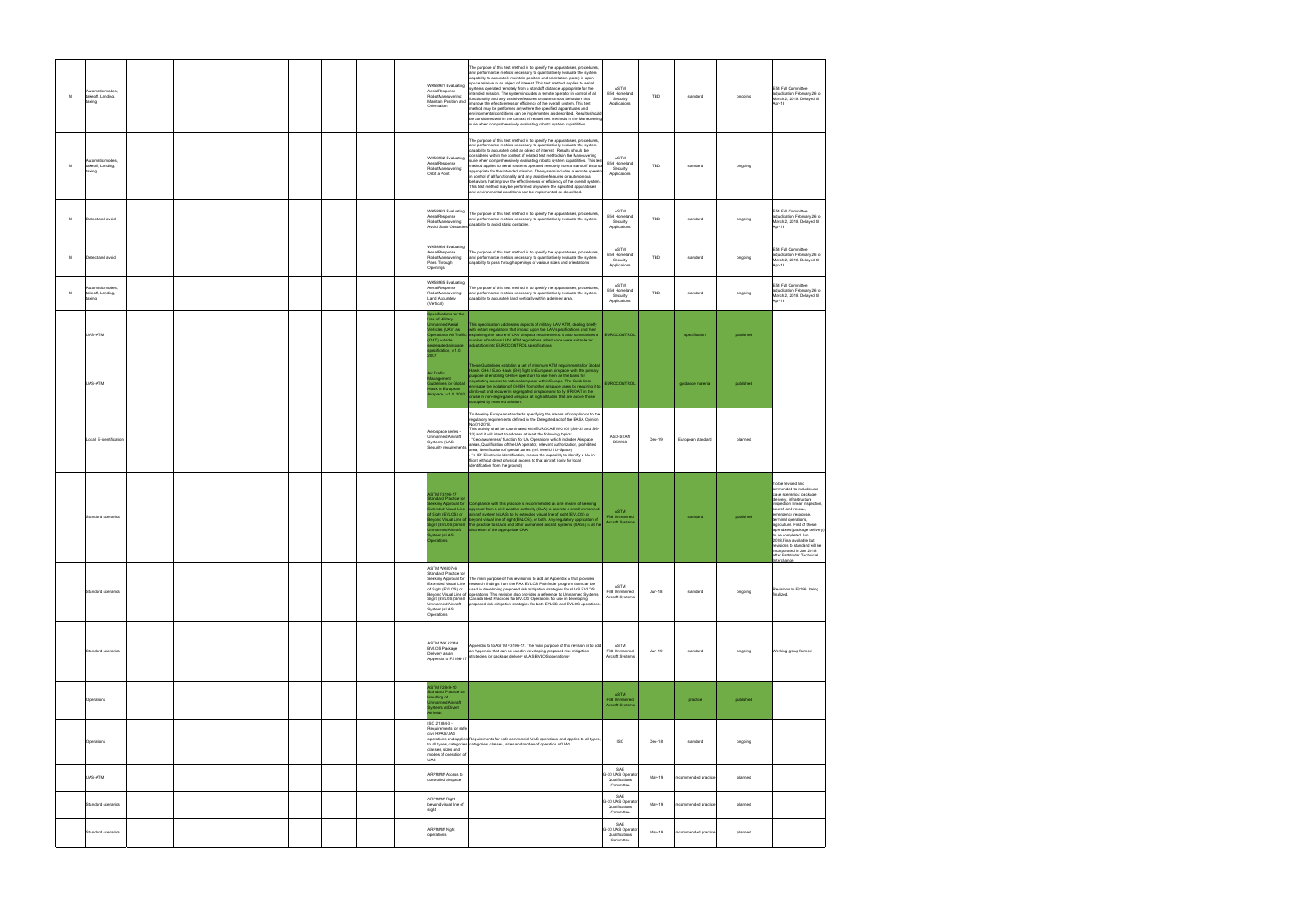| M | utomatic modes,<br>takeoff. Landing.<br>pnixa |  |  | WK58931 Evaluating<br>AerialResponse<br>RobotManeuvering:<br>Maintain Position and<br>Orientation                                                                                                     | The purpose of this test method is to specify the apparatuses, procedures,<br>and performance metrics necessary to quantitatively evaluate the system<br>capability to accurately maintain position and orientation (pose) in open<br>space relative to an object of interest. This test method applies to aerial<br>systems operated remotely from a standoff distance appropriate for the<br>tended mission. The system includes a remote operator in control of all<br>unctionality and any assistive features or autonomous behaviors that<br>mprove the effectiveness or efficiency of the overall system. This test<br>method may be performed anywhere the specified apparatuses and<br>environmental conditions can be implemented as described. Results should<br>be considered within the context of related test methods in the Maneuverin<br>suite when comprehensively evaluating robotic system capabilities. | ASTM<br>E54 Homeland<br>Security<br>Applications       | TBD      | standard             | ongoing   | E54 Full Committee<br>adjudication February 26 to<br>March 2, 2018. Delayed till<br>Apr-18                                                                                                                                                                                                                                                                                                                                         |
|---|-----------------------------------------------|--|--|-------------------------------------------------------------------------------------------------------------------------------------------------------------------------------------------------------|-----------------------------------------------------------------------------------------------------------------------------------------------------------------------------------------------------------------------------------------------------------------------------------------------------------------------------------------------------------------------------------------------------------------------------------------------------------------------------------------------------------------------------------------------------------------------------------------------------------------------------------------------------------------------------------------------------------------------------------------------------------------------------------------------------------------------------------------------------------------------------------------------------------------------------|--------------------------------------------------------|----------|----------------------|-----------|------------------------------------------------------------------------------------------------------------------------------------------------------------------------------------------------------------------------------------------------------------------------------------------------------------------------------------------------------------------------------------------------------------------------------------|
| M | utomatic modes<br>takeoff, Landing,<br>prix   |  |  | WK58932 Evaluating<br>AerialResponse<br>RobotManeuvering:<br>Orbit a Point                                                                                                                            | The purpose of this test method is to specify the apparatuses, procedures,<br>and performance metrics necessary to quantitatively evaluate the system<br>capability to accurately orbit an object of interest . Results should be<br>considered within the context of related test methods in the Maneuvering<br>suite when comprehensively evaluating robotic system capabilities. This tes<br>nethod applies to aerial systems operated remotely from a standoff distanc<br>appropriate for the intended mission. The system includes a remote operato<br>n control of all functionality and any assistive features or autonomous<br>behaviors that improve the effectiveness or efficiency of the overall system.<br>This test method may be performed anywhere the specified apparatuses<br>and environmental conditions can be implemented as described.                                                               | ASTM<br>E54 Homeland<br>Security<br>Applications       | TBD      | standard             | ongoing   |                                                                                                                                                                                                                                                                                                                                                                                                                                    |
| M | Detect and avoid                              |  |  | WK58933 Evaluating<br>AerialResponse<br>RobotManeuvering:<br><b>Avoid Static Obstacles</b>                                                                                                            | The purpose of this test method is to specify the apparatuses, procedures,<br>and performance metrics necessary to quantitatively evaluate the system<br>capability to avoid static obstacles.                                                                                                                                                                                                                                                                                                                                                                                                                                                                                                                                                                                                                                                                                                                              | ASTM<br>E54 Homeland<br>Security<br>Applications       | TBD      | standard             | ongoing   | E54 Full Committee<br>adiudication February 26 to<br>March 2, 2018. Delayed till<br>Apr-18                                                                                                                                                                                                                                                                                                                                         |
| M | Detect and avoid                              |  |  | WK58934 Evaluating<br>AerialResponse<br>RobotManeuvering:<br>Pass Through<br>Openings                                                                                                                 | The purpose of this test method is to specify the apparatuses, procedures,<br>and performance metrics necessary to quantitatively evaluate the system<br>capability to pass through openings of various sizes and orientations.                                                                                                                                                                                                                                                                                                                                                                                                                                                                                                                                                                                                                                                                                             | ASTM<br>E54 Homeland<br>Security<br>Applications       | TBD      | standard             | ongoing   | E54 Full Committee<br>adjudication February 26 to<br>March 2, 2018. Delayed till<br>Apr-18                                                                                                                                                                                                                                                                                                                                         |
| M | utomatic modes,<br>takeoff, Landing,<br>pnixa |  |  | WK58935 Evaluating<br>AerialResponse<br>RobotManeuvering:<br>Land Accurately<br>(Vertical)                                                                                                            | The purpose of this test method is to specify the apparatuses, procedures,<br>and performance metrics necessary to quantitatively evaluate the system<br>capability to accurately land vertically within a defined area.                                                                                                                                                                                                                                                                                                                                                                                                                                                                                                                                                                                                                                                                                                    | ASTM<br>E54 Homeland<br>Security<br>Applications       | TBD      | standard             | ongoing   | E54 Full Committee<br>adjudication February 26 to<br>March 2, 2018. Delayed till<br>Apr-18                                                                                                                                                                                                                                                                                                                                         |
|   | UAS-ATM                                       |  |  | pecifications for the<br>.<br>Ise of Military<br>nmanned Aerial<br>hicles (UAV) as<br>DAT) outside<br>gregated airspace<br>ecification, v 1.0,<br>m7                                                  | This specification addresses aspects of military UAV ATM, dealing briefly<br>with extant regulations that impact upon the UAV specifications and then<br>perational Air Traffic explaining the nature of UAV airspace requirements. It also summarises a<br>umber of national UAV ATM regulations, albeit none were suitable for<br>adaptation into EUROCONTROL specifications                                                                                                                                                                                                                                                                                                                                                                                                                                                                                                                                              | <b>EUROCONTROL</b>                                     |          | specification        | published |                                                                                                                                                                                                                                                                                                                                                                                                                                    |
|   | JAS-ATM                                       |  |  | <b>Nir Traffic</b><br>inagement<br>iidelines for Global<br>lawk in European<br>irspace, v 1.0, 2010                                                                                                   | These Guidelines establish a set of minimum ATM requirements for Global<br>Hawk (GH) / Euro Hawk (EH) flight in European airspace, with the primary<br>urpose of enabling GH/EH operators to use them as the basis for<br>gotiating access to national airspace within Europe. The Guidelines<br>nvisage the isolation of GH/EH from other airspace users by requiring it to<br>limb-out and recover in segregated airspace and to fly IFR/OAT in the<br>ruise in non-segregated airspace at high altitudes that are above those<br>ccupied by manned aviation.                                                                                                                                                                                                                                                                                                                                                             | EUROCONTROL                                            |          | guidance material    | published |                                                                                                                                                                                                                                                                                                                                                                                                                                    |
|   | Local E-identification                        |  |  | Aerospace series -<br>Unmanned Aircraft<br>Systems (UAS) -<br>Security requirements                                                                                                                   | To develop European standards specifying the means of compliance to the<br>regulatory requirements defined in the Delegated act of the EASA Opinion<br>No 01-2018.<br>This activity shall be coordinated with EUROCAE WG105 (SG-32 and SG-<br>33) and it will intent to address at least the following topics:<br>"Geo-awareness" function for UA Operations which includes Airspace<br>areas, Qualification of the UA operator, relevant authorization, prohibited<br>area, identification of special zones (ref. level U1 U-Space)<br>"e-ID" Electronic Identification, means the capability to identify a UA in<br>flight without direct physical access to that aircraft (only for local<br>identification from the ground)                                                                                                                                                                                             | ASD-STAN<br>D5WG8                                      | Dec-19   | European standard    | planned   |                                                                                                                                                                                                                                                                                                                                                                                                                                    |
|   | Standard scenarios                            |  |  | <b>ASTM F3196-17</b><br>andard Practice for<br>Sight (EVLOS) or<br>manned Aircraft<br>ystem (sUAS)<br>perations                                                                                       | eking Approval for Compliance with this practice is recommended as one means of seeking<br>ktended Visual Line   approval from a civil aviation authority (CAA) to operate a small unmanned<br>aircraft system (sUAS) to fly extended visual line of sight (EVLOS) or<br>yond Visual Line of beyond visual line of sight (BVLOS), or both. Any regulatory application of<br>ght (BVLOS) Small this practice to sUAS and other unmanned aircraft systems (UASs) is at the<br>discretion of the appropriate CAA.                                                                                                                                                                                                                                                                                                                                                                                                              | ASTM<br>F38 Unmanned<br><b>Aircraft Systems</b>        |          | standard             | published | To be revised and<br>ammended to include use<br>case scenarios: package<br>delivery, infrastructure<br>inspection, linear inspection<br>search and rescue,<br>emergency response,<br>terminal operations,<br>agriculture. First of these<br>apendixes (package delivery)<br>to be completed Jun<br>2018. Final available but<br>revisions to standard will be<br>incorporated in Jan 2018<br>after Pathfinder Technical<br>terchan |
|   | Standard scenarios                            |  |  | <b>ASTM WK60746</b><br><b>Standard Practice for</b><br>Seeking Approval for<br>Extended Visual Line<br>of Sight (EVLOS) or<br>Sight (BVLOS) Small<br>Unmanned Aircraft<br>System (sUAS)<br>Operations | The main purpose of this revision is to add an Appendix A that provides<br>research findings from the FAA EVLOS Pathfinder program than can be<br>used in developing proposed risk mitigation strategies for sUAS EVLOS<br>Beyond Visual Line of operations. This revision also provides a reference to Unmanned Systems<br>Canada Best Practices for BVLOS Operations for use in developing<br>proposed risk mitigation strategies for both EVLOS and BVLOS operations.                                                                                                                                                                                                                                                                                                                                                                                                                                                    | ASTM<br>F38 Unmanned<br>Aircraft Systems               | $Jun-18$ | standard             | ongoing   | Revisions to F3196 being<br>finalized.                                                                                                                                                                                                                                                                                                                                                                                             |
|   | Standard scenarios                            |  |  | <b>ASTM WK 62344</b><br><b>BVLOS Package</b><br>Delivery as an<br>Appendix to F3196-17                                                                                                                | Appendix to to ASTM F3196-17. The main purpose of this revision is to add<br>an Appendix that can be used in developing proposed risk mitigation<br>strategies for package delivery sUAS BVLOS operationsy                                                                                                                                                                                                                                                                                                                                                                                                                                                                                                                                                                                                                                                                                                                  | ASTM<br>F38 Unmanned<br>Aircraft Systems               | $Jun-19$ | standard             | ongoing   | Working group formed                                                                                                                                                                                                                                                                                                                                                                                                               |
|   | Operations                                    |  |  | <b>ASTM F2849-10</b><br>tandard Practice for<br>andling of<br>nmanned Aircraft<br>stems at Divert<br>rfields                                                                                          |                                                                                                                                                                                                                                                                                                                                                                                                                                                                                                                                                                                                                                                                                                                                                                                                                                                                                                                             | <b>ASTM</b><br>F38 Unmanned<br><b>Aircraft Systems</b> |          | practice             | published |                                                                                                                                                                                                                                                                                                                                                                                                                                    |
|   | Operations                                    |  |  | ISO 21384-3 -<br>Requirements for safe<br>civil RPAS/UAS<br>classes, sizes and<br>modes of operation of<br>UAS.                                                                                       | operations and applies Requirements for safe commercial UAS operations and applies to all types,<br>to all types, categories, categories, classes, sizes and modes of operation of UAS.                                                                                                                                                                                                                                                                                                                                                                                                                                                                                                                                                                                                                                                                                                                                     | ISO                                                    | Dec-18   | standard             | ongoing   |                                                                                                                                                                                                                                                                                                                                                                                                                                    |
|   | UAS-ATM                                       |  |  | ARP#### Access to<br>controlled airspace                                                                                                                                                              |                                                                                                                                                                                                                                                                                                                                                                                                                                                                                                                                                                                                                                                                                                                                                                                                                                                                                                                             | SAE<br>G-30 UAS Operato<br>Qualifications<br>Committee | May-19   | recommended practic  | planned   |                                                                                                                                                                                                                                                                                                                                                                                                                                    |
|   | Standard scenarios                            |  |  | ARP#### Flight<br>beyond visual line of<br>sight                                                                                                                                                      |                                                                                                                                                                                                                                                                                                                                                                                                                                                                                                                                                                                                                                                                                                                                                                                                                                                                                                                             | SAE<br>G-30 UAS Operato<br>Qualifications<br>Committee | May-19   | ecommended practice  | planned   |                                                                                                                                                                                                                                                                                                                                                                                                                                    |
|   | Standard scenarios                            |  |  | ARP#### Night<br>operations                                                                                                                                                                           |                                                                                                                                                                                                                                                                                                                                                                                                                                                                                                                                                                                                                                                                                                                                                                                                                                                                                                                             | SAE<br>G-30 UAS Operato<br>Qualifications<br>Committee | May-19   | recommended practice | planned   |                                                                                                                                                                                                                                                                                                                                                                                                                                    |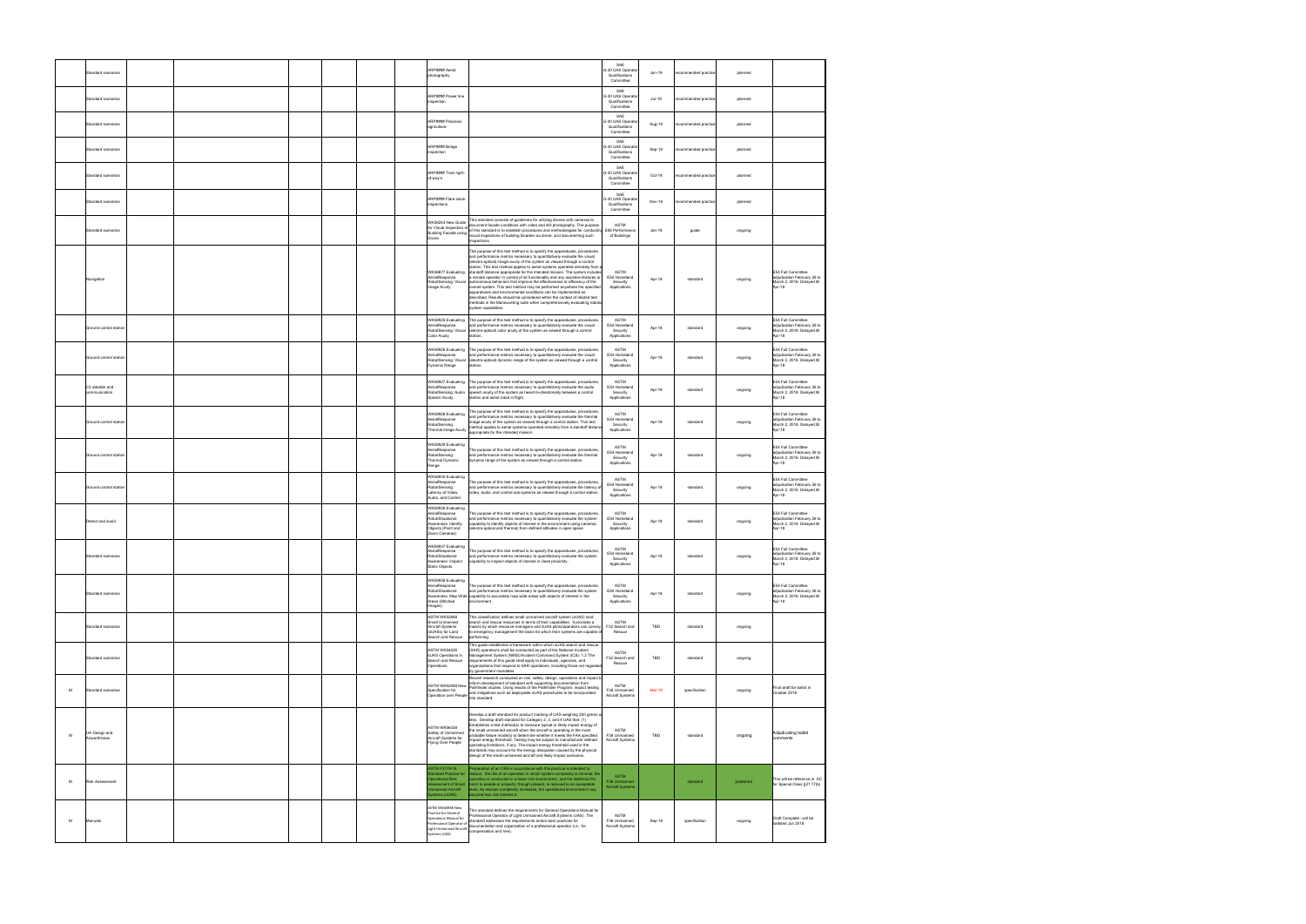| Standard scenarios                  |  |  | ARP#### Aerial<br>photography                                                                                                                   |                                                                                                                                                                                                                                                                                                                                                                                                                                                                                                                                                                                                                                                                                                                                                                                                                                                                                                | SAE<br>3-30 UAS Operato<br>Qualifications<br>Committee | Jun-19        | commended practio    | planned   |                                                                                            |
|-------------------------------------|--|--|-------------------------------------------------------------------------------------------------------------------------------------------------|------------------------------------------------------------------------------------------------------------------------------------------------------------------------------------------------------------------------------------------------------------------------------------------------------------------------------------------------------------------------------------------------------------------------------------------------------------------------------------------------------------------------------------------------------------------------------------------------------------------------------------------------------------------------------------------------------------------------------------------------------------------------------------------------------------------------------------------------------------------------------------------------|--------------------------------------------------------|---------------|----------------------|-----------|--------------------------------------------------------------------------------------------|
| Standard scenarios                  |  |  | ARP#### Power line<br>nspection                                                                                                                 |                                                                                                                                                                                                                                                                                                                                                                                                                                                                                                                                                                                                                                                                                                                                                                                                                                                                                                | SAE<br>3-30 UAS Operato<br>Qualifications<br>Committee | Jul-19        | commended practic    | planned   |                                                                                            |
| Standard scenarios                  |  |  | ARP#### Precision<br>agriculture                                                                                                                |                                                                                                                                                                                                                                                                                                                                                                                                                                                                                                                                                                                                                                                                                                                                                                                                                                                                                                | SAE<br>3-30 UAS Operate<br>Qualifications<br>Committee | Aug-19        | recommended practice | planned   |                                                                                            |
| Standard scenarios                  |  |  | ARP#### Bridge<br>nspection                                                                                                                     |                                                                                                                                                                                                                                                                                                                                                                                                                                                                                                                                                                                                                                                                                                                                                                                                                                                                                                | SAE<br>3-30 UAS Operato<br>Qualifications<br>Committee | Sep-19        | ecommended practice  | planned   |                                                                                            |
| Standard scenarios                  |  |  | ARP#### Train right-<br>of-way's                                                                                                                |                                                                                                                                                                                                                                                                                                                                                                                                                                                                                                                                                                                                                                                                                                                                                                                                                                                                                                | SAF<br>3-30 UAS Operato<br>Qualifications<br>Committee | Oct-19        | recommended practice | planned   |                                                                                            |
| Standard scenarios                  |  |  | ARP#### Flare stack<br>nspections                                                                                                               |                                                                                                                                                                                                                                                                                                                                                                                                                                                                                                                                                                                                                                                                                                                                                                                                                                                                                                | SAE<br>G-30 UAS Operato<br>Qualifications<br>Committee | Nov-19        | recommended practice | planned   |                                                                                            |
| Standard scenarios                  |  |  | WK58243 New Guide<br>for Visual Inspection of                                                                                                   | This standard consists of guidelines for utilizing drones with cameras to<br>document facade conditions with video and still photography. The purpose<br>of this standard is to establish procedures and methodologies for conducting<br>Building Facade using virus sensors is was sensored procedured.<br>-<br>-<br>nspections.                                                                                                                                                                                                                                                                                                                                                                                                                                                                                                                                                              | ASTM<br>E06 Performance<br>of Buildings                | Jan-18        | guide                | ongoing   |                                                                                            |
| Navigation                          |  |  | WK58677 Evaluating<br>AerialResponse<br>RobotSensing: Visual<br>Image Acuity                                                                    | The purpose of this test method is to specify the apparatuses, procedures,<br>and performance metrics necessary to quantitatively evaluate the visual<br>(electro-optical) image acuity of the system as viewed through a control<br>station. This test method applies to aerial systems operated remotely from a<br>standoff distance appropriate for the intended mission. The system includes<br>a remote operator in control of all functionality and any assistive features or<br>autonomous behaviors that improve the effectiveness or efficiency of the<br>overall system. This test method may be performed anywhere the specified<br>apparatuses and environmental conditions can be implemented as<br>described. Results should be considered within the context of related test<br>methods in the Maneuvering suite when comprehensively evaluating roboti<br>system capabilities. | ASTM<br>E54 Homeland<br>Security<br>Applications       | Apr-18        | standard             | ongoing   | E54 Full Committee<br>adjudication February 26 to<br>March 2, 2018. Delayed till<br>Apr-18 |
| Ground control station              |  |  | WK58925 Evaluating<br>AerialResponse<br>RobotSensing: Visual<br>Color Acuity                                                                    | The purpose of this test method is to specify the apparatuses, procedures.<br>and performance metrics necessary to quantitatively evaluate the visual<br>(electro-optical) color acuity of the system as viewed through a control<br>tation.                                                                                                                                                                                                                                                                                                                                                                                                                                                                                                                                                                                                                                                   | ASTM<br>E54 Homeland<br>Security<br>Applications       | Apr-18        | standard             | ongoing   | E54 Full Committee<br>adjudication February 26 to<br>March 2, 2018. Delayed till<br>Apr-18 |
| Ground control station              |  |  | AerialResponse<br>RobotSensing: Visual<br>Dynamic Range                                                                                         | WK58926 Evaluating The purpose of this test method is to specify the apparatuses, procedures,<br>and performance metrics necessary to quantitatively evaluate the visual<br>(electro-optical) dynamic range of the system as viewed through a control<br>station.                                                                                                                                                                                                                                                                                                                                                                                                                                                                                                                                                                                                                              | ASTM<br>E54 Homeland<br>Security<br>Applications       | Apr-18        | standard             | ongoing   | E54 Full Committee<br>adjudication February 26 to<br>March 2, 2018. Delayed till<br>Apr-18 |
| C3 datalink and<br>communication    |  |  | WK58927 Evaluating<br>AerialResponse<br>RobotSensing: Audio<br>Speech Acuity                                                                    | The purpose of this test method is to specify the apparatuses, procedures,<br>and performance metrics necessary to quantitatively evaluate the audio<br>speech acuity of the system as heard bi-directionally between a control<br>station and aerial robot in flight.                                                                                                                                                                                                                                                                                                                                                                                                                                                                                                                                                                                                                         | ASTM<br>E54 Homeland<br>Security<br>Applications       | Apr-18        | standard             | ongoing   | E54 Full Committee<br>adjudication February 26 to<br>March 2, 2018. Delayed till<br>Apr-18 |
| Ground control station              |  |  | WK58928 Evaluating<br>AerialResponse<br>RobotSensing:<br>Thermal Image Acuity                                                                   | The purpose of this test method is to specify the apparatuses, procedures,<br>and performance metrics necessary to quantitatively evaluate the thermal<br>mage acuity of the system as viewed through a control station. This test<br>nethod applies to aerial systems operated remotely from a standoff distan<br>appropriate for the intended mission                                                                                                                                                                                                                                                                                                                                                                                                                                                                                                                                        | ASTM<br>E54 Homeland<br>Security<br>Applications       | Apr-18        | standard             | ongoing   | E54 Full Committee<br>adjudication February 26 to<br>March 2, 2018. Delayed till<br>Apr-18 |
| Ground control station              |  |  | WK58929 Evaluating<br>AerialResponse<br>RobotSensing:<br>Thermal Dynamic<br>Range                                                               | The purpose of this test method is to specify the apparatuses, procedures,<br>and performance metrics necessary to quantitatively evaluate the thermal<br>dynamic range of the system as viewed through a control station.                                                                                                                                                                                                                                                                                                                                                                                                                                                                                                                                                                                                                                                                     | ASTM<br>E54 Homeland<br>Security<br>Applications       | Apr-18        | standard             | ongoing   | E54 Full Committee<br>adjudication February 26 to<br>March 2, 2018. Delayed till<br>Apr-18 |
| Ground control station              |  |  | WK58930 Evaluating<br>AerialResponse<br>RobotSensing:<br>Latency of Video,<br>Audio, and Control                                                | The purpose of this test method is to specify the apparatuses, procedures,<br>and performance metrics necessary to quantitatively evaluate the latency of<br>video, audio, and control sub-systems as viewed through a control station.                                                                                                                                                                                                                                                                                                                                                                                                                                                                                                                                                                                                                                                        | ASTM<br>E54 Homeland<br>Security<br>Applications       | Apr-18        | standard             | ongoing   | E54 Full Committee<br>adjudication February 26 to<br>March 2, 2018. Delayed till<br>Apr-18 |
| Detect and avoid                    |  |  | WK58936 Evaluating<br>AerialResponse<br>RobotSituational<br>wareness: Identify<br>Objects (Point and<br>(oom Cameras)                           | The purpose of this test method is to specify the apparatuses, procedures,<br>and performance metrics necessary to quantitatively evaluate the system<br>capability to identify objects of interest in the environment using cameras<br>electro-optical and thermal) from defined altitudes in open space.                                                                                                                                                                                                                                                                                                                                                                                                                                                                                                                                                                                     | ASTM<br>E54 Homeland<br>Security<br>Applications       | Apr-18        | standard             | ongoing   | E54 Full Committee<br>adjudication February 26 to<br>March 2, 2018. Delayed till<br>Apr-18 |
| Standard scenarios                  |  |  | WK58937 Evaluating<br>AerialResponse<br>RobotSituational<br>Awareness: Inspect<br><b>Static Objects</b>                                         | The purpose of this test method is to specify the apparatuses, procedures,<br>and performance metrics necessary to quantitatively evaluate the system<br>capability to inspect objects of interest in close proximity                                                                                                                                                                                                                                                                                                                                                                                                                                                                                                                                                                                                                                                                          | ASTM<br>E54 Homeland<br>Security<br>Applications       | Apr-18        | standard             | ongoing   | E54 Full Committee<br>adjudication February 26 to<br>March 2, 2018. Delayed till<br>Apr-18 |
| Standard scenarios                  |  |  | WK58938 Evaluating<br>AerialResponse<br>RobotSituational<br>Areas (Stitched<br>(Images                                                          | The purpose of this test method is to specify the apparatuses, procedures,<br>and performance metrics necessary to quantitatively evaluate the system<br>Awareness: Map Wide capability to accurately map wide areas with objects of interest in the<br>environment                                                                                                                                                                                                                                                                                                                                                                                                                                                                                                                                                                                                                            | ASTM<br>E54 Homeland<br>Security<br>Applications       | Apr-18        | standard             | ongoing   | E54 Full Committee<br>adjudication February 26 to<br>March 2, 2018. Delayed till<br>Apr-18 |
| Standard scenarios                  |  |  | <b>ASTM WK52858</b><br>Small Unmanned<br>Aircraft Systems<br>(sUASs) for Land<br>.<br>Search and Rescue                                         | This classification defines small unmanned aircraft system (sUAS) land<br>earch and rescue resources in terms of their capabilities. It provides a<br>means by which resource managers and sUAS pilots/operators can convey<br>to emergency management the tasks for which their systems are capable of<br>performing.                                                                                                                                                                                                                                                                                                                                                                                                                                                                                                                                                                         | ASTM<br>F32 Search and<br>Rescue                       | TBD           | standard             | ongoing   |                                                                                            |
| Standard scenarios                  |  |  | <b>ASTM WK54226</b><br>sUAS Operations in<br>Search and Rescue<br>Operations                                                                    | This guide establishes a framework within which sUAS search and rescue<br>(SAR) operations shall be conducted as part of the National Incident<br>Management System (NIMS)/Incident Command System (ICS). 1.2 The<br>requirements of this guide shall apply to individuals, agencies, and<br>organizations that respond to SAR operations, including those not regulated<br>by government mandates.                                                                                                                                                                                                                                                                                                                                                                                                                                                                                            | <b>ASTM</b><br>F32 Search and<br>Rescue                | TBD           | standard             | ongoing   |                                                                                            |
| M<br>Standard scenarios             |  |  | ASTM WK52089 New                                                                                                                                | Recent research conducted on risk, safety, design, operations and impact to<br>inform development of standard with supporting documentation from<br>Pathfinder studies. Using results of the Pathfinder Program, impact testing<br>ресликавил юг (слова) and mitigations such as deployable sUAS parachutes to be incorporated<br>Operation over People and mitigations such as deployable sUAS parachutes to be incorporated<br>into standard.                                                                                                                                                                                                                                                                                                                                                                                                                                                | ASTM<br>F38 Unmanned<br>Aircraft Systems               | <b>Mar-19</b> | specification        | ongoing   | Final draft for ballot in<br>October 2018                                                  |
| UA Design and<br>M<br>Airworthiness |  |  | <b>ASTM WK56338</b><br>Safety of Unmanned<br>Aircraft Systems for<br>Flying Over People                                                         | Develop a draft standard for product marking of UAS weighing 250 grams o<br>less. Develop draft standard for Category 2, 3, and 4 UAS that: (1)<br>Establishes a test method(s) to measure typical or likely impact energy of<br>the small unmanned aircraft when the aircraft is operating in the most<br>probable failure mode(s) to determine whether it meets the FAA specified<br>mpact energy threshold. Testing may be subject to manufacturer defined<br>pperating limitations, if any. The impact energy threshold used in the<br>standards may account for the energy dissipation caused by the physical<br>design of the small unmanned aircraft and likely impact scenarios.                                                                                                                                                                                                       | ASTM<br>F38 Unmanned<br>Aircraft Systems               | <b>TBD</b>    | standard             | ongoing   | Adjudicating ballot<br>comments                                                            |
| Risk Assessment<br>M                |  |  | <b>ASTM F3178-16</b><br>andard Practice for<br>perational Risk<br>sessment of Small<br>manned Aircraft<br>stems (sUAS)                          | Preparation of an ORA in accordance with this practice is intended to<br>reduce, the risk of an operation in which system complexity is minimal, the<br>operation is conducted in a lower risk environment, and the likelihood for<br>harm to people or property, though present, is reduced to an acceptable<br>level. As mission complexity increases, the operational environment may<br>become less risk tolerant.A.                                                                                                                                                                                                                                                                                                                                                                                                                                                                       | <b>ASTM</b><br>F38 Unmanned<br>Aircraft Systems        |               | standard             | published | This will be reference in AC<br>for Special Class §21.17(b)                                |
| м<br>Manuals                        |  |  | ASTM WK60938 New<br>Practice for General<br>Operations Manual for<br>Professional Operator of<br><b>Light Unmanned Aircraft</b><br>ystems (UAS) | This standard defines the requirements for General Operations Manual for<br>Professional Operator of Light Unmanned Aircraft Systems (UAS). The<br>standard addresses the requirements and/or best practices for<br>documentation and organization of a professional operator (i.e., for<br>compensation and hire).                                                                                                                                                                                                                                                                                                                                                                                                                                                                                                                                                                            | ASTM<br>F38 Unmanned<br>Aircraft Systems               | Sep-18        | specification        | ongoing   | Draft Complete - will be<br>balloted Jun 2018                                              |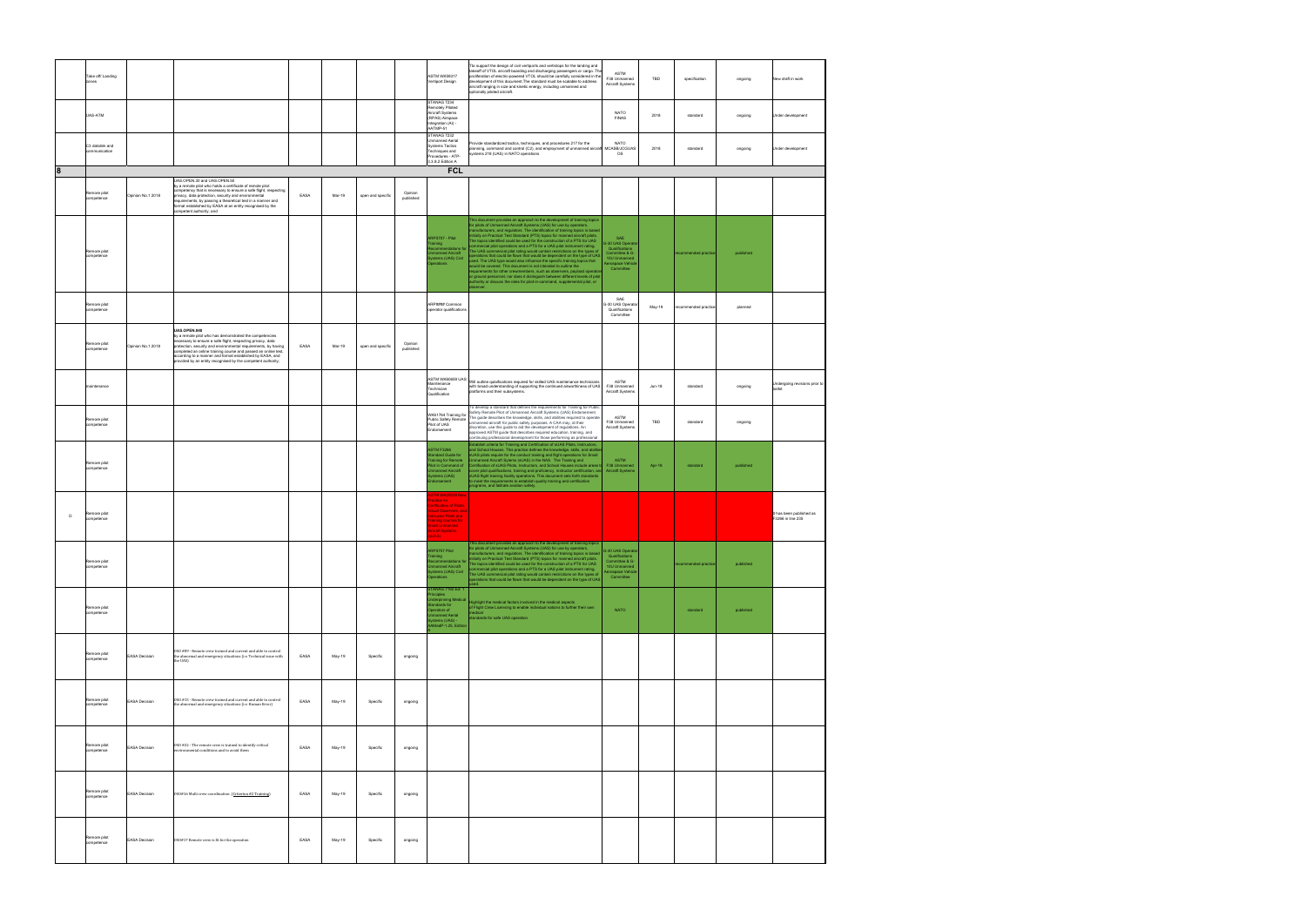| Take off/ Landing<br>zones          |                      |                                                                                                                                                                                                                                                                                                                                                                              |      |        |                   |                      | <b>ASTM WK59317</b><br>ertiport Design                                                                                                                      | Tto support the design of civil vertiports and vertistops for the landing and<br>takeoff of VTOL aircraft boarding and discharging passengers or cargo. The<br>proliferation of electric-powered VTOL should be carefully considered in the<br>development of this document. The standard must be scalable to address<br>aircraft ranging in size and kinetic energy, including unmanned and<br>optionally piloted aircraft.                                                                                                                                                                                                                                                                                                                                                                                                                                                                                                                                                                                                               | ASTM<br>F38 Unmanned<br>Aircraft Systems                                                                     | TBD    | specification        | ongoing   | New draft in work                             |
|-------------------------------------|----------------------|------------------------------------------------------------------------------------------------------------------------------------------------------------------------------------------------------------------------------------------------------------------------------------------------------------------------------------------------------------------------------|------|--------|-------------------|----------------------|-------------------------------------------------------------------------------------------------------------------------------------------------------------|--------------------------------------------------------------------------------------------------------------------------------------------------------------------------------------------------------------------------------------------------------------------------------------------------------------------------------------------------------------------------------------------------------------------------------------------------------------------------------------------------------------------------------------------------------------------------------------------------------------------------------------------------------------------------------------------------------------------------------------------------------------------------------------------------------------------------------------------------------------------------------------------------------------------------------------------------------------------------------------------------------------------------------------------|--------------------------------------------------------------------------------------------------------------|--------|----------------------|-----------|-----------------------------------------------|
| UAS-ATM                             |                      |                                                                                                                                                                                                                                                                                                                                                                              |      |        |                   |                      | <b>STANAG 7234</b><br>Remotely Piloted<br>Aircraft Systems<br>(RPAS) Airspace<br>Integration (AI) -<br>AATMP-51                                             |                                                                                                                                                                                                                                                                                                                                                                                                                                                                                                                                                                                                                                                                                                                                                                                                                                                                                                                                                                                                                                            | NATO<br><b>FINAS</b>                                                                                         | 2018   | standard             | ongoing   | Under development                             |
| C3 datalink and<br>communication    |                      |                                                                                                                                                                                                                                                                                                                                                                              |      |        |                   |                      | STANAG 7232<br><b>Unmanned Aerial</b><br>Systems Tactics<br>Techniques and<br>Procedures - ATP-<br>3.3.8.2 Edition A                                        | rovide standardized tactics, techniques, and procedures 217 for the<br>lanning, command and control (C2), and employment of unmanned aircraft MCASB/JCGUAS<br>ystems 218 (UAS) in NATO operations                                                                                                                                                                                                                                                                                                                                                                                                                                                                                                                                                                                                                                                                                                                                                                                                                                          | <b>NATO</b><br>os                                                                                            | 2018   | standard             | ongoing   | Under development                             |
| 8                                   |                      |                                                                                                                                                                                                                                                                                                                                                                              |      |        |                   |                      | <b>FCL</b>                                                                                                                                                  |                                                                                                                                                                                                                                                                                                                                                                                                                                                                                                                                                                                                                                                                                                                                                                                                                                                                                                                                                                                                                                            |                                                                                                              |        |                      |           |                                               |
| Remore pilot<br>competence          | Opinion No.1 2018    | UAS.OPEN.30 and UAS.OPEN.50<br>by a remote pilot who holds a certificate of remote pilot<br>competency that is necessary to ensure a safe flight, respecting<br>privacy, data protection, security and environmental<br>requirements, by passing a theoretical test in a manner and<br>format established by EASA at an entity recognised by the<br>competent authority; and | EASA | Mar-19 | open and specific | Opinion<br>published |                                                                                                                                                             |                                                                                                                                                                                                                                                                                                                                                                                                                                                                                                                                                                                                                                                                                                                                                                                                                                                                                                                                                                                                                                            |                                                                                                              |        |                      |           |                                               |
| Remore pilot<br>competence          |                      |                                                                                                                                                                                                                                                                                                                                                                              |      |        |                   |                      | RP5707 - Pilot<br>ining<br>nanned Aircraft<br>stems (UAS) Civil<br>erations                                                                                 | This document provides an approach to the development of training topics<br>for pilots of Unmanned Aircraft Systems (UAS) for use by operators,<br>manufacturers, and regulators. The identification of training topics is based<br>initially on Practical Test Standard (PTS) topics for manned aircraft pilots.<br>The topics identified could be used for the construction of a PTS for UAS<br>mmercial pilot operations and a PTS for a UAS pilot instrument rating.<br>The UAS commercial pilot rating would contain restrictions on the types of<br>berations that could be flown that would be dependent on the type of UAS<br>sed. The UAS type would also influence the specific training topics that<br>would be covered. This document is not intended to outline the<br>requirements for other crewmembers, such as observers, payload operators<br>or ground personnel, nor does it distinguish between different levels of pilot<br>authority or discuss the roles for pilot-in-command, supplemental pilot, or<br>observer. | SAE<br>G-30 UAS Operato<br>Qualifications<br>Committee & G-<br>10U Unmanned<br>Aerospace Vehicl<br>Committee |        | ecommended practice  | published |                                               |
| Remore pilot<br>competence          |                      | UAS.OPEN.040<br>by a remote pilot who has demonstrated the competencies                                                                                                                                                                                                                                                                                                      |      |        |                   |                      | ARP#### Common<br>operator qualifications                                                                                                                   |                                                                                                                                                                                                                                                                                                                                                                                                                                                                                                                                                                                                                                                                                                                                                                                                                                                                                                                                                                                                                                            | SAE<br>G-30 UAS Operato<br>Qualifications<br>Committee                                                       | May-19 | recommended practice | planned   |                                               |
| Remore pilot<br>competence          | Opinion No.1 2018    | necessary to ensure a safe flight, respecting privacy, data<br>protection, security and environmental requirements, by having<br>completed an online training course and passed an online test,<br>according to a manner and format established by EASA, and<br>rovided by an entity recognised by the competent authority;                                                  | EASA | Mar-19 | open and specific | Opinion<br>published |                                                                                                                                                             |                                                                                                                                                                                                                                                                                                                                                                                                                                                                                                                                                                                                                                                                                                                                                                                                                                                                                                                                                                                                                                            |                                                                                                              |        |                      |           |                                               |
| naintenance                         |                      |                                                                                                                                                                                                                                                                                                                                                                              |      |        |                   |                      | Maintenance<br>Technician<br>Qualification                                                                                                                  | ASTM WK60659 UAS<br>- - - - - - - - - - Will outline qulaifications required for skilled UAS maintenance technicians<br>with broad understanding of supporting the continued airworthiness of UAS   F38 Unmanned<br>platforms and their subsystems.<br>To develop a standard that defines the requirements for Training for Public                                                                                                                                                                                                                                                                                                                                                                                                                                                                                                                                                                                                                                                                                                         | ASTM<br>Aircraft Systems                                                                                     | Jun-18 | standard             | ongoing   | Undergoing revisions prior to<br>ballot       |
| Remore pilot<br>competence          |                      |                                                                                                                                                                                                                                                                                                                                                                              |      |        |                   |                      | WK61764 Training for<br>Public Safety Remote<br>Pilot of UAS<br>indorsement                                                                                 | Safety Remote Pilot of Unmanned Aircraft Systems (UAS) Endorsement.<br>The guide describes the knowledge, skills, and abilities required to operate<br>unmanned aircraft for public safety purposes. A CAA may, at their<br>discretion, use this guide to aid the development of regulations. An<br>approved ASTM guide that describes required education, training, and<br>continuing professional development for those performing as professional                                                                                                                                                                                                                                                                                                                                                                                                                                                                                                                                                                                       | ASTM<br>F38 Unmanned<br>Aircraft Systems                                                                     | TBD    | standard             | ongoing   |                                               |
| Remore pilot<br>competence          |                      |                                                                                                                                                                                                                                                                                                                                                                              |      |        |                   |                      | <b>ASTM F3266</b><br>tandard Guide for<br>raining for Remote<br>filot in Command of<br>nmanned Aircraft<br>stems (UAS)<br>dorsement<br>STM WK29229 New      | Establish criteria for Training and Certification of sUAS Pilots, Instructors,<br>and School Houses. This practice defines the knowledge, skills, and abiliti<br>UAS pilots require for the conduct training and flight operations for Small<br>nmanned Aircraft Sytems (sUAS) in the NAS. The Training and<br>ertification of sUAS Pilots, Instructors, and School Houses include areas to F38 Unmanned<br>over pilot qualifications, training and proficiency, instructor certification, and Aircraft Systems<br>cover plus usuances using any provinces, the measurement sets forth standards<br>to meet the requirements to establish quality training and certification<br>programs, and failitate aviation safety.                                                                                                                                                                                                                                                                                                                   | ASTM                                                                                                         | Apr-18 | standard             | published |                                               |
| Remore pilot<br>$\Box$<br>ompetence |                      |                                                                                                                                                                                                                                                                                                                                                                              |      |        |                   |                      | actice for<br><b>ertification of Pilots</b><br><b>isual Observers</b> , and<br>structor Pilots and<br>raining courses for<br>hall Unmanned<br>craft Systems | This document provides an approach to the development of training topics                                                                                                                                                                                                                                                                                                                                                                                                                                                                                                                                                                                                                                                                                                                                                                                                                                                                                                                                                                   |                                                                                                              |        |                      |           | It has been published as<br>F3266 in line 235 |
| Remore pilot<br>competence          |                      |                                                                                                                                                                                                                                                                                                                                                                              |      |        |                   |                      | ARP5707 Pilot<br>raining<br>nmanned Aircraft<br>ystems (UAS) Civil<br>perations<br>TANAG 7192 Ed: 1                                                         | for pilots of Unmanned Aircraft Systems (UAS) for use by operators, C-30 UAS Operators<br>nanufacturers, and regulators. The identification of training topics is based<br>raining<br>ecommendations for initially on Practical Test Standard (PTS) topics for manned aircraft pilots.<br>proponed Aircraft<br>commercial pilot operations and a PTS for a UAS pilot instrument rating.<br>The UAS commercial pilot rating would contain restrictions on the types of<br>operations that could be flown that would be dependent on the type of UAS                                                                                                                                                                                                                                                                                                                                                                                                                                                                                         | Qualifications<br>Committee & G-<br>10U Unmanned<br>Aerospace Vehicle<br>Committee                           |        | commended practice   | published |                                               |
| Remore pilot<br>competence          |                      |                                                                                                                                                                                                                                                                                                                                                                              |      |        |                   |                      | inciples<br>Jnderpinning Medica<br>Standards for<br>perators of<br>Imanned Aerial<br>ystems (UAS) -<br>.<br>AMedP-1.25, Edition                             | Highlight the medical factors involved in the medical aspects<br>of Flight Crew Licensing to enable individual nations to further their own<br>medical<br>standards for safe UAS operation.                                                                                                                                                                                                                                                                                                                                                                                                                                                                                                                                                                                                                                                                                                                                                                                                                                                | <b>NATO</b>                                                                                                  |        | standard             | published |                                               |
| Remore pilot<br>competence          | <b>EASA Decision</b> | OSO #09 - Remote crew trained and current and able to control<br>the abnormal and emergency situations (i.e. Technical issue with<br>the UAS)                                                                                                                                                                                                                                | EASA | May-19 | Specific          | ongoing              |                                                                                                                                                             |                                                                                                                                                                                                                                                                                                                                                                                                                                                                                                                                                                                                                                                                                                                                                                                                                                                                                                                                                                                                                                            |                                                                                                              |        |                      |           |                                               |
| Remore pilot<br>competence          | <b>EASA Decision</b> | OSO #15 - Remote crew trained and current and able to control<br>the abnormal and emergency situations (i.e. Human Error)                                                                                                                                                                                                                                                    | EASA | May-19 | Specific          | ongoing              |                                                                                                                                                             |                                                                                                                                                                                                                                                                                                                                                                                                                                                                                                                                                                                                                                                                                                                                                                                                                                                                                                                                                                                                                                            |                                                                                                              |        |                      |           |                                               |
| Remore pilot<br>competence          | <b>EASA Decision</b> | OSO #22 - The remote crew is trained to identify critical<br>environmental conditions and to avoid them                                                                                                                                                                                                                                                                      | EASA | May-19 | Specific          | ongoing              |                                                                                                                                                             |                                                                                                                                                                                                                                                                                                                                                                                                                                                                                                                                                                                                                                                                                                                                                                                                                                                                                                                                                                                                                                            |                                                                                                              |        |                      |           |                                               |
| Remore pilot<br>competence          | <b>EASA Decision</b> | 0S0#16 Multi crew coordination. (Criterion #2 Training)                                                                                                                                                                                                                                                                                                                      | EASA | May-19 | Specific          | ongoing              |                                                                                                                                                             |                                                                                                                                                                                                                                                                                                                                                                                                                                                                                                                                                                                                                                                                                                                                                                                                                                                                                                                                                                                                                                            |                                                                                                              |        |                      |           |                                               |
| Remore pilot<br>competence          | <b>EASA Decision</b> | OSO#17 Remote crew is fit for the operation                                                                                                                                                                                                                                                                                                                                  | EASA | May-19 | Specific          | ongoing              |                                                                                                                                                             |                                                                                                                                                                                                                                                                                                                                                                                                                                                                                                                                                                                                                                                                                                                                                                                                                                                                                                                                                                                                                                            |                                                                                                              |        |                      |           |                                               |